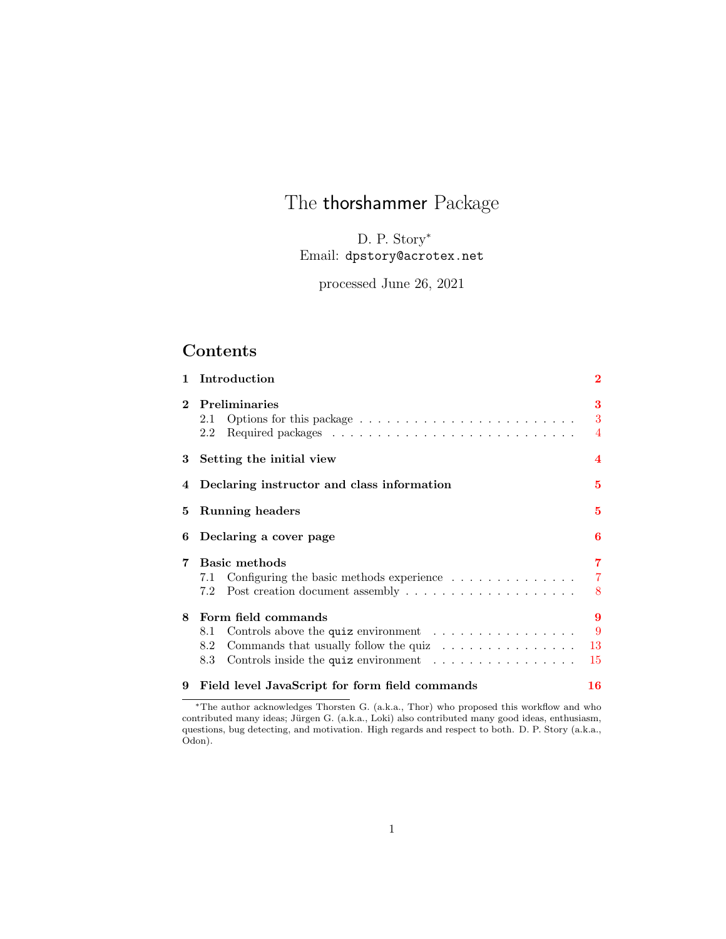# The thorshammer Package

D. P. Story<sup>∗</sup> Email: dpstory@acrotex.net

processed June 26, 2021

# Contents

| 1.           | Introduction                                                                                                                                                                                                                                                             | $\bf{2}$                 |  |  |  |  |  |
|--------------|--------------------------------------------------------------------------------------------------------------------------------------------------------------------------------------------------------------------------------------------------------------------------|--------------------------|--|--|--|--|--|
| $\mathbf{2}$ | <b>Preliminaries</b><br>2.1<br>2.2                                                                                                                                                                                                                                       | 3<br>3<br>4              |  |  |  |  |  |
| 3            | Setting the initial view                                                                                                                                                                                                                                                 |                          |  |  |  |  |  |
| 4            | Declaring instructor and class information                                                                                                                                                                                                                               |                          |  |  |  |  |  |
| 5            | <b>Running headers</b>                                                                                                                                                                                                                                                   |                          |  |  |  |  |  |
| 6            | Declaring a cover page                                                                                                                                                                                                                                                   |                          |  |  |  |  |  |
| 7            | Basic methods<br>Configuring the basic methods experience $\ldots \ldots \ldots \ldots$<br>7.1<br>7.2                                                                                                                                                                    | 7<br>$\overline{7}$<br>8 |  |  |  |  |  |
| 8            | Form field commands<br>Controls above the quiz environment $\ldots \ldots \ldots \ldots \ldots$<br>8.1<br>Commands that usually follow the quiz $\ldots \ldots \ldots \ldots$<br>8.2<br>Controls inside the quiz environment $\ldots \ldots \ldots \ldots \ldots$<br>8.3 | 9<br>9<br>13<br>15       |  |  |  |  |  |
| 9            | Field level JavaScript for form field commands                                                                                                                                                                                                                           | 16                       |  |  |  |  |  |

<sup>∗</sup>The author acknowledges Thorsten G. (a.k.a., Thor) who proposed this workflow and who contributed many ideas; Jürgen G. (a.k.a., Loki) also contributed many good ideas, enthusiasm, questions, bug detecting, and motivation. High regards and respect to both. D. P. Story (a.k.a., Odon).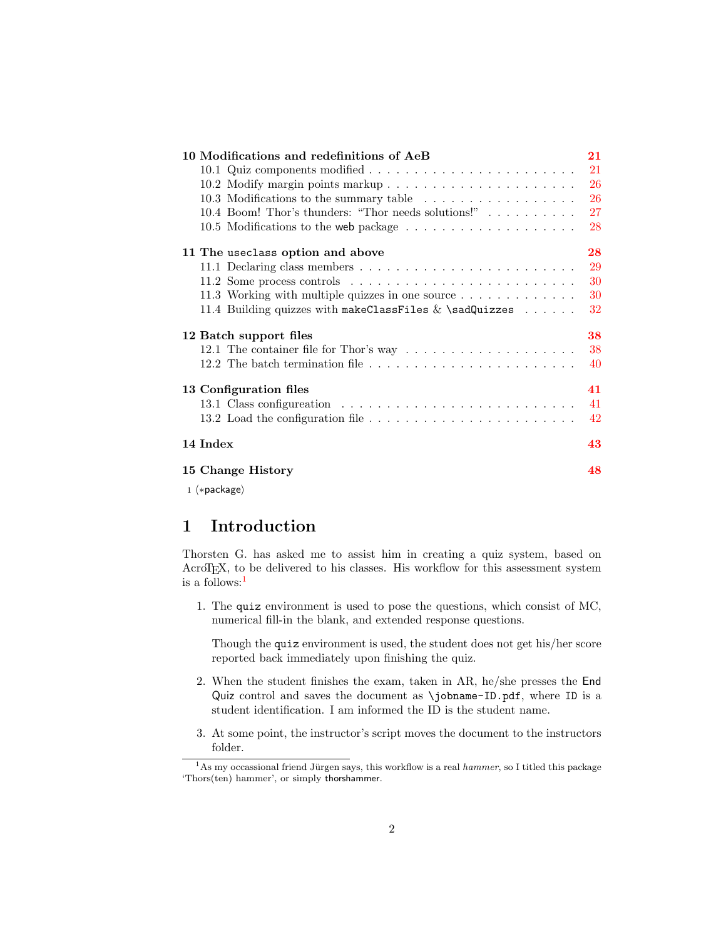| 10 Modifications and redefinitions of AeB                                          | 21 |
|------------------------------------------------------------------------------------|----|
|                                                                                    | 21 |
| 10.2 Modify margin points markup                                                   | 26 |
| 10.3 Modifications to the summary table                                            | 26 |
| 10.4 Boom! Thor's thunders: "Thor needs solutions!" $\ldots \ldots \ldots$         | 27 |
|                                                                                    | 28 |
| 11 The useclass option and above                                                   | 28 |
|                                                                                    | 29 |
|                                                                                    | 30 |
| 11.3 Working with multiple quizzes in one source                                   | 30 |
| 11.4 Building quizzes with makeClassFiles $\&$ \sadQuizzes                         | 32 |
| 12 Batch support files                                                             | 38 |
| 12.1 The container file for Thor's way $\dots \dots \dots \dots \dots \dots \dots$ | 38 |
|                                                                                    | 40 |
| 13 Configuration files                                                             | 41 |
|                                                                                    | 41 |
|                                                                                    | 42 |
| 14 Index                                                                           | 43 |
| 15 Change History                                                                  | 48 |
| $1 \langle *package \rangle$                                                       |    |

# <span id="page-1-0"></span>1 Introduction

Thorsten G. has asked me to assist him in creating a quiz system, based on AcroTEX, to be delivered to his classes. His workflow for this assessment system is a follows:[1](#page-1-1)

1. The quiz environment is used to pose the questions, which consist of MC, numerical fill-in the blank, and extended response questions.

Though the quiz environment is used, the student does not get his/her score reported back immediately upon finishing the quiz.

- 2. When the student finishes the exam, taken in AR, he/she presses the End Quiz control and saves the document as \jobname-ID.pdf, where ID is a student identification. I am informed the ID is the student name.
- 3. At some point, the instructor's script moves the document to the instructors folder.

<span id="page-1-1"></span> $1\text{As}$  my occassional friend Jürgen says, this workflow is a real hammer, so I titled this package 'Thors(ten) hammer', or simply thorshammer.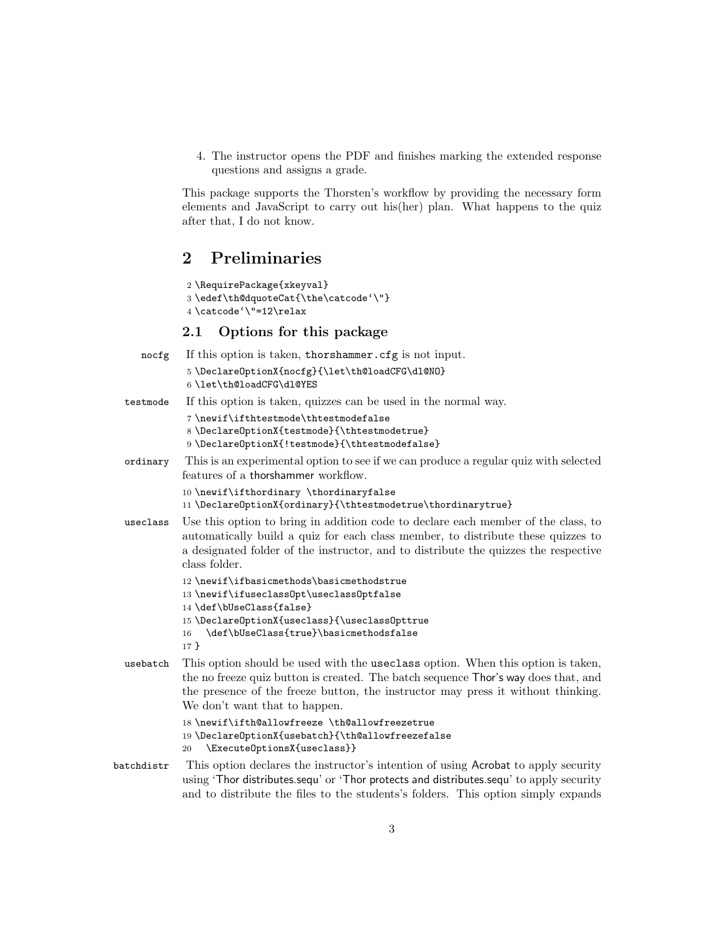4. The instructor opens the PDF and finishes marking the extended response questions and assigns a grade.

This package supports the Thorsten's workflow by providing the necessary form elements and JavaScript to carry out his(her) plan. What happens to the quiz after that, I do not know.

# <span id="page-2-0"></span>2 Preliminaries

```
2 \RequirePackage{xkeyval}
```

```
3 \edef\th@dquoteCat{\the\catcode'\"}
```

```
4 \catcode'\"=12\relax
```
### <span id="page-2-1"></span>2.1 Options for this package

```
nocfg If this option is taken, thorshammer.cfg is not input.
              5 \DeclareOptionX{nocfg}{\let\th@loadCFG\dl@NO}
              6 \let\th@loadCFG\dl@YES
  testmode If this option is taken, quizzes can be used in the normal way.
              7 \newif\ifthtestmode\thtestmodefalse
              8 \DeclareOptionX{testmode}{\thtestmodetrue}
              9 \DeclareOptionX{!testmode}{\thtestmodefalse}
  ordinary This is an experimental option to see if we can produce a regular quiz with selected
             features of a thorshammer workflow.
             10 \newif\ifthordinary \thordinaryfalse
             11 \DeclareOptionX{ordinary}{\thtestmodetrue\thordinarytrue}
  useclass Use this option to bring in addition code to declare each member of the class, to
             automatically build a quiz for each class member, to distribute these quizzes to
             a designated folder of the instructor, and to distribute the quizzes the respective
             class folder.
             12 \newif\ifbasicmethods\basicmethodstrue
             13 \newif\ifuseclassOpt\useclassOptfalse
             14 \def\bUseClass{false}
             15 \DeclareOptionX{useclass}{\useclassOpttrue
             16 \def\bUseClass{true}\basicmethodsfalse
             17 }
  usebatch This option should be used with the useclass option. When this option is taken,
             the no freeze quiz button is created. The batch sequence Thor's way does that, and
             the presence of the freeze button, the instructor may press it without thinking.
             We don't want that to happen.
             18 \newif\ifth@allowfreeze \th@allowfreezetrue
             19 \DeclareOptionX{usebatch}{\th@allowfreezefalse
             20 \ExecuteOptionsX{useclass}}
batchdistr This option declares the instructor's intention of using Acrobat to apply security
             using 'Thor distributes.sequ' or 'Thor protects and distributes.sequ' to apply security
```
and to distribute the files to the students's folders. This option simply expands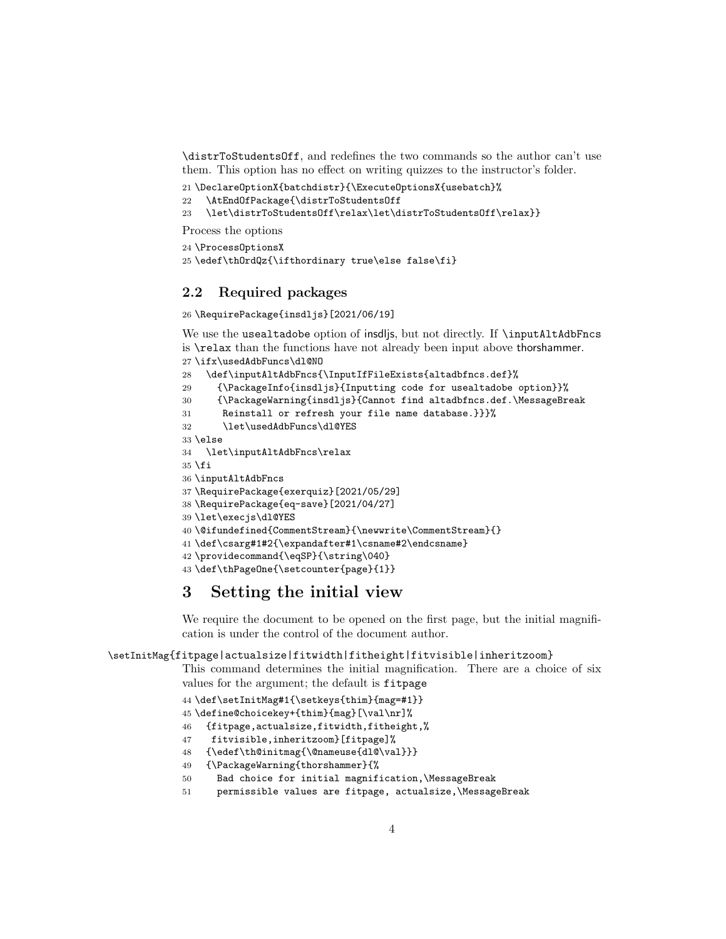\distrToStudentsOff, and redefines the two commands so the author can't use them. This option has no effect on writing quizzes to the instructor's folder.

\DeclareOptionX{batchdistr}{\ExecuteOptionsX{usebatch}%

\AtEndOfPackage{\distrToStudentsOff

```
23 \let\distrToStudentsOff\relax\let\distrToStudentsOff\relax}}
```
Process the options

```
24 \ProcessOptionsX
```
\edef\thOrdQz{\ifthordinary true\else false\fi}

### <span id="page-3-0"></span>2.2 Required packages

```
26 \RequirePackage{insdljs}[2021/06/19]
```
We use the usealtadobe option of insdlis, but not directly. If \inputAltAdbFncs is \relax than the functions have not already been input above thorshammer. \ifx\usedAdbFuncs\dl@NO

```
28 \def\inputAltAdbFncs{\InputIfFileExists{altadbfncs.def}%
29 {\PackageInfo{insdljs}{Inputting code for usealtadobe option}}%
30 {\PackageWarning{insdljs}{Cannot find altadbfncs.def.\MessageBreak
31 Reinstall or refresh your file name database.}}}%
32 \let\usedAdbFuncs\dl@YES
33 \else
34 \let\inputAltAdbFncs\relax
35 \fi
36 \inputAltAdbFncs
37 \RequirePackage{exerquiz}[2021/05/29]
38 \RequirePackage{eq-save}[2021/04/27]
39 \let\execjs\dl@YES
40 \@ifundefined{CommentStream}{\newwrite\CommentStream}{}
41 \def\csarg#1#2{\expandafter#1\csname#2\endcsname}
42 \providecommand{\eqSP}{\string\040}
43 \def\thPageOne{\setcounter{page}{1}}
```
# <span id="page-3-1"></span>3 Setting the initial view

We require the document to be opened on the first page, but the initial magnification is under the control of the document author.

#### \setInitMag{fitpage|actualsize|fitwidth|fitheight|fitvisible|inheritzoom}

This command determines the initial magnification. There are a choice of six values for the argument; the default is fitpage

```
44 \def\setInitMag#1{\setkeys{thim}{mag=#1}}
```
\define@choicekey+{thim}{mag}[\val\nr]%

{fitpage,actualsize,fitwidth,fitheight,%

```
47 fitvisible,inheritzoom}[fitpage]%
```
{\edef\th@initmag{\@nameuse{dl@\val}}}

- {\PackageWarning{thorshammer}{%
- Bad choice for initial magnification,\MessageBreak
- permissible values are fitpage, actualsize,\MessageBreak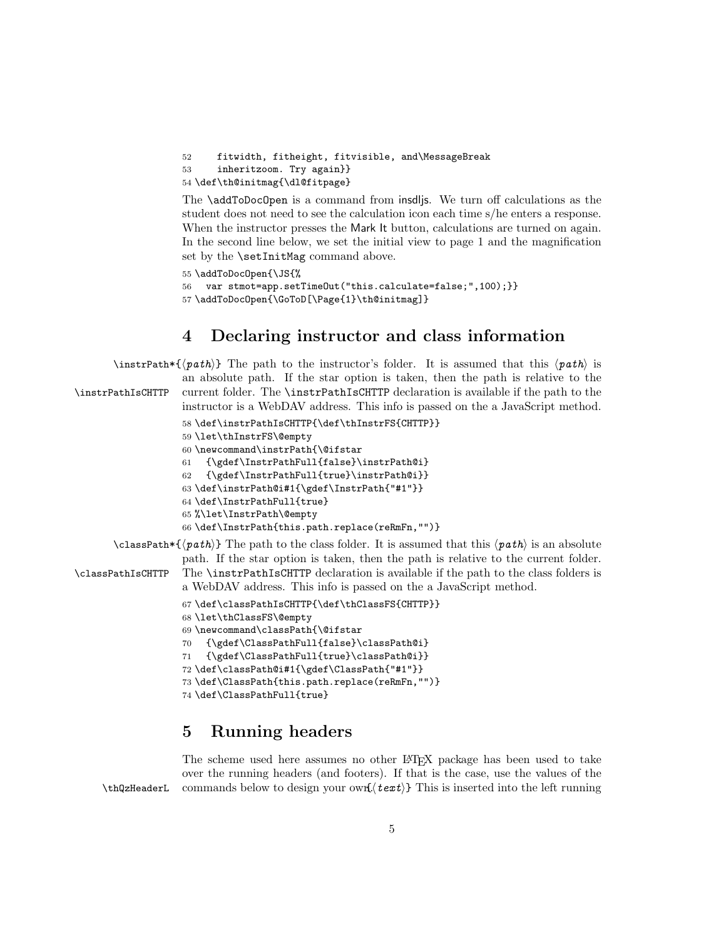```
52 fitwidth, fitheight, fitvisible, and\MessageBreak
53 inheritzoom. Try again}}
54 \def\th@initmag{\dl@fitpage}
```
The \addToDocOpen is a command from insdljs. We turn off calculations as the student does not need to see the calculation icon each time s/he enters a response. When the instructor presses the Mark It button, calculations are turned on again. In the second line below, we set the initial view to page 1 and the magnification set by the **\setInitMag** command above.

```
55 \addToDocOpen{\JS{%
```

```
56 var stmot=app.setTimeOut("this.calculate=false;",100);}}
57 \addToDocOpen{\GoToD[\Page{1}\th@initmag]}
```
# <span id="page-4-0"></span>4 Declaring instructor and class information

 $\in$  The path to the instructor's folder. It is assumed that this  $\langle path \rangle$  is an absolute path. If the star option is taken, then the path is relative to the \instrPathIsCHTTP current folder. The \instrPathIsCHTTP declaration is available if the path to the instructor is a WebDAV address. This info is passed on the a JavaScript method.

```
58 \def\instrPathIsCHTTP{\def\thInstrFS{CHTTP}}
59 \let\thInstrFS\@empty
60 \newcommand\instrPath{\@ifstar
61 {\gdef\InstrPathFull{false}\instrPath@i}
62 {\gdef\InstrPathFull{true}\instrPath@i}}
63 \def\instrPath@i#1{\gdef\InstrPath{"#1"}}
64 \def\InstrPathFull{true}
65 %\let\InstrPath\@empty
66 \def\InstrPath{this.path.replace(reRmFn,"")}
```
 $\text{ClassPath*}\$  The path to the class folder. It is assumed that this  $\langle path \rangle$  is an absolute path. If the star option is taken, then the path is relative to the current folder.

\classPathIsCHTTP The \instrPathIsCHTTP declaration is available if the path to the class folders is a WebDAV address. This info is passed on the a JavaScript method.

```
67 \def\classPathIsCHTTP{\def\thClassFS{CHTTP}}
68 \let\thClassFS\@empty
69 \newcommand\classPath{\@ifstar
70 {\gdef\ClassPathFull{false}\classPath@i}
71 {\gdef\ClassPathFull{true}\classPath@i}}
72 \def\classPath@i#1{\gdef\ClassPath{"#1"}}
73 \def\ClassPath{this.path.replace(reRmFn,"")}
74 \def\ClassPathFull{true}
```
# <span id="page-4-1"></span>5 Running headers

The scheme used here assumes no other LAT<sub>EX</sub> package has been used to take over the running headers (and footers). If that is the case, use the values of the  $\theta$  (th $\theta$ zHeaderL commands below to design your own. $\theta$  and  $\theta$  This is inserted into the left running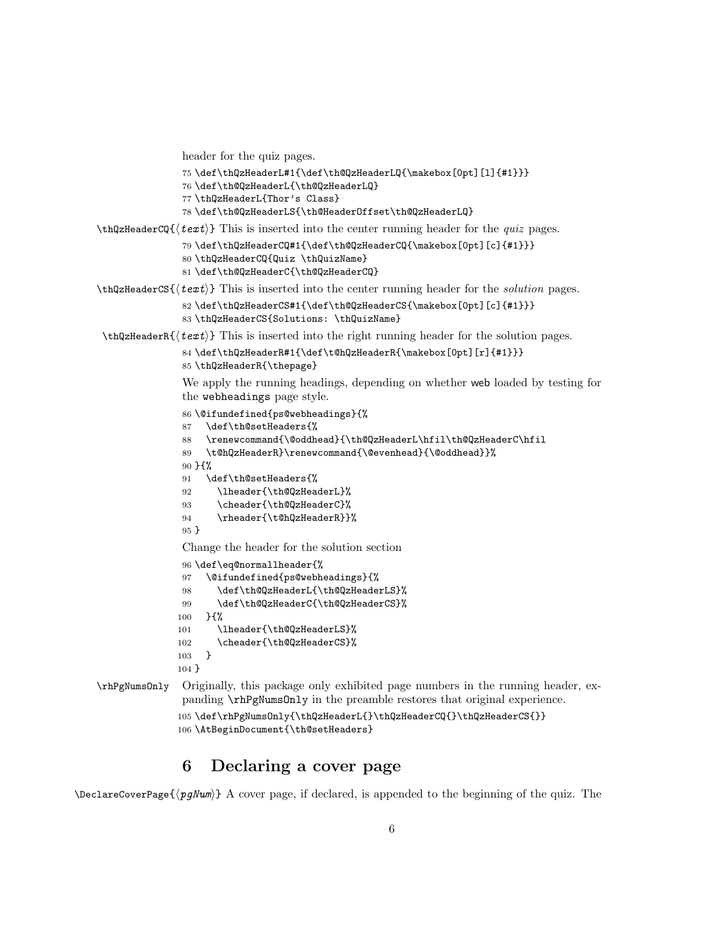```
header for the quiz pages.
```

```
75 \def\thQzHeaderL#1{\def\th@QzHeaderLQ{\makebox[0pt][l]{#1}}}
                76 \def\th@QzHeaderL{\th@QzHeaderLQ}
                77 \thQzHeaderL{Thor's Class}
                78 \def\th@QzHeaderLS{\th@HeaderOffset\th@QzHeaderLQ}
\theta\thQzHeaderCQ{\langle text \rangle} This is inserted into the center running header for the quiz pages.
                79 \def\thQzHeaderCQ#1{\def\th@QzHeaderCQ{\makebox[0pt][c]{#1}}}
                80 \thQzHeaderCQ{Quiz \thQuizName}
                81 \def\th@QzHeaderC{\th@QzHeaderCQ}
\theta \thQzHeaderCS{\text{\textit{text}}} This is inserted into the center running header for the solution pages.
                82 \def\thQzHeaderCS#1{\def\th@QzHeaderCS{\makebox[0pt][c]{#1}}}
                83 \thQzHeaderCS{Solutions: \thQuizName}
\theta \thQzHeaderR{\text{\textit{text}}} This is inserted into the right running header for the solution pages.
                84 \def\thQzHeaderR#1{\def\t@hQzHeaderR{\makebox[0pt][r]{#1}}}
                85 \thQzHeaderR{\thepage}
                We apply the running headings, depending on whether web loaded by testing for
                the webheadings page style.
                86 \@ifundefined{ps@webheadings}{%
                87 \def\th@setHeaders{%
                88 \renewcommand{\@oddhead}{\th@QzHeaderL\hfil\th@QzHeaderC\hfil
                89 \t@hQzHeaderR}\renewcommand{\@evenhead}{\@oddhead}}%
                90 }{%
                91 \def\th@setHeaders{%
                92 \lheader{\th@QzHeaderL}%
                93 \cheader{\th@QzHeaderC}%
                94 \rheader{\t@hQzHeaderR}}%
                95 }
                Change the header for the solution section
                96 \def\eq@normallheader{%
                97 \@ifundefined{ps@webheadings}{%
                98 \def\th@QzHeaderL{\th@QzHeaderLS}%
                99 \def\th@QzHeaderC{\th@QzHeaderCS}%
               100 }{%
               101 \lheader{\th@QzHeaderLS}%
               102 \cheader{\th@QzHeaderCS}%
               103 }
               104 }
```
\rhPgNumsOnly Originally, this package only exhibited page numbers in the running header, expanding \rhPgNumsOnly in the preamble restores that original experience.

```
105 \def\rhPgNumsOnly{\thQzHeaderL{}\thQzHeaderCQ{}\thQzHeaderCS{}}
106 \AtBeginDocument{\th@setHeaders}
```
## <span id="page-5-0"></span>6 Declaring a cover page

\DeclareCoverPage{hpgNumi} A cover page, if declared, is appended to the beginning of the quiz. The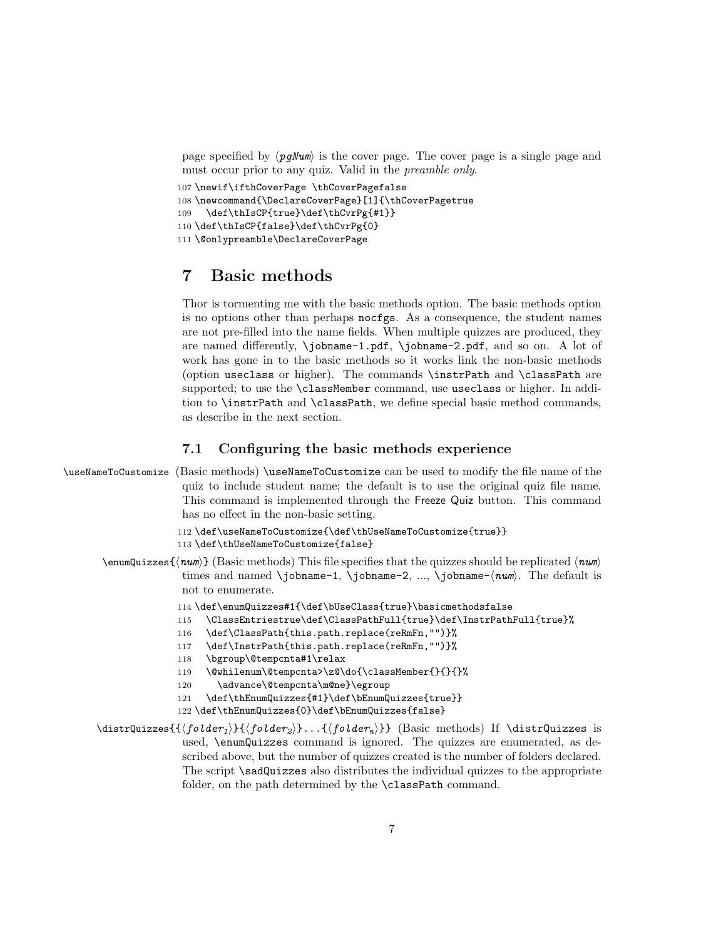page specified by  $\langle pqMum \rangle$  is the cover page. The cover page is a single page and must occur prior to any quiz. Valid in the preamble only.

```
107 \newif\ifthCoverPage \thCoverPagefalse
108 \newcommand{\DeclareCoverPage}[1]{\thCoverPagetrue
109 \def\thIsCP{true}\def\thCvrPg{#1}}
110 \def\thIsCP{false}\def\thCvrPg{0}
111 \@onlypreamble\DeclareCoverPage
```
# <span id="page-6-0"></span>7 Basic methods

Thor is tormenting me with the basic methods option. The basic methods option is no options other than perhaps nocfgs. As a consequence, the student names are not pre-filled into the name fields. When multiple quizzes are produced, they are named differently, \jobname-1.pdf, \jobname-2.pdf, and so on. A lot of work has gone in to the basic methods so it works link the non-basic methods (option useclass or higher). The commands \instrPath and \classPath are supported; to use the **\classMember** command, use useclass or higher. In addition to **\instrPath** and **\classPath**, we define special basic method commands, as describe in the next section.

### <span id="page-6-1"></span>7.1 Configuring the basic methods experience

\useNameToCustomize (Basic methods) \useNameToCustomize can be used to modify the file name of the quiz to include student name; the default is to use the original quiz file name. This command is implemented through the Freeze Quiz button. This command has no effect in the non-basic setting.

```
112 \def\useNameToCustomize{\def\thUseNameToCustomize{true}}
113 \def\thUseNameToCustomize{false}
```
- $\text{Quizzes}\{\langle num \rangle\}$  (Basic methods) This file specifies that the quizzes should be replicated  $\langle num \rangle$ times and named \jobname-1, \jobname-2, ..., \jobname- $\langle num \rangle$ . The default is not to enumerate.
	- 114 \def\enumQuizzes#1{\def\bUseClass{true}\basicmethodsfalse
	- 115 \ClassEntriestrue\def\ClassPathFull{true}\def\InstrPathFull{true}%
	- 116 \def\ClassPath{this.path.replace(reRmFn,"")}%
	- 117 \def\InstrPath{this.path.replace(reRmFn,"")}%
	- 118 \bgroup\@tempcnta#1\relax
	- 119 \@whilenum\@tempcnta>\z@\do{\classMember{}{}{}%
	- 120 \advance\@tempcnta\m@ne}\egroup
	- 121 \def\thEnumQuizzes{#1}\def\bEnumQuizzes{true}}
	- 122 \def\thEnumQuizzes{0}\def\bEnumQuizzes{false}
- $\dist_{\left\{ \cdot f\in \left\{ \cdot f\in \left\{ \cdot f\in \left\{ \cdot f\in \left\{ \cdot f\in \left\{ \cdot f\in \left\{ \cdot f\in \left\{ \cdot f\in \left\{ \cdot f\in \left\{ \cdot f\in \left\{ \cdot f\in \left\{ \cdot f\in \left\{ \cdot f\in \left\{ \cdot f\in \left\{ \cdot f\in \left\{ \cdot f\in \left\{ \cdot f\in \left\{ \cdot f\in \left\{ \cdot f\in \left\{ \cdot f\in \left\{ \cdot f\in \left\{ \cdot f\in \left\{ \cdot f\in \left\{ \cdot f\in \$ used, \enumQuizzes command is ignored. The quizzes are enumerated, as described above, but the number of quizzes created is the number of folders declared. The script \sadQuizzes also distributes the individual quizzes to the appropriate folder, on the path determined by the **\classPath** command.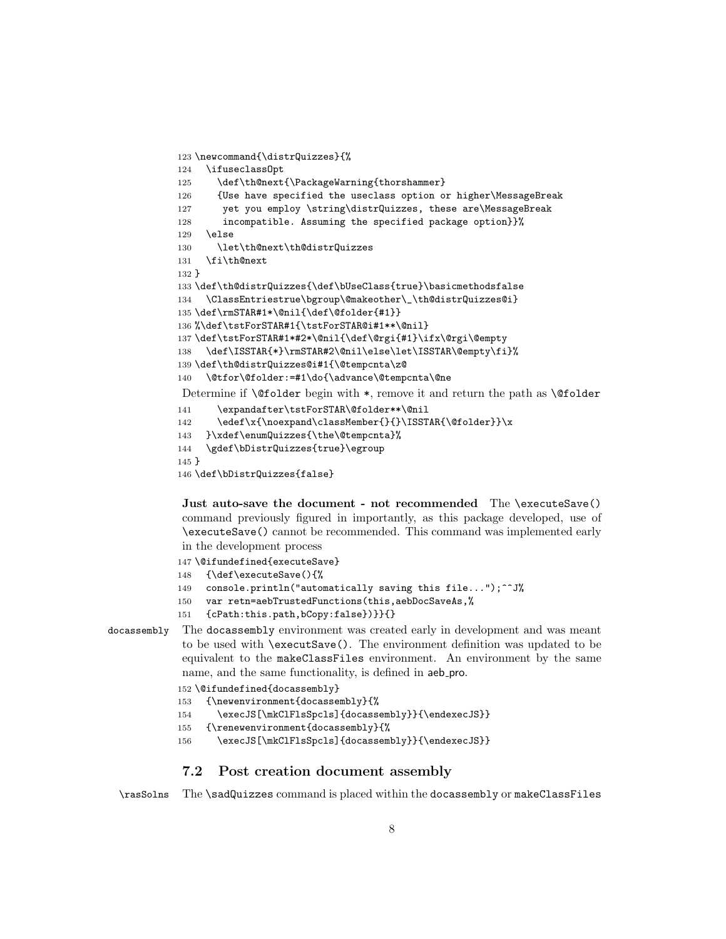```
123 \newcommand{\distrQuizzes}{%
124 \ifuseclassOpt
125 \def\th@next{\PackageWarning{thorshammer}
126 {Use have specified the useclass option or higher\MessageBreak
127 yet you employ \string\distrQuizzes, these are\MessageBreak
128 incompatible. Assuming the specified package option}}%
129 \else
130 \let\th@next\th@distrQuizzes
131 \fi\th@next
132 }
133 \def\th@distrQuizzes{\def\bUseClass{true}\basicmethodsfalse
134 \ClassEntriestrue\bgroup\@makeother\_\th@distrQuizzes@i}
135 \def\rmSTAR#1*\@nil{\def\@folder{#1}}
136 %\def\tstForSTAR#1{\tstForSTAR@i#1**\@nil}
137 \def\tstForSTAR#1*#2*\@nil{\def\@rgi{#1}\ifx\@rgi\@empty
138 \def\ISSTAR{*}\rmSTAR#2\@nil\else\let\ISSTAR\@empty\fi}%
139 \def\th@distrQuizzes@i#1{\@tempcnta\z@
140 \@tfor\@folder:=#1\do{\advance\@tempcnta\@ne
Determine if \text{Qfolder} begin with \ast, remove it and return the path as \text{Qfolder}
```

```
141 \expandafter\tstForSTAR\@folder**\@nil
142 \edef\x{\noexpand\classMember{}{}\ISSTAR{\@folder}}\x
143 }\xdef\enumQuizzes{\the\@tempcnta}%
```

```
144 \gdef\bDistrQuizzes{true}\egroup
```

```
145 }
```

```
146 \def\bDistrQuizzes{false}
```
Just auto-save the document - not recommended The \executeSave() command previously figured in importantly, as this package developed, use of \executeSave() cannot be recommended. This command was implemented early in the development process

```
147 \@ifundefined{executeSave}
```
- {\def\executeSave(){%
- 149 console.println("automatically saving this file...");^^J%
- var retn=aebTrustedFunctions(this,aebDocSaveAs,%
- {cPath:this.path,bCopy:false})}}{}

```
docassembly The docassembly environment was created early in development and was meant
             to be used with \executSave(). The environment definition was updated to be
             equivalent to the makeClassFiles environment. An environment by the same
             name, and the same functionality, is defined in aeb_pro.
```

```
152 \@ifundefined{docassembly}
```

```
153 {\newenvironment{docassembly}{%
```
- 154 \execJS[\mkClFlsSpcls]{docassembly}}{\endexecJS}}
- {\renewenvironment{docassembly}{%
- 156 \execJS[\mkClFlsSpcls]{docassembly}}{\endexecJS}}

### <span id="page-7-0"></span>7.2 Post creation document assembly

\rasSolns The \sadQuizzes command is placed within the docassembly or makeClassFiles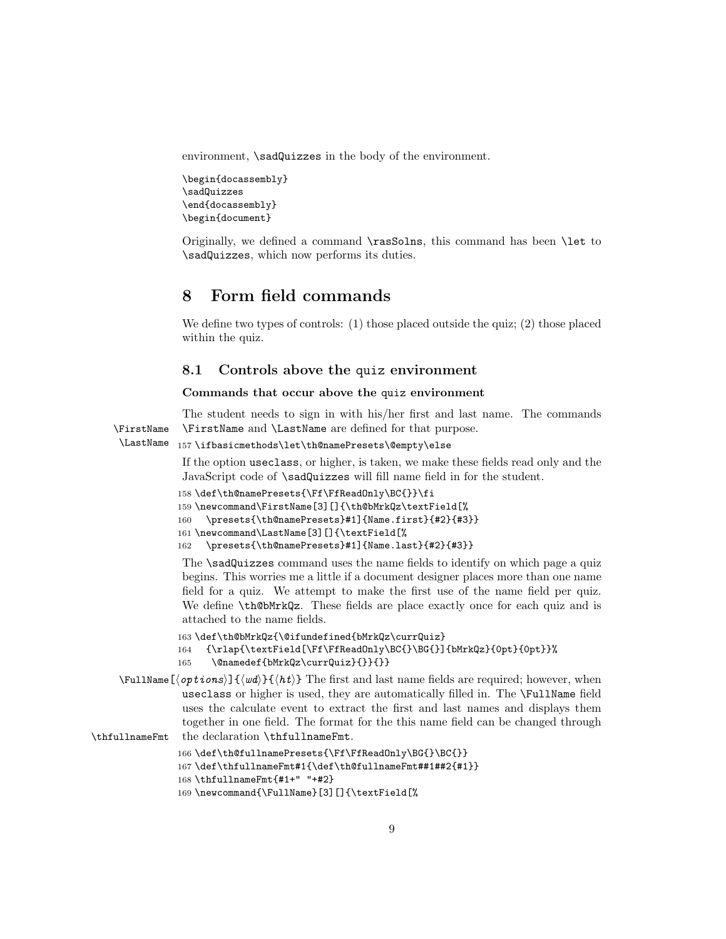environment, **\sadQuizzes** in the body of the environment.

```
\begin{docassembly}
\sadQuizzes
\end{docassembly}
\begin{document}
```
Originally, we defined a command \rasSolns, this command has been \let to \sadQuizzes, which now performs its duties.

# <span id="page-8-0"></span>8 Form field commands

We define two types of controls: (1) those placed outside the quiz; (2) those placed within the quiz.

#### <span id="page-8-1"></span>8.1 Controls above the quiz environment

#### Commands that occur above the quiz environment

The student needs to sign in with his/her first and last name. The commands \FirstName \FirstName and \LastName are defined for that purpose.

#### \LastName <sup>157</sup> \ifbasicmethods\let\th@namePresets\@empty\else

If the option useclass, or higher, is taken, we make these fields read only and the JavaScript code of \sadQuizzes will fill name field in for the student.

```
158 \def\th@namePresets{\Ff\FfReadOnly\BC{}}\fi
```

```
159 \newcommand\FirstName[3][]{\th@bMrkQz\textField[%
```

```
160 \presets{\th@namePresets}#1]{Name.first}{#2}{#3}}
```

```
161 \newcommand\LastName[3][]{\textField[%
```

```
162 \presets{\th@namePresets}#1]{Name.last}{#2}{#3}}
```
The **\sadQuizzes** command uses the name fields to identify on which page a quiz begins. This worries me a little if a document designer places more than one name field for a quiz. We attempt to make the first use of the name field per quiz. We define \th@bMrkQz. These fields are place exactly once for each quiz and is attached to the name fields.

163 \def\th@bMrkQz{\@ifundefined{bMrkQz\currQuiz}

164 {\rlap{\textField[\Ff\FfReadOnly\BC{}\BG{}]{bMrkQz}{0pt}{0pt}}%

```
165 \@namedef{bMrkQz\currQuiz}{}}{}}
```
 $\Fu1$ Name $\left\{\langle options \rangle\right\}$   $\left\{\langle \omega l \rangle\right\}$  The first and last name fields are required; however, when useclass or higher is used, they are automatically filled in. The \FullName field uses the calculate event to extract the first and last names and displays them together in one field. The format for the this name field can be changed through \thfullnameFmt the declaration \thfullnameFmt.

```
166 \def\th@fullnamePresets{\Ff\FfReadOnly\BG{}\BC{}}
167 \def\thfullnameFmt#1{\def\th@fullnameFmt##1##2{#1}}
168 \thfullnameFmt{#1+" "+#2}
```

```
169 \newcommand{\FullName}[3][]{\textField[%
```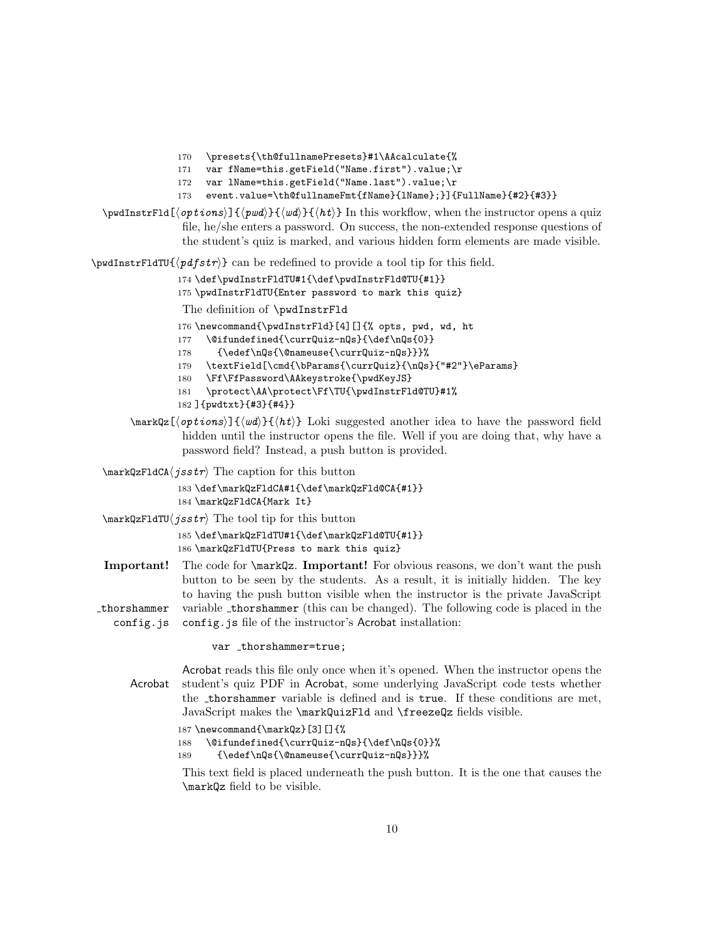- 170 \presets{\th@fullnamePresets}#1\AAcalculate{%
- 171 var fName=this.getField("Name.first").value;\r
- 172 var lName=this.getField("Name.last").value;\r
- 173 event.value=\th@fullnameFmt{fName}{lName};}]{FullName}{#2}{#3}}
- $\pmb{\text{matrixId}}{\phi\text{}}({\eta}\text{d})$   $\{\text{u}\text{d}\}\{\text{h}t\}$  In this workflow, when the instructor opens a quiz file, he/she enters a password. On success, the non-extended response questions of the student's quiz is marked, and various hidden form elements are made visible.

 $\text{DwdInstrFldTU}$  (*pdfstr*) can be redefined to provide a tool tip for this field.

```
174 \def\pwdInstrFldTU#1{\def\pwdInstrFld@TU{#1}}
175 \pwdInstrFldTU{Enter password to mark this quiz}
```
The definition of \pwdInstrFld

176 \newcommand{\pwdInstrFld}[4][]{% opts, pwd, wd, ht

- 177 \@ifundefined{\currQuiz-nQs}{\def\nQs{0}}
- 178 {\edef\nQs{\@nameuse{\currQuiz-nQs}}}%
- 179 \textField[\cmd{\bParams{\currQuiz}{\nQs}{"#2"}\eParams}
- 180 \Ff\FfPassword\AAkeystroke{\pwdKeyJS}
- 181 \protect\AA\protect\Ff\TU{\pwdInstrFld@TU}#1%
- 182 ]{pwdtxt}{#3}{#4}}
- $\mathcal{L}[\text{options}] {\langle w d \rangle} {\langle h d \rangle}$  Loki suggested another idea to have the password field hidden until the instructor opens the file. Well if you are doing that, why have a password field? Instead, a push button is provided.

 $\{\text{QzFldCA}\$  isstrative Caption for this button

183 \def\markQzFldCA#1{\def\markQzFld@CA{#1}} 184 \markQzFldCA{Mark It}

 $\{\texttt{QzFldTU}\$  The tool tip for this button

185 \def\markQzFldTU#1{\def\markQzFld@TU{#1}} 186 \markQzFldTU{Press to mark this quiz}

**Important!** The code for  $\text{Qz}$ . **Important!** For obvious reasons, we don't want the push button to be seen by the students. As a result, it is initially hidden. The key to having the push button visible when the instructor is the private JavaScript thorshammer variable thorshammer (this can be changed). The following code is placed in the config. js config. js file of the instructor's Acrobat installation:

var \_thorshammer=true;

Acrobat reads this file only once when it's opened. When the instructor opens the Acrobat student's quiz PDF in Acrobat, some underlying JavaScript code tests whether the thorshammer variable is defined and is true. If these conditions are met, JavaScript makes the \markQuizFld and \freezeQz fields visible.

187 \newcommand{\markQz}[3][]{%

188 \@ifundefined{\currQuiz-nQs}{\def\nQs{0}}%

189 {\edef\nQs{\@nameuse{\currQuiz-nQs}}}%

This text field is placed underneath the push button. It is the one that causes the \markQz field to be visible.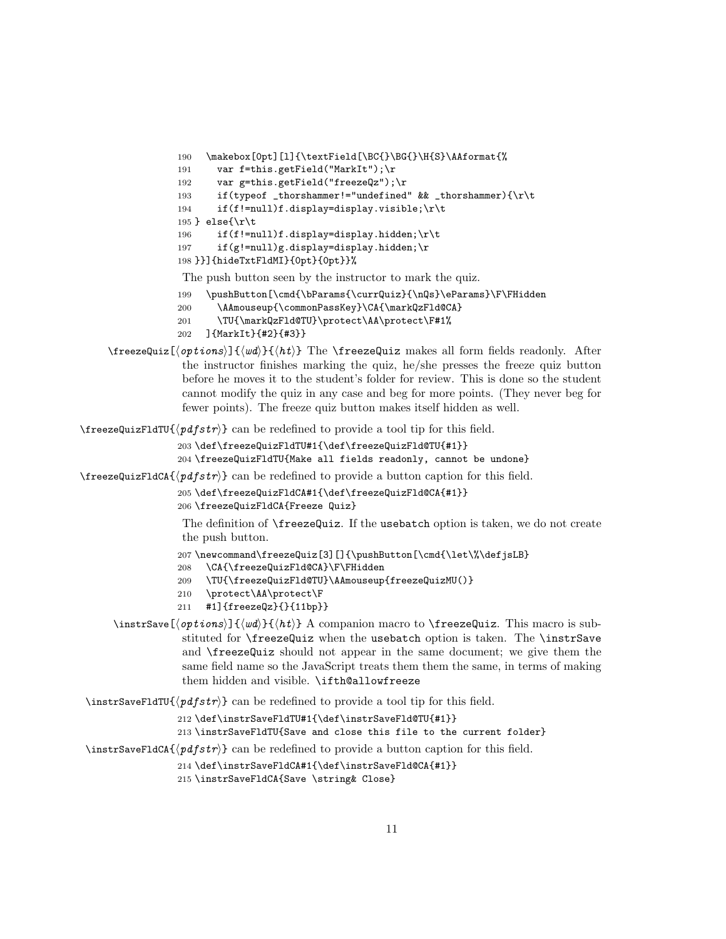```
190 \makebox[0pt][l]{\textField[\BC{}\BG{}\H{S}\AAformat{%
191 var f=this.getField("MarkIt");\r
192 var g=this.getField("freezeQz");\r
193 if(typeof _thorshammer!="undefined" && _thorshammer){\r\t
194 if(f!=null)f.display=display.visible;\r\t
195 } else{\r\t
196 if(f!=null)f.display=display.hidden;\r\t
197 if(g!=null)g.display=display.hidden;\r
198 }}]{hideTxtFldMI}{0pt}{0pt}}%
```
The push button seen by the instructor to mark the quiz.

```
199 \pushButton[\cmd{\bParams{\currQuiz}{\nQs}\eParams}\F\FHidden
```
- 200 \AAmouseup{\commonPassKey}\CA{\markQzFld@CA}
- 201 \TU{\markQzFld@TU}\protect\AA\protect\F#1%

```
202 ]{MarkIt}{#2}{#3}}
```
 $\frac{equiz}{\oplus div}$   $\{w\}\$  The  $\frac{equiz}{\dim}$  makes all form fields readonly. After the instructor finishes marking the quiz, he/she presses the freeze quiz button before he moves it to the student's folder for review. This is done so the student cannot modify the quiz in any case and beg for more points. (They never beg for fewer points). The freeze quiz button makes itself hidden as well.

 $\langle \text{freezeduizFldTU} \rangle$  can be redefined to provide a tool tip for this field.

203 \def\freezeQuizFldTU#1{\def\freezeQuizFld@TU{#1}}

204 \freezeQuizFldTU{Make all fields readonly, cannot be undone}

 $\langle \text{freez} \in \text{H} \text{ of } \{ \text{pdf} \text{ s} \cdot \text{r} \}$  can be redefined to provide a button caption for this field.

```
205 \def\freezeQuizFldCA#1{\def\freezeQuizFld@CA{#1}}
206 \freezeQuizFldCA{Freeze Quiz}
```
The definition of \freezeQuiz. If the usebatch option is taken, we do not create the push button.

```
207\newcommand\freezeQuiz[3][]{\pushButton[\cmd{\let\%\defjsLB}
```
- 208 \CA{\freezeQuizFld@CA}\F\FHidden
- 209 \TU{\freezeQuizFld@TU}\AAmouseup{freezeQuizMU()}
- 210 \protect\AA\protect\F
- 211 #1]{freezeQz}{}{11bp}}
- \instrSave[ $\{options\}$ ]{ $\{wd\}$ {ht}} A companion macro to \freezeQuiz. This macro is substituted for \freezeQuiz when the usebatch option is taken. The \instrSave and \freezeQuiz should not appear in the same document; we give them the same field name so the JavaScript treats them them the same, in terms of making them hidden and visible. \ifth@allowfreeze

 $\in$  \instrSaveFldTU{ $\langle pdfstr \rangle$ } can be redefined to provide a tool tip for this field.

```
212 \def\instrSaveFldTU#1{\def\instrSaveFld@TU{#1}}
```
213 \instrSaveFldTU{Save and close this file to the current folder}

\instrSaveFldCA{ $\langle pdfstr \rangle$ } can be redefined to provide a button caption for this field.

214 \def\instrSaveFldCA#1{\def\instrSaveFld@CA{#1}}

215 \instrSaveFldCA{Save \string& Close}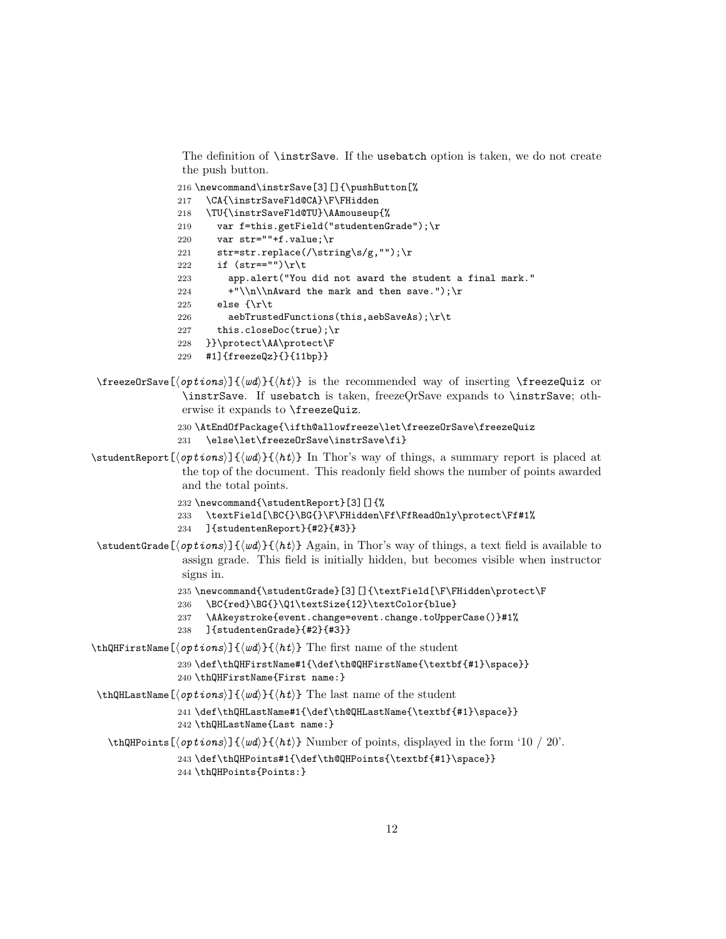The definition of \instrSave. If the usebatch option is taken, we do not create the push button.

```
216 \newcommand\instrSave[3][]{\pushButton[%]
217 \CA{\instrSaveFld@CA}\F\FHidden
218 \TU{\instrSaveFld@TU}\AAmouseup{%
219 var f=this.getField("studentenGrade");\r
220 var str=""+f.value;\r
221 str=str.replace(/\string\s/g,"");\r
222 if (str=="")\r\trth223 app.alert("You did not award the student a final mark."
224 +''\ln\hat{x} the mark and then save."); \r
225 else \{\rightharpoonup\rrbracket\}226 aebTrustedFunctions(this,aebSaveAs);\r\t
227 this.closeDoc(true);\r
228 }}\protect\AA\protect\F
229 #1]{freezeQz}{}{11bp}}
```
\freezeOrSave[ $\langle options \rangle$ ]{ $\langle wd \rangle$ }{ $\langle ht \rangle$ } is the recommended way of inserting \freezeQuiz or \instrSave. If usebatch is taken, freezeOrSave¸ expands to \instrSave; otherwise it expands to \freezeQuiz.

```
230 \AtEndOfPackage{\ifth@allowfreeze\let\freezeOrSave\freezeQuiz
231 \else\let\freezeOrSave\instrSave\fi}
```
 $\setminus$ studentReport $[\langle options \rangle]\{\langle wd\rangle\}$  In Thor's way of things, a summary report is placed at the top of the document. This readonly field shows the number of points awarded and the total points.

```
232 \newcommand{\studentReport}[3][]{%
233 \textField[\BC{}\BG{}\F\FHidden\Ff\FfReadOnly\protect\Ff#1%
234 ]{studentenReport}{#2}{#3}}
```
 $\tilde{\sigma}$  \studentGrade[ $\langle options \rangle$ ]{ $\langle w d \rangle$ }{ $\langle ht \rangle$ } Again, in Thor's way of things, a text field is available to assign grade. This field is initially hidden, but becomes visible when instructor signs in.

```
235 \newcommand{\studentGrade}[3][]{\textField[\F\FHidden\protect\F
```
236 \BC{red}\BG{}\Q1\textSize{12}\textColor{blue}

```
237 \AAkeystroke{event.change=event.change.toUpperCase()}#1%
```
238 ]{studentenGrade}{#2}{#3}}

 $\theta$  \thQHFirstName  $\{ \langle options \rangle \}$   $\{ \langle nt \rangle \}$  The first name of the student

239 \def\thQHFirstName#1{\def\th@QHFirstName{\textbf{#1}\space}} 240 \thQHFirstName{First name:}

\thQHLastName[ $\langle$ options}]{ $\langle w d \rangle$ } { $\langle h t \rangle$ } The last name of the student

```
241 \def\thQHLastName#1{\def\th@QHLastName{\textbf{#1}\space}}
242 \thQHLastName{Last name:}
```

```
\theta[\lambda(\alpha)] {\langle \omega \rangle} Number of points, displayed in the form '10 / 20'.
```
243 \def\thQHPoints#1{\def\th@QHPoints{\textbf{#1}\space}}

244 \thQHPoints{Points:}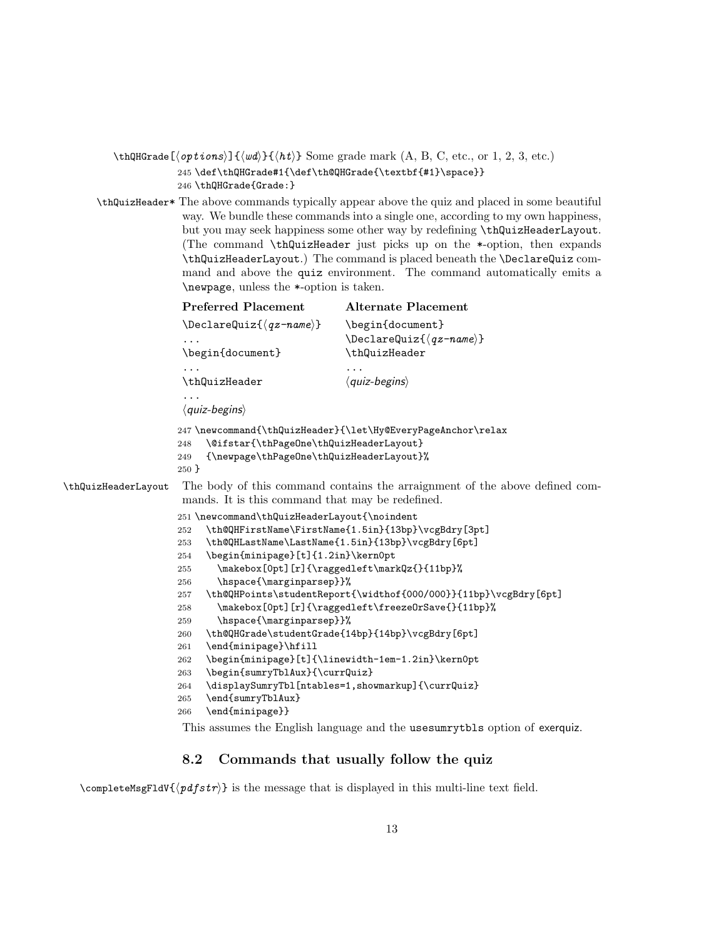```
\theta[\sqrt{h\theta}](\phi) is \theta if \phi is \theta if \theta is \theta is \theta is equal to the grade mark (A, B, C, etc., or 1, 2, 3, etc.)245 \def\thQHGrade#1{\def\th@QHGrade{\textbf{#1}\space}}
```
246 \thQHGrade{Grade:}

```
\thQuizHeader* The above commands typically appear above the quiz and placed in some beautiful
               way. We bundle these commands into a single one, according to my own happiness,
               but you may seek happiness some other way by redefining \thQuizHeaderLayout.
               (The command \thQuizHeader just picks up on the *-option, then expands
               \thQuizHeaderLayout.) The command is placed beneath the \DeclareQuiz com-
               mand and above the quiz environment. The command automatically emits a
               \newpage, unless the *-option is taken.
```

```
Preferred Placement
                     \DeltaeclareQuiz{\langle qz-name}}
                     ...
                     \begin{document}
                     ...
                     \thQuizHeader
                      ...
                     \langlequiz-begins)
                                                   Alternate Placement
                                                   \begin{document}
                                                   \DeltaeclareQuiz{\langle qz-name}}
                                                   \thQuizHeader
                                                   ...
                                                   \langlequiz-begins\rangle247 \newcommand{\thQuizHeader}{\let\Hy@EveryPageAnchor\relax
                    248 \@ifstar{\thPageOne\thQuizHeaderLayout}
                    249 {\newpage\thPageOne\thQuizHeaderLayout}%
                    250 }
\thQuizHeaderLayout The body of this command contains the arraignment of the above defined com-
                     mands. It is this command that may be redefined.
                    251 \newcommand\thQuizHeaderLayout{\noindent
                    252 \th@QHFirstName\FirstName{1.5in}{13bp}\vcgBdry[3pt]
                    253 \th@QHLastName\LastName{1.5in}{13bp}\vcgBdry[6pt]
                    254 \begin{minipage}[t]{1.2in}\kern0pt
                    255 \makebox[0pt][r]{\raggedleft\markQz{}{11bp}%
                    256 \hspace{\marginparsep}}%
                    257 \th@QHPoints\studentReport{\widthof{000/000}}{11bp}\vcgBdry[6pt]
                    258 \makebox[0pt][r]{\raggedleft\freezeOrSave{}{11bp}%
                    259 \hspace{\marginparsep}}%
                    260 \th@QHGrade\studentGrade{14bp}{14bp}\vcgBdry[6pt]
                    261 \end{minipage}\hfill
                    262 \begin{minipage}[t]{\linewidth-1em-1.2in}\kern0pt
                    263 \begin{sumryTblAux}{\currQuiz}
                    264 \displaySumryTbl[ntables=1,showmarkup]{\currQuiz}
                    265 \end{sumryTblAux}
                    266 \end{minipage}}
```
This assumes the English language and the usesumrytbls option of exerquiz.

### <span id="page-12-0"></span>8.2 Commands that usually follow the quiz

\completeMsgFldV{ $\phi f s t r$ } is the message that is displayed in this multi-line text field.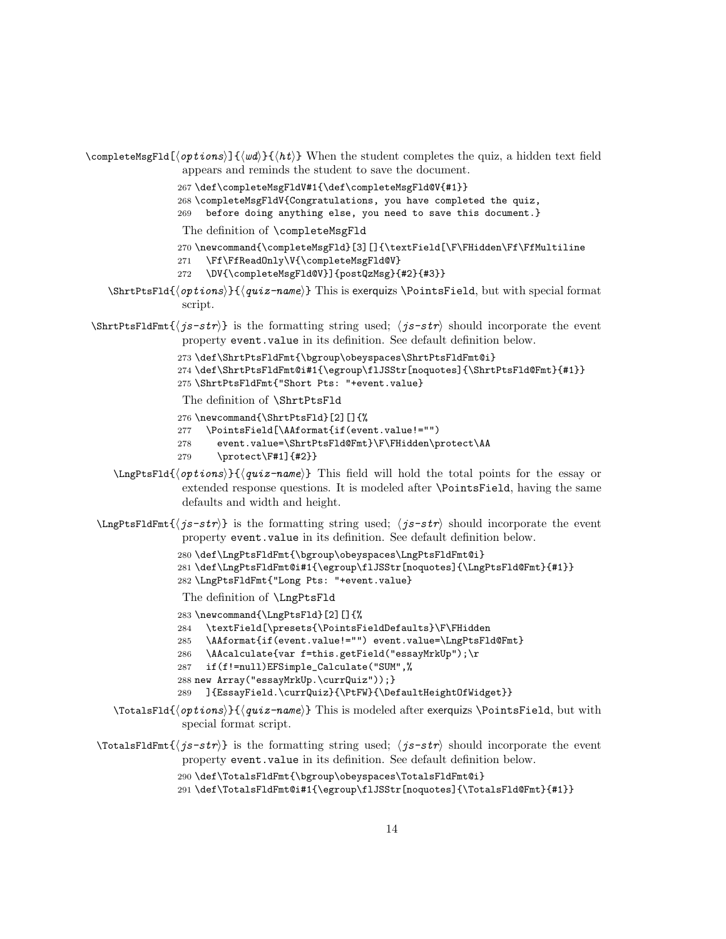\completeMsgFld[\leftldhopsil}  $\{\langle \omega \rangle\}$  When the student completes the quiz, a hidden text field appears and reminds the student to save the document.

267 \def\completeMsgFldV#1{\def\completeMsgFld@V{#1}}

268 \completeMsgFldV{Congratulations, you have completed the quiz,

269 before doing anything else, you need to save this document.}

The definition of \completeMsgFld

270 \newcommand{\completeMsgFld}[3][]{\textField[\F\FHidden\Ff\FfMultiline

271 \Ff\FfReadOnly\V{\completeMsgFld@V}

272 \DV{\completeMsgFld@V}]{postQzMsg}{#2}{#3}}

 $\S$ hrtPtsFld{ $\{options\}$ { $\{quiz-name$ } This is exerquizs \PointsField, but with special format script.

 $\text{ShortPtsF1dFmt}\{\text{js-str}\}\$ is the formatting string used;  $\text{js-str}\$  should incorporate the event property event.value in its definition. See default definition below.

```
273 \def\ShrtPtsFldFmt{\bgroup\obeyspaces\ShrtPtsFldFmt@i}
274 \def\ShrtPtsFldFmt@i#1{\egroup\flJSStr[noquotes]{\ShrtPtsFld@Fmt}{#1}}
275 \ShrtPtsFldFmt{"Short Pts: "+event.value}
```
The definition of \ShrtPtsFld

276 \newcommand{\ShrtPtsFld}[2][]{%

277 \PointsField[\AAformat{if(event.value!="")

```
278 event.value=\ShrtPtsFld@Fmt}\F\FHidden\protect\AA
```
- 279 \protect\F#1]{#2}}
- $\Lap{\text{LugPtsF1d}}{\sqrt{quiz-name}}$  This field will hold the total points for the essay or extended response questions. It is modeled after \PointsField, having the same defaults and width and height.
- $\L_{ngPtsF1dFmt}$  is the formatting string used;  $\langle js-str \rangle$  should incorporate the event property event.value in its definition. See default definition below.

280 \def\LngPtsFldFmt{\bgroup\obeyspaces\LngPtsFldFmt@i} 281 \def\LngPtsFldFmt@i#1{\egroup\flJSStr[noquotes]{\LngPtsFld@Fmt}{#1}} 282 \LngPtsFldFmt{"Long Pts: "+event.value}

The definition of \LngPtsFld

283 \newcommand{\LngPtsFld}[2][]{%

- 284 \textField[\presets{\PointsFieldDefaults}\F\FHidden
- 285 \AAformat{if(event.value!="") event.value=\LngPtsFld@Fmt}
- 286 \AAcalculate{var f=this.getField("essayMrkUp");\r
- 287 if(f!=null)EFSimple\_Calculate("SUM",%
- 288 new Array("essayMrkUp.\currQuiz"));}
- 289 ]{EssayField.\currQuiz}{\PtFW}{\DefaultHeightOfWidget}}
- $\Theta$  \TotalsFld{ $\{options\}$ { $\{quiz-name\}$ } This is modeled after exerquizs \PointsField, but with special format script.
- $\text{TotalsF1dFnt}\{js-str\}$  is the formatting string used;  $\{js-str\}$  should incorporate the event property event.value in its definition. See default definition below.

290 \def\TotalsFldFmt{\bgroup\obeyspaces\TotalsFldFmt@i}

291 \def\TotalsFldFmt@i#1{\egroup\flJSStr[noquotes]{\TotalsFld@Fmt}{#1}}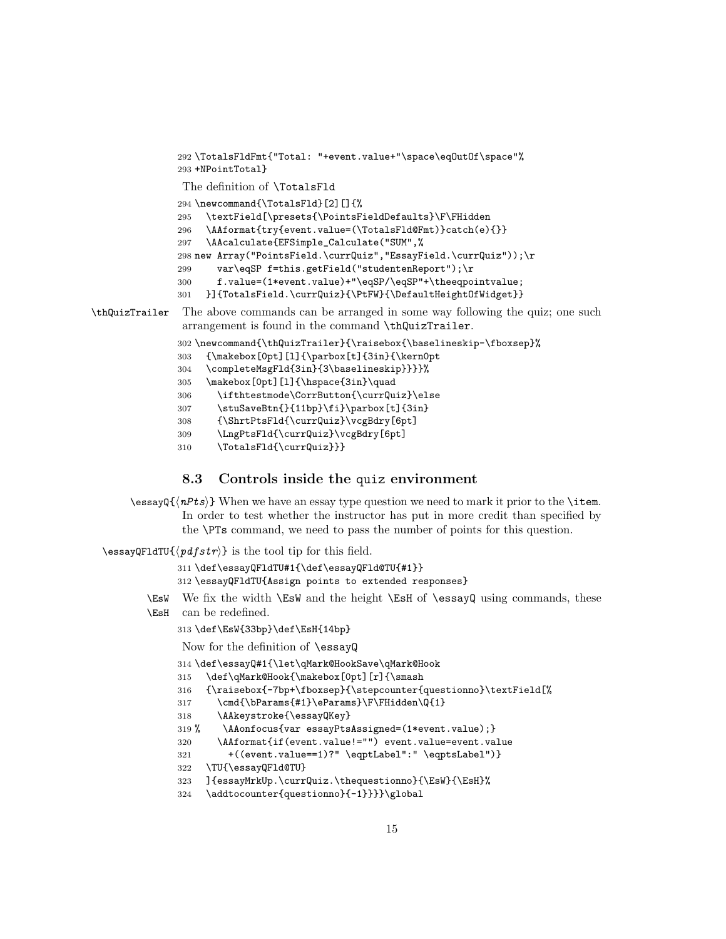```
292 \TotalsFldFmt{"Total: "+event.value+"\space\eqOutOf\space"%
               293 +NPointTotal}
                The definition of \TotalsFld
               294 \newcommand{\TotalsFld}[2][]{%
               295 \textField[\presets{\PointsFieldDefaults}\F\FHidden
               296 \AAformat{try{event.value=(\TotalsFld@Fmt)}catch(e){}}
               297 \AAcalculate{EFSimple_Calculate("SUM",%
               298 new Array("PointsField.\currQuiz","EssayField.\currQuiz"));\r
               299 var\eqSP f=this.getField("studentenReport");\r
               300 f.value=(1*event.value)+"\eqSP/\eqSP"+\theeqpointvalue;
               301 }]{TotalsField.\currQuiz}{\PtFW}{\DefaultHeightOfWidget}}
\thQuizTrailer The above commands can be arranged in some way following the quiz; one such
                arrangement is found in the command \thQuizTrailer.
               302 \newcommand{\thQuizTrailer}{\raisebox{\baselineskip-\fboxsep}%
               303 {\makebox[0pt][l]{\parbox[t]{3in}{\kern0pt
               304 \completeMsgFld{3in}{3\baselineskip}}}}%
               305 \makebox[0pt][l]{\hspace{3in}\quad
               306 \ifthtestmode\CorrButton{\currQuiz}\else
```

```
307 \stuSaveBtn{}{11bp}\fi}\parbox[t]{3in}
```

```
308 {\ShrtPtsFld{\currQuiz}\vcgBdry[6pt]
```

```
309 \LngPtsFld{\currQuiz}\vcgBdry[6pt]
```

```
310 \TotalsFld{\currQuiz}}}
```
### <span id="page-14-0"></span>8.3 Controls inside the quiz environment

```
\lesssim \essayQ{\{nPts\}} When we have an essay type question we need to mark it prior to the \item.
          In order to test whether the instructor has put in more credit than specified by
          the \PTs command, we need to pass the number of points for this question.
```
 $\text{lessayQFIdTU}\{\text{gaffstr}\}$  is the tool tip for this field.

```
311 \def\essayQFldTU#1{\def\essayQFld@TU{#1}}
```

```
312 \essayQFldTU{Assign points to extended responses}
```
- \EsW We fix the width \EsW and the height \EsH of \essayQ using commands, these
- \EsH can be redefined.
	- \def\EsW{33bp}\def\EsH{14bp}

Now for the definition of \essayQ

```
314 \def\essayQ#1{\let\qMark@HookSave\qMark@Hook
```

```
315 \def\qMark@Hook{\makebox[0pt][r]{\smash
```

```
316 {\raisebox{-7bp+\fboxsep}{\stepcounter{questionno}\textField[%
```

```
317 \cmd{\bParams{#1}\eParams}\F\FHidden\Q{1}
```
\AAkeystroke{\essayQKey}

```
319 % \AAonfocus{var essayPtsAssigned=(1*event.value);}
```

```
320 \AAformat{if(event.value!="") event.value=event.value
```

```
321 +((event.value==1)?" \eqptLabel":" \eqptsLabel")}
```

```
322 \TU{\essayQFld@TU}
```

```
323 ]{essayMrkUp.\currQuiz.\thequestionno}{\EsW}{\EsH}%
```

```
324 \addtocounter{questionno}{-1}}}}\global
```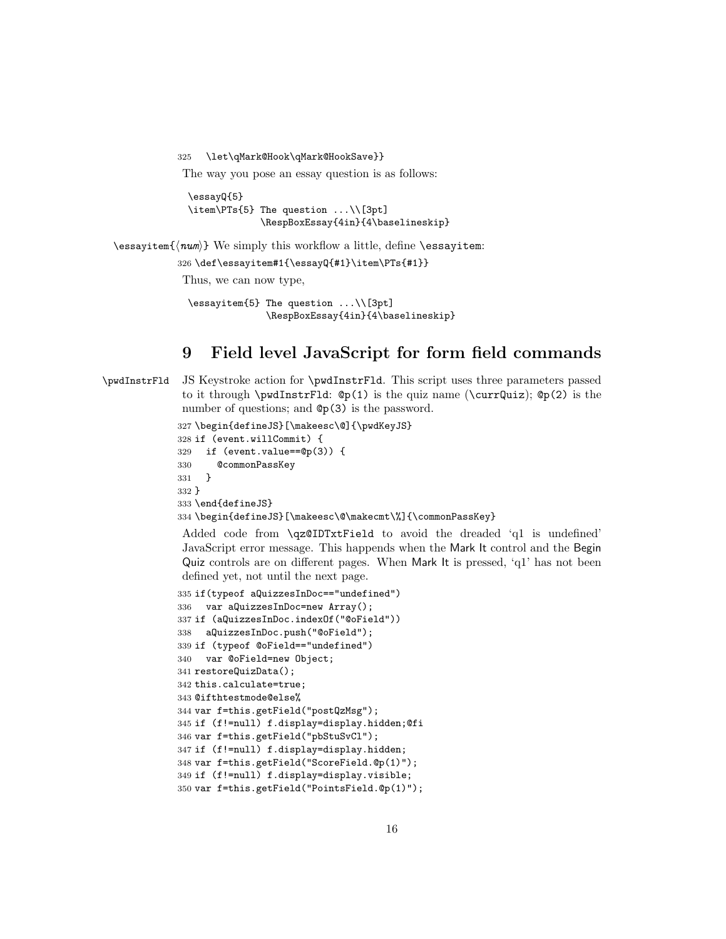\let\qMark@Hook\qMark@HookSave}}

The way you pose an essay question is as follows:

\essayQ{5} \item\PTs{5} The question ...\\[3pt] \RespBoxEssay{4in}{4\baselineskip}

\essayitem $\{\langle num \rangle\}$  We simply this workflow a little, define \essayitem:

\def\essayitem#1{\essayQ{#1}\item\PTs{#1}}

Thus, we can now type,

\essayitem{5} The question ...\\[3pt] \RespBoxEssay{4in}{4\baselineskip}

# <span id="page-15-0"></span>9 Field level JavaScript for form field commands

```
\pwdInstrFld JS Keystroke action for \pwdInstrFld. This script uses three parameters passed
               to it through \pwdInstrFld: @p(1) is the quiz name (\currQuiz); @p(2) is the
               number of questions; and \mathbb{Q}_p(3) is the password.
```

```
327 \begin{defineJS}[\makeesc\@]{\pwdKeyJS}
328 if (event.willCommit) {
329 if (event.value==@p(3)) {
330 @commonPassKey
331 }
332 }
333 \end{defineJS}
334 \begin{defineJS}[\makeesc\@\makecmt\%]{\commonPassKey}
```
Added code from \qz@IDTxtField to avoid the dreaded 'q1 is undefined' JavaScript error message. This happends when the Mark It control and the Begin Quiz controls are on different pages. When Mark It is pressed, 'q1' has not been defined yet, not until the next page.

```
335 if(typeof aQuizzesInDoc=="undefined")
336 var aQuizzesInDoc=new Array();
337 if (aQuizzesInDoc.indexOf("@oField"))
338 aQuizzesInDoc.push("@oField");
339 if (typeof @oField=="undefined")
340 var @oField=new Object;
341 restoreQuizData();
342 this.calculate=true;
343 @ifthtestmode@else%
344 var f=this.getField("postQzMsg");
345 if (f!=null) f.display=display.hidden;@fi
346 var f=this.getField("pbStuSvCl");
347 if (f!=null) f.display=display.hidden;
348 var f=this.getField("ScoreField.@p(1)");
349 if (f!=null) f.display=display.visible;
350 var f=this.getField("PointsField.@p(1)");
```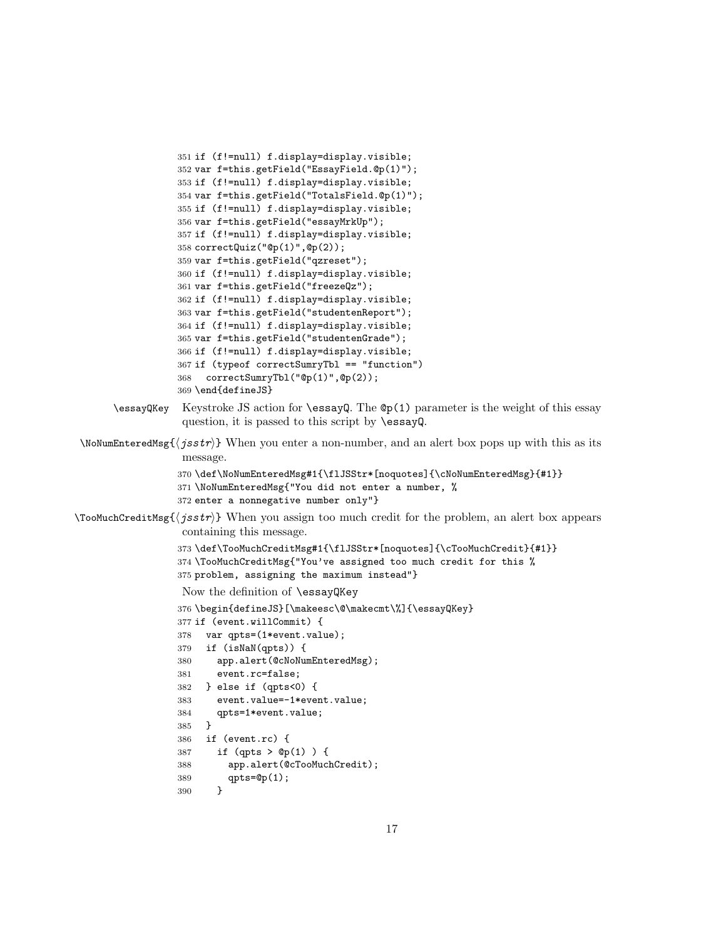```
351 if (f!=null) f.display=display.visible;
352 var f=this.getField("EssayField.@p(1)");
353 if (f!=null) f.display=display.visible;
354 var f=this.getField("TotalsField.@p(1)");
355 if (f!=null) f.display=display.visible;
356 var f=this.getField("essayMrkUp");
357 if (f!=null) f.display=display.visible;
358 correctQuiz("@p(1)",@p(2));
359 var f=this.getField("qzreset");
360 if (f!=null) f.display=display.visible;
361 var f=this.getField("freezeQz");
362 if (f!=null) f.display=display.visible;
363 var f=this.getField("studentenReport");
364 if (f!=null) f.display=display.visible;
365 var f=this.getField("studentenGrade");
366 if (f!=null) f.display=display.visible;
367 if (typeof correctSumryTbl == "function")
368 correctSumryTbl("@p(1)",@p(2));
369 \end{defineJS}
```
- \essayQKey Keystroke JS action for \essayQ. The @p(1) parameter is the weight of this essay question, it is passed to this script by \essayQ.
- $\N$ NoNumEnteredMsg{ $\{jsstr\}$  When you enter a non-number, and an alert box pops up with this as its message.

```
370 \def\NoNumEnteredMsg#1{\flJSStr*[noquotes]{\cNoNumEnteredMsg}{#1}}
371 \NoNumEnteredMsg{"You did not enter a number, %
372 enter a nonnegative number only"}
```
 $\text{ToOMuchCreditMsg}\{\text{ssstr}\}\$  When you assign too much credit for the problem, an alert box appears containing this message.

```
373 \def\TooMuchCreditMsg#1{\flJSStr*[noquotes]{\cTooMuchCredit}{#1}}
374 \TooMuchCreditMsg{"You've assigned too much credit for this %
375 problem, assigning the maximum instead"}
Now the definition of \essayQKey
```

```
376 \begin{defineJS}[\makeesc\@\makecmt\%]{\essayQKey}
377 if (event.willCommit) {
378 var qpts=(1*event.value);
379 if (isNaN(qpts)) {
380 app.alert(@cNoNumEnteredMsg);
381 event.rc=false;
382 } else if (qpts<0) {
383 event.value=-1*event.value;
384 qpts=1*event.value;
385 }
386 if (event.rc) {
387 if (qpts > @p(1) ) {
```

```
388 app.alert(@cTooMuchCredit);
389 qpts=@p(1);
390 }
```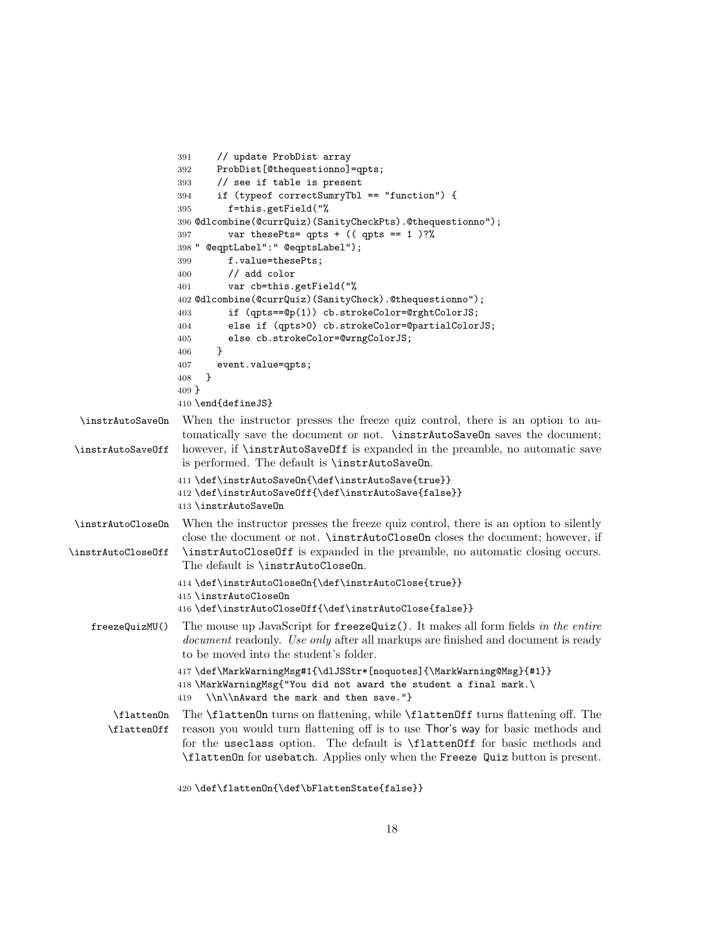```
391 // update ProbDist array
                   392 ProbDist[@thequestionno]=qpts;
                   393 // see if table is present
                   394 if (typeof correctSumryTbl == "function") {
                   395 f=this.getField("%
                   396 @dlcombine(@currQuiz)(SanityCheckPts).@thequestionno");
                   397 var thesePts= qpts + (( qpts == 1 )?%
                   398 " @eqptLabel":" @eqptsLabel");
                   399 f.value=thesePts;
                   400 // add color
                   401 var cb=this.getField("%
                   402 @dlcombine(@currQuiz)(SanityCheck).@thequestionno");
                   403 if (qpts==@p(1)) cb.strokeColor=@rghtColorJS;
                   404 else if (qpts>0) cb.strokeColor=@partialColorJS;
                   405 else cb.strokeColor=@wrngColorJS;
                   406 }
                   407 event.value=qpts;
                   408 }
                   409 }
                   410 \end{defineJS}
  \instrAutoSaveOn When the instructor presses the freeze quiz control, there is an option to au-
                    tomatically save the document or not. \instrAutoSaveOn saves the document;
 \instrAutoSaveOff however, if \instrAutoSaveOff is expanded in the preamble, no automatic save
                    is performed. The default is \instrAutoSaveOn.
                   411 \def\instrAutoSaveOn{\def\instrAutoSave{true}}
                   412 \def\in\mathsf{AutoS} ave<br/>Off{\def\instrAutoSave{false}}
                   413 \instrAutoSaveOn
\instrAutoCloseOn When the instructor presses the freeze quiz control, there is an option to silently
                    close the document or not. \instrAutoCloseOn closes the document; however, if
\instrAutoCloseOff \instrAutoCloseOff is expanded in the preamble, no automatic closing occurs.
                    The default is \instrAutoCloseOn.
                   414 \def\instrAutoCloseOn{\def\instrAutoClose{true}}
                   415 \instrAutoCloseOn
                   416 \def\instrAutoCloseOff{\def\instrAutoClose{false}}
   freezeQuizMU() The mouse up JavaScript for freezeQuiz(). It makes all form fields in the entire
                    document readonly. Use only after all markups are finished and document is ready
                    to be moved into the student's folder.
                   417 \def\MarkWarningMsg#1{\dlJSStr*[noquotes]{\MarkWarning@Msg}{#1}}
                   418 \MarkWarningMsg{"You did not award the student a final mark.\
                   419 \ \h\n\h\n\h\nAward the mark and then save."\flattenOn The \flattenOn turns on flattening, while \flattenOff turns flattening off. The
      \flattenOff reason you would turn flattening off is to use Thor's way for basic methods and
                    for the useclass option. The default is \flattenOff for basic methods and
                    \flattenOn for usebatch. Applies only when the Freeze Quiz button is present.
```
\def\flattenOn{\def\bFlattenState{false}}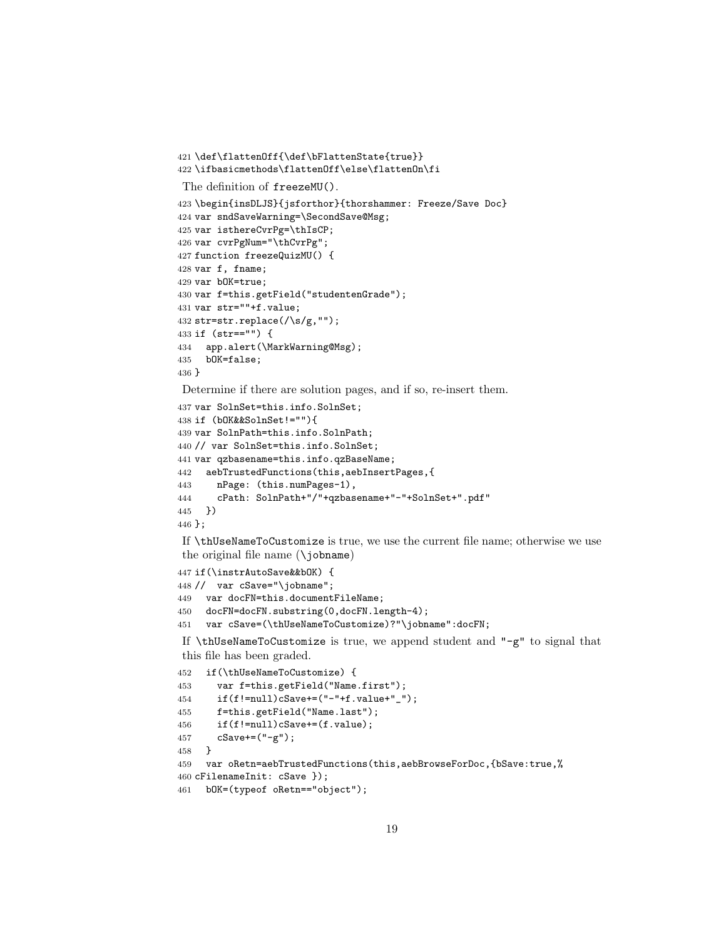```
421 \def\flattenOff{\def\bFlattenState{true}}
422 \ifbasicmethods\flattenOff\else\flattenOn\fi
The definition of freezeMU().
423 \begin{insDLJS}{jsforthor}{thorshammer: Freeze/Save Doc}
424 var sndSaveWarning=\SecondSave@Msg;
425 var isthereCvrPg=\thIsCP;
426 var cvrPgNum="\thCvrPg";
427 function freezeQuizMU() {
428 var f, fname;
429 var bOK=true;
430 var f=this.getField("studentenGrade");
431 var str=""+f.value;
432 str=str.replace(/\s/g,"");
433 if (str=="") {
434 app.alert(\MarkWarning@Msg);
435 bOK=false;
436 }
Determine if there are solution pages, and if so, re-insert them.
437 var SolnSet=this.info.SolnSet;
438 if (bOK&&SolnSet!=""){
439 var SolnPath=this.info.SolnPath;
440 // var SolnSet=this.info.SolnSet;
441 var qzbasename=this.info.qzBaseName;
442 aebTrustedFunctions(this,aebInsertPages,{
443 nPage: (this.numPages-1),
444 cPath: SolnPath+"/"+qzbasename+"-"+SolnSet+".pdf"
445 })
446 };
If \thUseNameToCustomize is true, we use the current file name; otherwise we use
the original file name (\jobname)
447 if(\instrAutoSave&&bOK) {
448 // var cSave="\jobname";
449 var docFN=this.documentFileName;
450 docFN=docFN.substring(0,docFN.length-4);
451 var cSave=(\thUseNameToCustomize)?"\jobname":docFN;
If \thUseNameToCustomize is true, we append student and "-g" to signal that
this file has been graded.
452 if(\thUseNameToCustomize) {
```

```
453 var f=this.getField("Name.first");
454 if(f!=null)cSave+=("-"+f.value+"_");
455 f=this.getField("Name.last");
456 if(f!=null)cSave+=(f.value);
457 cSave+=("-g");
458 }
459 var oRetn=aebTrustedFunctions(this,aebBrowseForDoc,{bSave:true,%
460 cFilenameInit: cSave });
461 bOK=(typeof oRetn=="object");
```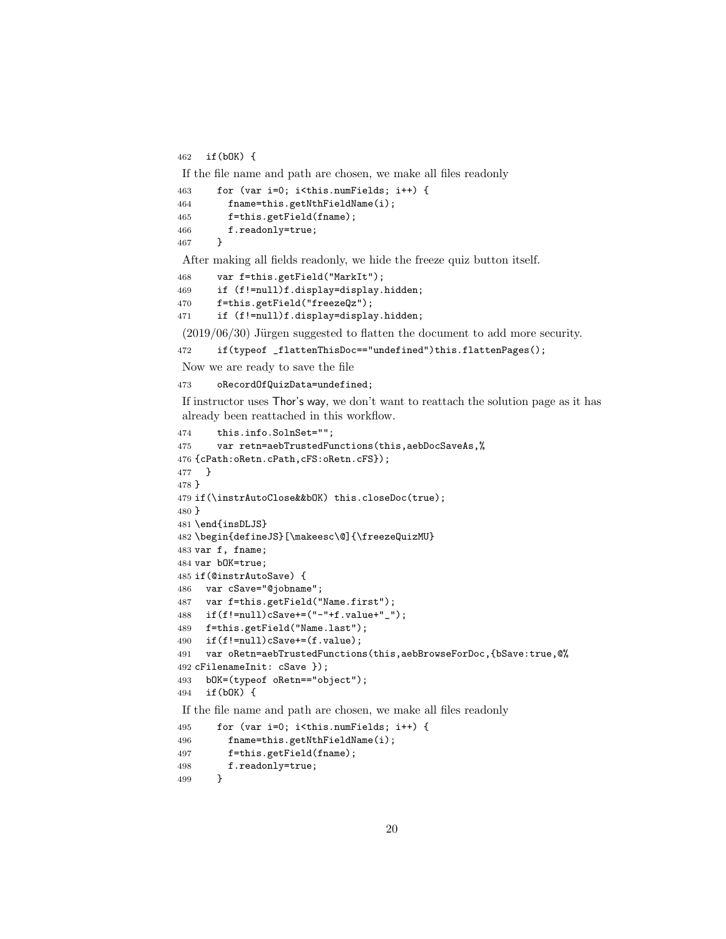```
462 if(bOK) {
```
If the file name and path are chosen, we make all files readonly

```
463 for (var i=0; i<this.numFields; i++) {
464 fname=this.getNthFieldName(i);
465 f=this.getField(fname);
466 f.readonly=true;<br>467 }
467 }
```
After making all fields readonly, we hide the freeze quiz button itself.

```
468 var f=this.getField("MarkIt");
469 if (f!=null)f.display=display.hidden;
470 f=this.getField("freezeQz");
```
if (f!=null)f.display=display.hidden;

 $(2019/06/30)$  Jürgen suggested to flatten the document to add more security.

if(typeof \_flattenThisDoc=="undefined")this.flattenPages();

```
Now we are ready to save the file
```
oRecordOfQuizData=undefined;

If instructor uses Thor's way, we don't want to reattach the solution page as it has already been reattached in this workflow.

```
474 this.info.SolnSet="";
475 var retn=aebTrustedFunctions(this,aebDocSaveAs,%
476 {cPath:oRetn.cPath,cFS:oRetn.cFS});
477 }
478 }
479 if(\instrAutoClose&&bOK) this.closeDoc(true);
480 }
481 \end{insDLJS}
482 \begin{defineJS}[\makeesc\@]{\freezeQuizMU}
483 var f, fname;
484 var bOK=true;
485 if(@instrAutoSave) {
486 var cSave="@jobname";
487 var f=this.getField("Name.first");
488 if(f!=null)cSave+=("-"+f.value+"_");
489 f=this.getField("Name.last");
490 if(f!=null)cSave+=(f.value);
491 var oRetn=aebTrustedFunctions(this,aebBrowseForDoc,{bSave:true,@%
492 cFilenameInit: cSave });
493 bOK=(typeof oRetn=="object");
494 if(bOK) {
If the file name and path are chosen, we make all files readonly
```

```
495 for (var i=0; i<this.numFields; i++) {
496 fname=this.getNthFieldName(i);
497 f=this.getField(fname);
498 f.readonly=true;
499 }
```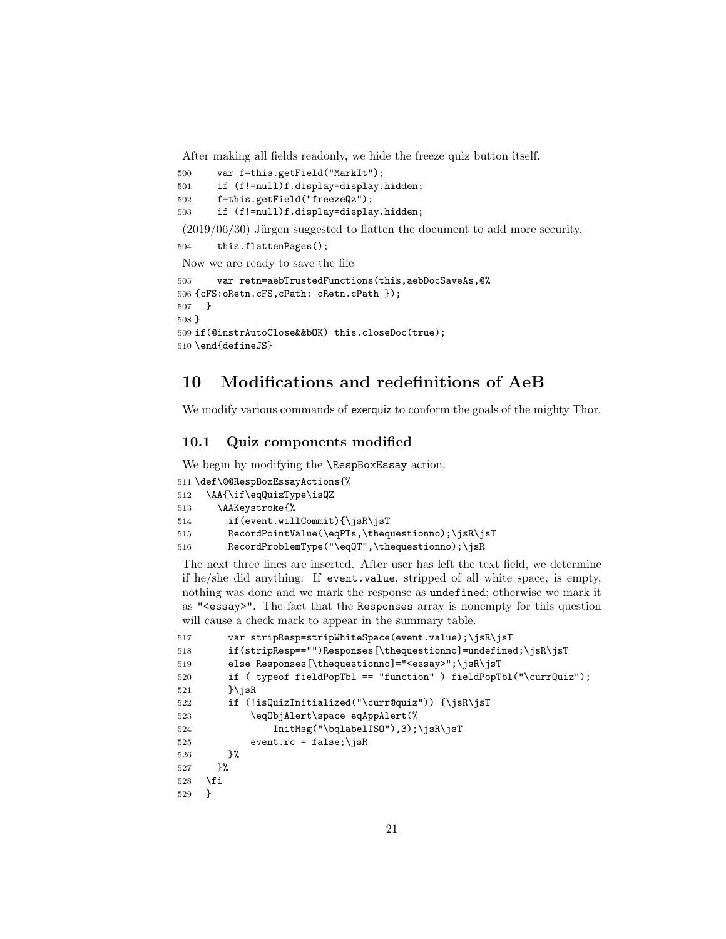After making all fields readonly, we hide the freeze quiz button itself.

```
500 var f=this.getField("MarkIt");
501 if (f!=null)f.display=display.hidden;
502 f=this.getField("freezeQz");
503 if (f!=null)f.display=display.hidden;
```
 $(2019/06/30)$  Jürgen suggested to flatten the document to add more security.

```
504 this.flattenPages();
```
Now we are ready to save the file

```
505 var retn=aebTrustedFunctions(this,aebDocSaveAs,@%
506 {cFS:oRetn.cFS,cPath: oRetn.cPath });
507 }
508 }
509 if(@instrAutoClose&&bOK) this.closeDoc(true);
510 \end{defineJS}
```
# <span id="page-20-0"></span>10 Modifications and redefinitions of AeB

We modify various commands of exerquiz to conform the goals of the mighty Thor.

#### <span id="page-20-1"></span>10.1 Quiz components modified

We begin by modifying the **\RespBoxEssay** action.

```
511 \def\@@RespBoxEssayActions{%
512 \AA{\if\eqQuizType\isQZ
513 \AAKeystroke{%
514 if(event.willCommit){\jsR\jsT
515 RecordPointValue(\eqPTs,\thequestionno);\jsR\jsT
516 RecordProblemType("\eqQT",\thequestionno);\jsR
```
The next three lines are inserted. After user has left the text field, we determine if he/she did anything. If event.value, stripped of all white space, is empty, nothing was done and we mark the response as undefined; otherwise we mark it as "<essay>". The fact that the Responses array is nonempty for this question will cause a check mark to appear in the summary table.

```
517 var stripResp=stripWhiteSpace(event.value);\jsR\jsT
518 if(stripResp=="")Responses[\thequestionno]=undefined;\jsR\jsT
519 else Responses[\thequestionno]="<essay>";\jsR\jsT
520 if ( typeof fieldPopTbl == "function" ) fieldPopTbl("\currQuiz");
521 } }\jsR
522 if (!isQuizInitialized("\curr@quiz")) {\jsR\jsT
523 \eqObjAlert\space eqAppAlert(%
524 InitMsg("\bqlabelISO"),3);\jsR\jsT
525 event.rc = false; \jsR
526 }%
527 }%
528 \fi
529 }
```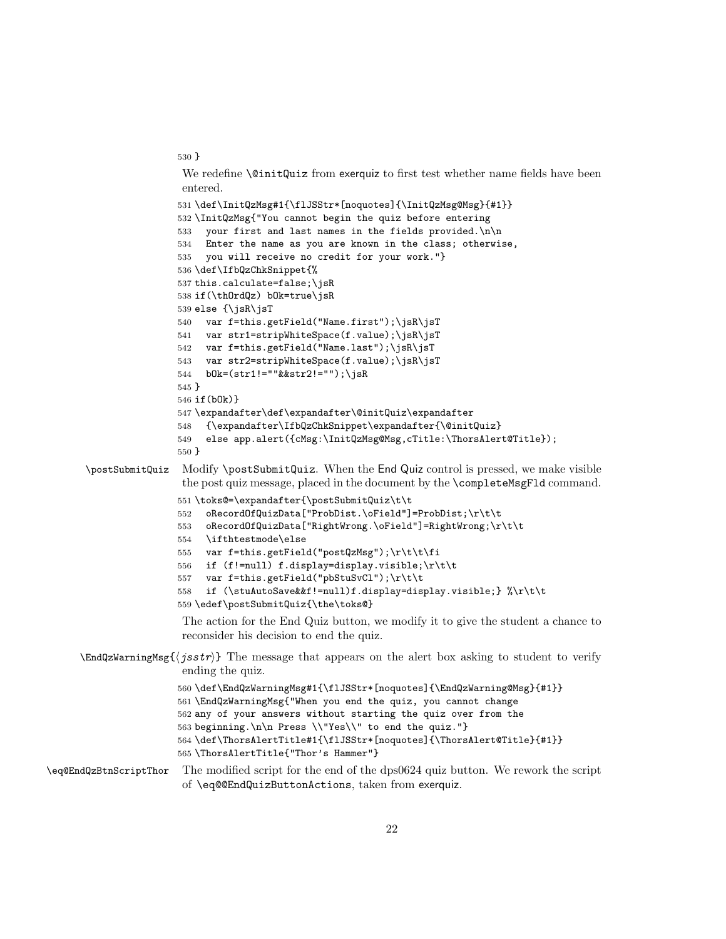}

We redefine **\@initQuiz** from exerquiz to first test whether name fields have been entered.

```
531 \def\InitQzMsg#1{\flJSStr*[noquotes]{\InitQzMsg@Msg}{#1}}
                 532 \InitQzMsg{"You cannot begin the quiz before entering
                 533 your first and last names in the fields provided.\n\n
                 534 Enter the name as you are known in the class; otherwise,
                 535 you will receive no credit for your work."}
                 536 \def\IfbQzChkSnippet{%
                 537 this.calculate=false;\jsR
                 538 if(\thOrdQz) bOk=true\jsR
                 539 else {\jsR\jsT
                 540 var f=this.getField("Name.first");\jsR\jsT
                 541 var str1=stripWhiteSpace(f.value);\jsR\jsT
                 542 var f=this.getField("Name.last");\jsR\jsT
                 543 var str2=stripWhiteSpace(f.value);\jsR\jsT
                 544 bOk=(str1!=""&&str2!="");\jsR
                 545 }
                 546 if(bOk)}
                 547 \expandafter\def\expandafter\@initQuiz\expandafter
                 548 {\expandafter\IfbQzChkSnippet\expandafter{\@initQuiz}
                 549 else app.alert({cMsg:\InitQzMsg@Msg,cTitle:\ThorsAlert@Title});
                 550 }
\postSubmitQuiz Modify \postSubmitQuiz. When the End Quiz control is pressed, we make visible
                  the post quiz message, placed in the document by the \completeMsgFld command.
                 551 \toks@=\expandafter{\postSubmitQuiz\t\t
                 552 oRecordOfQuizData["ProbDist.\oField"]=ProbDist;\r\t\t
                 553 oRecordOfQuizData["RightWrong.\oField"]=RightWrong;\r\t\t
                 554 \ifthtestmode\else
                 555 var f=this.getField("postQzMsg");\r\t\t\fi
                 556 if (f!=null) f.display=display.visible;\r\t\t
                 557 var f=this.getField("pbStuSvCl");\r\t\t
                 558 if (\stuAutoSave&&f!=null)f.display=display.visible;} %\r\t\t
                 559 \edef\postSubmitQuiz{\the\toks@}
                  The action for the End Quiz button, we modify it to give the student a chance to
                  reconsider his decision to end the quiz.
\EndQzWarningMsg{jsst}\ The message that appears on the alert box asking to student to verify
                  ending the quiz.
                 560 \def\EndQzWarningMsg#1{\flJSStr*[noquotes]{\EndQzWarning@Msg}{#1}}
                 561 \EndQzWarningMsg{"When you end the quiz, you cannot change
                 562 any of your answers without starting the quiz over from the
                 563 beginning.\n\n Press \\"Yes\\" to end the quiz."}
                 564 \def\ThorsAlertTitle#1{\flJSStr*[noquotes]{\ThorsAlert@Title}{#1}}
                 565 \ThorsAlertTitle{"Thor's Hammer"}
```

```
\eq@EndQzBtnScriptThor The modified script for the end of the dps0624 quiz button. We rework the script
                        of \eq@@EndQuizButtonActions, taken from exerquiz.
```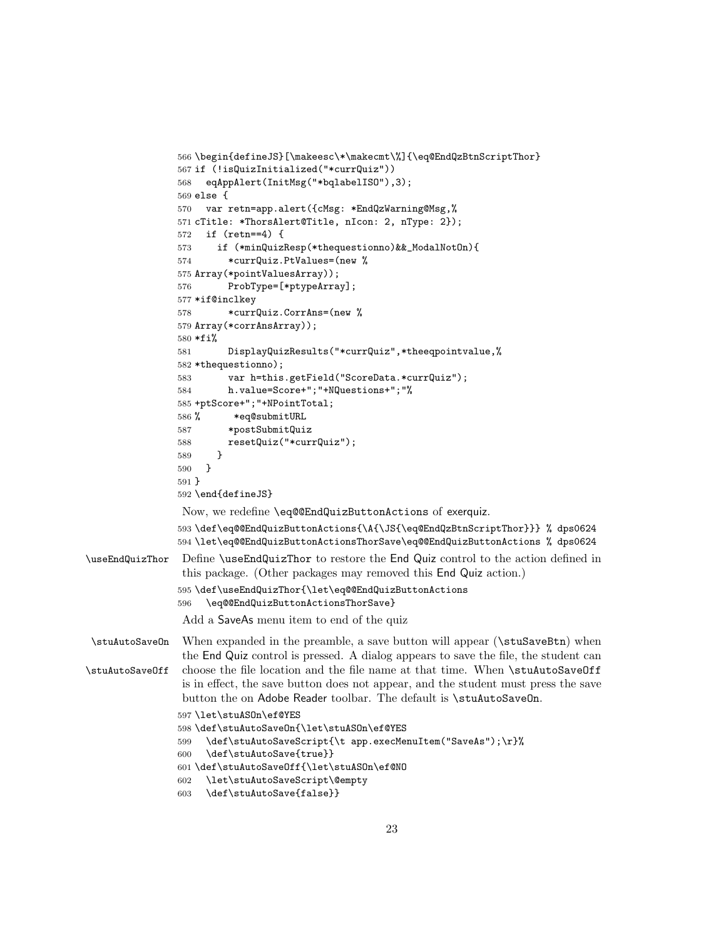```
566 \begin{defineJS}[\makeesc\*\makecmt\%]{\eq@EndQzBtnScriptThor}
                567 if (!isQuizInitialized("*currQuiz"))
                568 eqAppAlert(InitMsg("*bqlabelISO"),3);
                569 else {
                570 var retn=app.alert({cMsg: *EndQzWarning@Msg,%
                571 cTitle: *ThorsAlert@Title, nIcon: 2, nType: 2});
                572 if (retn==4) {
                573 if (*minQuizResp(*thequestionno)&&_ModalNotOn){
                574 *currQuiz.PtValues=(new %
                575 Array(*pointValuesArray));
                576 ProbType=[*ptypeArray];
                577 *if@inclkey
                578 *currQuiz.CorrAns=(new %
                579 Array(*corrAnsArray));
                580 *fi%
                581 DisplayQuizResults("*currQuiz",*theeqpointvalue,%
                582 *thequestionno);
                583 var h=this.getField("ScoreData.*currQuiz");
                584 h.value=Score+";"+NQuestions+";"%
                585 +ptScore+";"+NPointTotal;
                586 % *eq@submitURL
                587 *postSubmitQuiz
                588 resetQuiz("*currQuiz");
                589 }
                590 }
                591 }
                592 \end{defineJS}
                 Now, we redefine \eq@@EndQuizButtonActions of exerquiz.
                593 \def\eq@@EndQuizButtonActions{\A{\JS{\eq@EndQzBtnScriptThor}}} % dps0624
                594 \let\eq@@EndQuizButtonActionsThorSave\eq@@EndQuizButtonActions % dps0624
\useEndQuizThor Define \useEndQuizThor to restore the End Quiz control to the action defined in
                 this package. (Other packages may removed this End Quiz action.)
                595 \def\useEndQuizThor{\let\eq@@EndQuizButtonActions
                596 \eq@@EndQuizButtonActionsThorSave}
                 Add a SaveAs menu item to end of the quiz
\stuAutoSaveOn When expanded in the preamble, a save button will appear (\stuSaveBtn) when
                 the End Quiz control is pressed. A dialog appears to save the file, the student can
\stuAutoSaveOff choose the file location and the file name at that time. When \stuAutoSaveOff
                 is in effect, the save button does not appear, and the student must press the save
                 button the on Adobe Reader toolbar. The default is \stuAutoSaveOn.
                597 \let\stuASOn\ef@YES
                598 \def\stuAutoSaveOn{\let\stuASOn\ef@YES
                599 \def\stuAutoSaveScript{\t app.execMenuItem("SaveAs");\r}%
                600 \def\stuAutoSave{true}}
                601 \def\stuAutoSaveOff{\let\stuASOn\ef@NO
                602 \let\stuAutoSaveScript\@empty
                603 \def\stuAutoSave{false}}
```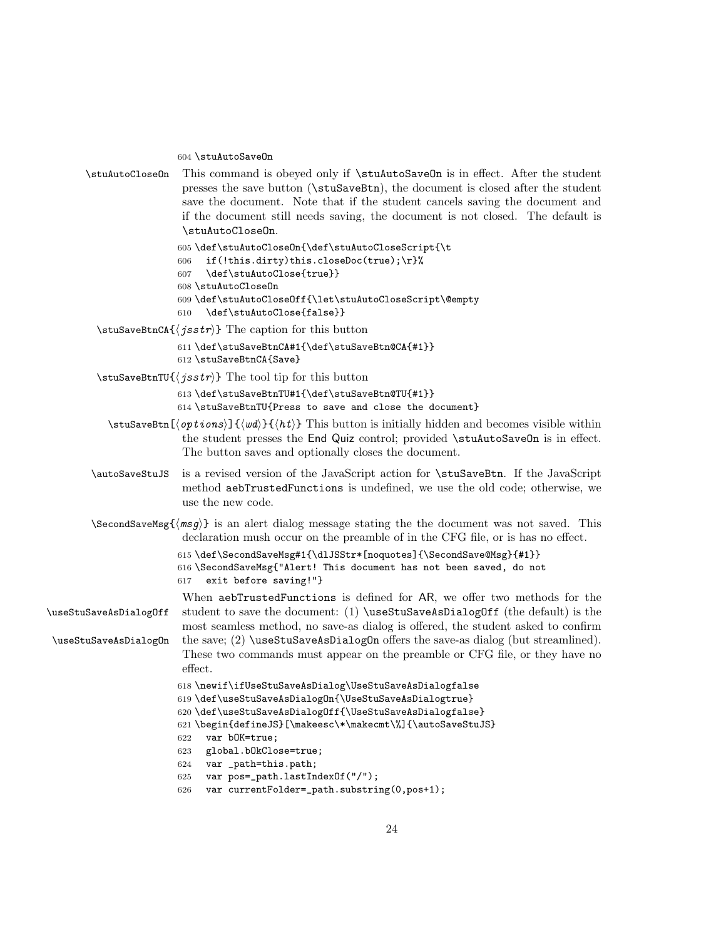```
604 \stuAutoSaveOn
```

```
\stuAutoCloseOn This command is obeyed only if \stuAutoSaveOn is in effect. After the student
                 presses the save button (\stuSaveBtn), the document is closed after the student
                 save the document. Note that if the student cancels saving the document and
                 if the document still needs saving, the document is not closed. The default is
                 \stuAutoCloseOn.
```

```
605 \def\stuAutoCloseOn{\def\stuAutoCloseScript{\t
606 if(!this.dirty)this.closeDoc(true);\r}%
607 \def\stuAutoClose{true}}
608 \stuAutoCloseOn
609 \def\stuAutoCloseOff{\let\stuAutoCloseScript\@empty
610 \def\stuAutoClose{false}}
```
\stuSaveBtnCA{ $\langle j s s t r \rangle$ } The caption for this button

```
611 \def\stuSaveBtnCA#1{\def\stuSaveBtn@CA{#1}}
612 \stuSaveBtnCA{Save}
```
\stuSaveBtnTU{ $\langle j s s t r \rangle$ } The tool tip for this button

613 \def\stuSaveBtnTU#1{\def\stuSaveBtn@TU{#1}} 614 \stuSaveBtnTU{Press to save and close the document}

- $\text{StuSaveBtn}({\text{options}})$   ${\{\text{wt}},{\text{ht}\}}$  This button is initially hidden and becomes visible within the student presses the End Quiz control; provided \stuAutoSaveOn is in effect. The button saves and optionally closes the document.
- \autoSaveStuJS is a revised version of the JavaScript action for \stuSaveBtn. If the JavaScript method aebTrustedFunctions is undefined, we use the old code; otherwise, we use the new code.
- $\S$ econdSaveMsg $\{\langle mgg\rangle\}$  is an alert dialog message stating the the document was not saved. This declaration mush occur on the preamble of in the CFG file, or is has no effect.

```
615 \def\SecondSaveMsg#1{\dlJSStr*[noquotes]{\SecondSave@Msg}{#1}}
616 \SecondSaveMsg{"Alert! This document has not been saved, do not
617 exit before saving!"}
```
When aebTrustedFunctions is defined for AR, we offer two methods for the \useStuSaveAsDialogOff student to save the document: (1) \useStuSaveAsDialogOff (the default) is the most seamless method, no save-as dialog is offered, the student asked to confirm \useStuSaveAsDialogOn the save; (2) \useStuSaveAsDialogOn offers the save-as dialog (but streamlined).

These two commands must appear on the preamble or CFG file, or they have no effect.

```
618 \newif\ifUseStuSaveAsDialog\UseStuSaveAsDialogfalse
619 \def\useStuSaveAsDialogOn{\UseStuSaveAsDialogtrue}
620 \def\useStuSaveAsDialogOff{\UseStuSaveAsDialogfalse}
```

```
621 \begin{defineJS}[\makeesc\*\makecmt\%]{\autoSaveStuJS}
```
- 622 var bOK=true;
- 623 global.bOkClose=true;
- 624 var \_path=this.path;
- 625 var pos=\_path.lastIndexOf("/");
- 626 var currentFolder=\_path.substring(0,pos+1);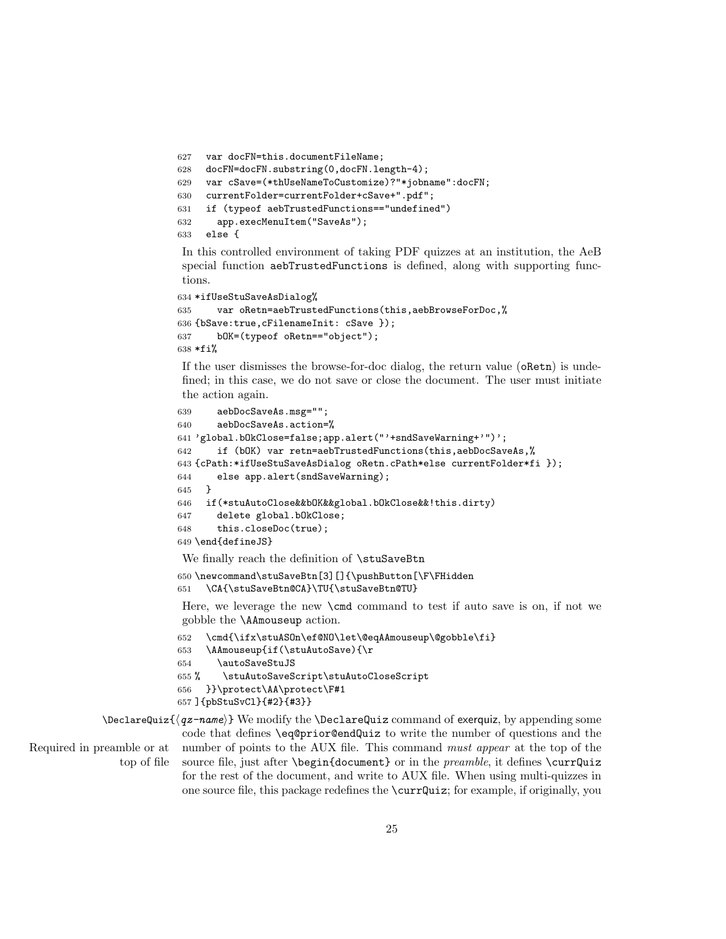```
627 var docFN=this.documentFileName;
628 docFN=docFN.substring(0,docFN.length-4);
629 var cSave=(*thUseNameToCustomize)?"*jobname":docFN;
630 currentFolder=currentFolder+cSave+".pdf";
631 if (typeof aebTrustedFunctions=="undefined")
632 app.execMenuItem("SaveAs");
633 else {
```
In this controlled environment of taking PDF quizzes at an institution, the AeB special function aebTrustedFunctions is defined, along with supporting functions.

```
634 *ifUseStuSaveAsDialog%
635 var oRetn=aebTrustedFunctions(this,aebBrowseForDoc,%
636 {bSave:true,cFilenameInit: cSave });
637 bOK=(typeof oRetn=="object");
638 *fi%
```
If the user dismisses the browse-for-doc dialog, the return value (oRetn) is undefined; in this case, we do not save or close the document. The user must initiate the action again.

```
639 aebDocSaveAs.msg="";
                          640 aebDocSaveAs.action=%
                          641 'global.bOkClose=false;app.alert("'+sndSaveWarning+'")';
                          642 if (bOK) var retn=aebTrustedFunctions(this,aebDocSaveAs,%
                          643 {cPath:*ifUseStuSaveAsDialog oRetn.cPath*else currentFolder*fi });
                          644 else app.alert(sndSaveWarning);
                          645 }
                          646 if(*stuAutoClose&&bOK&&global.bOkClose&&!this.dirty)
                          647 delete global.bOkClose;
                          648 this.closeDoc(true);
                          649 \end{defineJS}
                           We finally reach the definition of \stuSaveBtn
                          650 \newcommand\stuSaveBtn[3][]{\pushButton[\F\FHidden
                          651 \CA{\stuSaveBtn@CA}\TU{\stuSaveBtn@TU}
                           Here, we leverage the new \cmd command to test if auto save is on, if not we
                           gobble the \AAmouseup action.
                          652 \cmd{\ifx\stuASOn\ef@NO\let\@eqAAmouseup\@gobble\fi}
                          653 \AAmouseup{if(\stuAutoSave){\r
                          654 \autoSaveStuJS
                          655 % \stuAutoSaveScript\stuAutoCloseScript
                          656 }}\protect\AA\protect\F#1
                          657 ]{pbStuSvCl}{#2}{#3}}
             \Delta \DeclareQuiz{\{qz-name)} We modify the \Delta DeclareQuiz command of exerquiz, by appending some
                           code that defines \eq@prior@endQuiz to write the number of questions and the
Required in preamble or at number of points to the AUX file. This command must appear at the top of the
                top of file source file, just after \begin{document} or in the preamble, it defines \currQuiz
```
for the rest of the document, and write to AUX file. When using multi-quizzes in one source file, this package redefines the \currQuiz; for example, if originally, you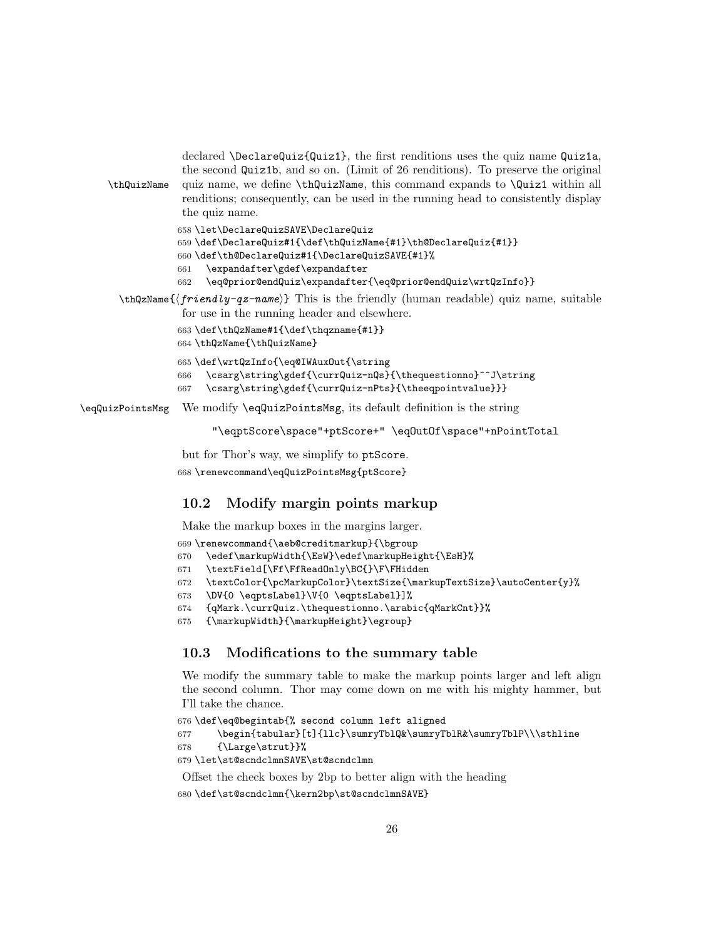| \thQuizName      | declared \DeclareQuiz{Quiz1}, the first renditions uses the quiz name Quiz1a,<br>the second Quiz1b, and so on. (Limit of 26 renditions). To preserve the original<br>quiz name, we define <b>\thQuizName</b> , this command expands to <b>\Quiz1</b> within all<br>renditions; consequently, can be used in the running head to consistently display<br>the quiz name. |  |  |  |  |  |  |
|------------------|------------------------------------------------------------------------------------------------------------------------------------------------------------------------------------------------------------------------------------------------------------------------------------------------------------------------------------------------------------------------|--|--|--|--|--|--|
|                  | 658 \let\DeclareQuizSAVE\DeclareQuiz<br>659 \def\DeclareQuiz#1{\def\thQuizName{#1}\th@DeclareQuiz{#1}}<br>660 \def\th@DeclareQuiz#1{\DeclareQuizSAVE{#1}%<br>\expandafter\gdef\expandafter<br>661<br>\eq@prior@endQuiz\expandafter{\eq@prior@endQuiz\wrtQzInfo}}<br>662                                                                                                |  |  |  |  |  |  |
|                  | $\theta$ \thQzName{ $\{frienlly-qz-name\}$ } This is the friendly (human readable) quiz name, suitable<br>for use in the running header and elsewhere.                                                                                                                                                                                                                 |  |  |  |  |  |  |
|                  | 663 \def\thQzName#1{\def\thqzname{#1}}<br>664 \thQzName{\thQuizName}                                                                                                                                                                                                                                                                                                   |  |  |  |  |  |  |
|                  | 665 \def\wrtQzInfo{\eq@IWAuxOut{\string<br>\csarg\string\gdef{\currQuiz-nQs}{\thequestionno}^^J\string<br>666<br>\csarg\string\gdef{\currQuiz-nPts}{\theeqpointvalue}}}<br>667                                                                                                                                                                                         |  |  |  |  |  |  |
| \eqQuizPointsMsg | We modify <b>\eqQuizPointsMsg</b> , its default definition is the string                                                                                                                                                                                                                                                                                               |  |  |  |  |  |  |

"\eqptScore\space"+ptScore+" \eqOutOf\space"+nPointTotal

but for Thor's way, we simplify to ptScore. 668 \renewcommand\eqQuizPointsMsg{ptScore}

### <span id="page-25-0"></span>10.2 Modify margin points markup

Make the markup boxes in the margins larger.

```
669 \renewcommand{\aeb@creditmarkup}{\bgroup
670 \edef\markupWidth{\EsW}\edef\markupHeight{\EsH}%
671 \textField[\Ff\FfReadOnly\BC{}\F\FHidden
672 \textColor{\pcMarkupColor}\textSize{\markupTextSize}\autoCenter{y}%
673 \DV{0 \eqptsLabel}\V{0 \eqptsLabel}]%
674 {qMark.\currQuiz.\thequestionno.\arabic{qMarkCnt}}%
675 {\markupWidth}{\markupHeight}\egroup}
```
### <span id="page-25-1"></span>10.3 Modifications to the summary table

We modify the summary table to make the markup points larger and left align the second column. Thor may come down on me with his mighty hammer, but I'll take the chance.

```
676 \def\eq@begintab{% second column left aligned
677 \begin{tabular}[t]{llc}\sumryTblQ&\sumryTblR&\sumryTblP\\\sthline
678 {\Large\strut}}%
679 \let\st@scndclmnSAVE\st@scndclmn
```
Offset the check boxes by 2bp to better align with the heading

```
680 \def\st@scndclmn{\kern2bp\st@scndclmnSAVE}
```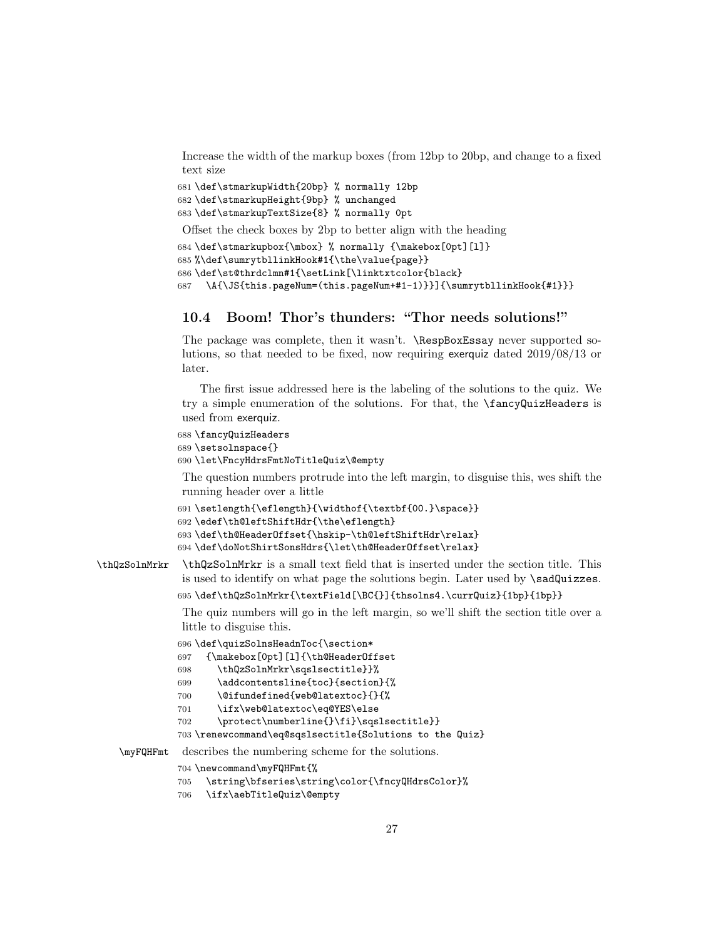Increase the width of the markup boxes (from 12bp to 20bp, and change to a fixed text size

```
681 \def\stmarkupWidth{20bp} % normally 12bp
682 \def\stmarkupHeight{9bp} % unchanged
683 \def\stmarkupTextSize{8} % normally 0pt
 Offset the check boxes by 2bp to better align with the heading
```

```
684 \def\stmarkupbox{\mbox} % normally {\makebox[0pt][l]}
685 %\def\sumrytbllinkHook#1{\the\value{page}}
686 \def\st@thrdclmn#1{\setLink[\linktxtcolor{black}
687 \A{\JS{this.pageNum=(this.pageNum+#1-1)}}]{\sumrytbllinkHook{#1}}}
```
### <span id="page-26-0"></span>10.4 Boom! Thor's thunders: "Thor needs solutions!"

The package was complete, then it wasn't. \RespBoxEssay never supported solutions, so that needed to be fixed, now requiring exerquiz dated 2019/08/13 or later.

The first issue addressed here is the labeling of the solutions to the quiz. We try a simple enumeration of the solutions. For that, the \fancyQuizHeaders is used from exerquiz.

```
688 \fancyQuizHeaders
689 \setsolnspace{}
690 \let\FncyHdrsFmtNoTitleQuiz\@empty
```
The question numbers protrude into the left margin, to disguise this, wes shift the running header over a little

```
691 \setlength{\eflength}{\widthof{\textbf{00.}\space}}
692 \edef\th@leftShiftHdr{\the\eflength}
693 \def\th@HeaderOffset{\hskip-\th@leftShiftHdr\relax}
694 \def\doNotShirtSonsHdrs{\let\th@HeaderOffset\relax}
```
\thQzSolnMrkr \thQzSolnMrkr is a small text field that is inserted under the section title. This is used to identify on what page the solutions begin. Later used by \sadQuizzes. \def\thQzSolnMrkr{\textField[\BC{}]{thsolns4.\currQuiz}{1bp}{1bp}}

> The quiz numbers will go in the left margin, so we'll shift the section title over a little to disguise this.

```
696 \def\quizSolnsHeadnToc{\section*
```

```
697 {\makebox[0pt][l]{\th@HeaderOffset
```

```
698 \thQzSolnMrkr\sqslsectitle}}%
```

```
699 \addcontentsline{toc}{section}{%
```

```
700 \@ifundefined{web@latextoc}{}{%
```

```
701 \ifx\web@latextoc\eq@YES\else
```

```
702 \protect\numberline{}\fi}\sqslsectitle}}
```

```
703 \renewcommand\eq@sqslsectitle{Solutions to the Quiz}
```
\myFQHFmt describes the numbering scheme for the solutions.

```
704 \newcommand\myFQHFmt{%
```

```
705 \string\bfseries\string\color{\fncyQHdrsColor}%
```

```
706 \ifx\aebTitleQuiz\@empty
```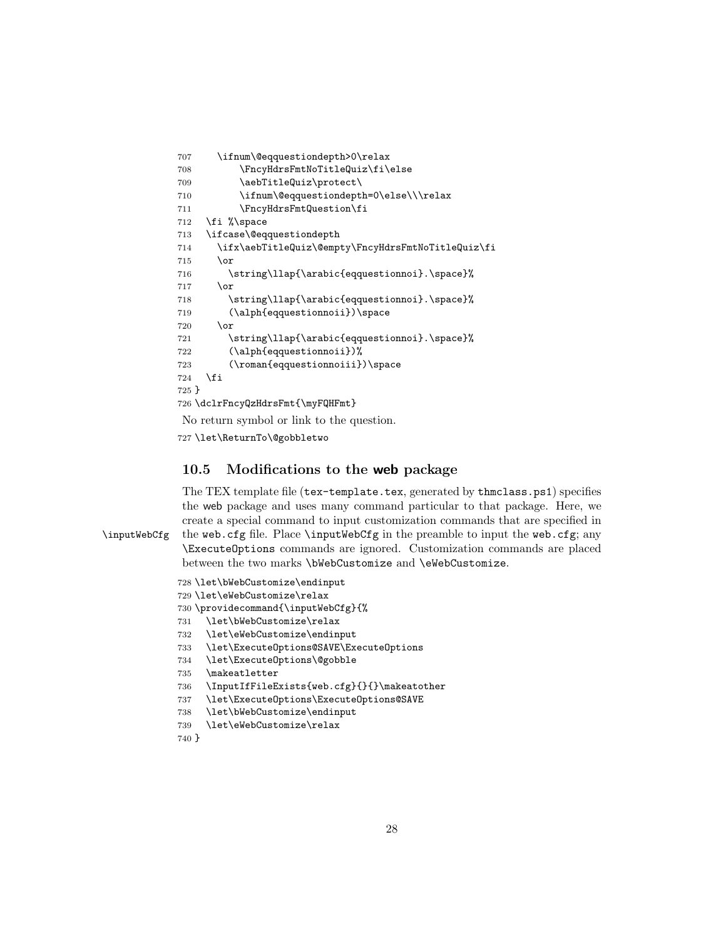```
707 \ifnum\@eqquestiondepth>0\relax
708 \FncyHdrsFmtNoTitleQuiz\fi\else
709 \aebTitleQuiz\protect\
710 \ifnum\@eqquestiondepth=0\else\\\relax
711 \FncyHdrsFmtQuestion\fi
712 \fi %\space
713 \ifcase\@eqquestiondepth
714 \ifx\aebTitleQuiz\@empty\FncyHdrsFmtNoTitleQuiz\fi
715 \or
716 \string\llap{\arabic{eqquestionnoi}.\space}%
717 \or
718 \string\llap{\arabic{eqquestionnoi}.\space}%
719 (\alph{eqquestionnoii})\space
720 \or
721 \string\llap{\arabic{eqquestionnoi}.\space}%
722 (\alph{eqquestionnoii})%
723 (\roman{eqquestionnoiii})\space
724 \fi
725 }
726 \dclrFncyQzHdrsFmt{\myFQHFmt}
No return symbol or link to the question.
```

```
727 \let\ReturnTo\@gobbletwo
```
### <span id="page-27-0"></span>10.5 Modifications to the web package

The TEX template file (tex-template.tex, generated by thmclass.ps1) specifies the web package and uses many command particular to that package. Here, we create a special command to input customization commands that are specified in \inputWebCfg the web.cfg file. Place \inputWebCfg in the preamble to input the web.cfg; any \ExecuteOptions commands are ignored. Customization commands are placed between the two marks \bWebCustomize and \eWebCustomize.

```
728 \let\bWebCustomize\endinput
```

```
729 \let\eWebCustomize\relax
```
- \providecommand{\inputWebCfg}{%
- \let\bWebCustomize\relax
- \let\eWebCustomize\endinput
- \let\ExecuteOptions@SAVE\ExecuteOptions
- \let\ExecuteOptions\@gobble
- \makeatletter
- 736 \InputIfFileExists{web.cfg}{}{}\makeatother
- \let\ExecuteOptions\ExecuteOptions@SAVE
- \let\bWebCustomize\endinput
- \let\eWebCustomize\relax
- }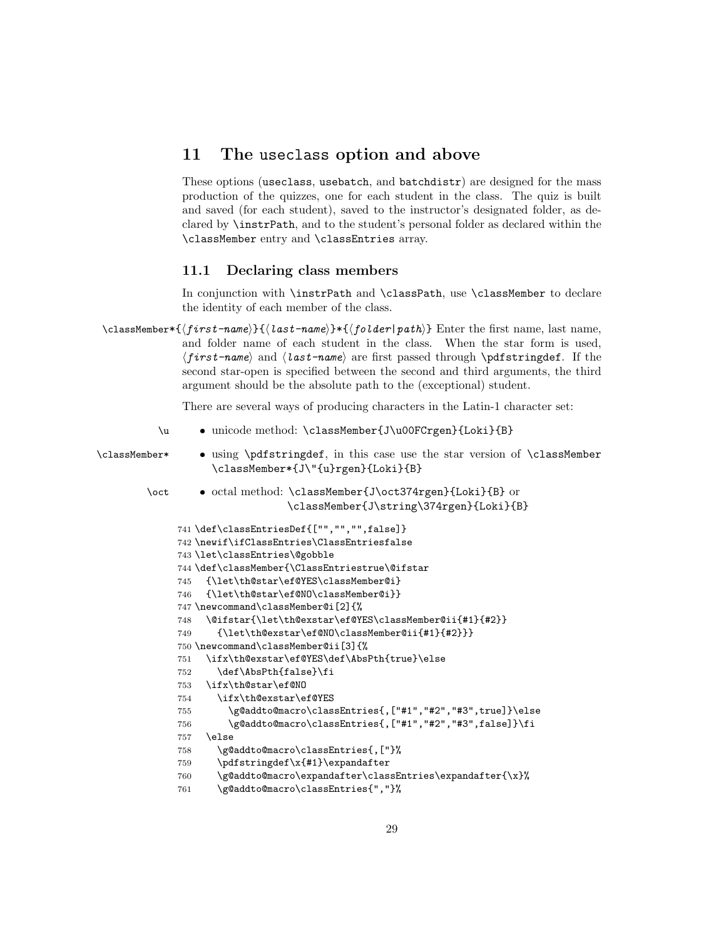### <span id="page-28-0"></span>11 The useclass option and above

These options (useclass, usebatch, and batchdistr) are designed for the mass production of the quizzes, one for each student in the class. The quiz is built and saved (for each student), saved to the instructor's designated folder, as declared by \instrPath, and to the student's personal folder as declared within the \classMember entry and \classEntries array.

### <span id="page-28-1"></span>11.1 Declaring class members

In conjunction with \instrPath and \classPath, use \classMember to declare the identity of each member of the class.

 $\{\frac{first-name}{\{last-name}\}*\{\frac{folder|path}{B}\}$  Enter the first name, last name, and folder name of each student in the class. When the star form is used,  $\langle first-name\rangle$  and  $\langle last-name\rangle$  are first passed through **\pdfstringdef**. If the second star-open is specified between the second and third arguments, the third argument should be the absolute path to the (exceptional) student.

There are several ways of producing characters in the Latin-1 character set:

|  | • unicode method: \classMember{J\u00FCrgen}{Loki}{B} |  |
|--|------------------------------------------------------|--|
|  |                                                      |  |

- \classMember\* using \pdfstringdef, in this case use the star version of \classMember \classMember\*{J\"{u}rgen}{Loki}{B}
	- \oct  $\bullet$  octal method: \classMember{J\oct374rgen}{Loki}{B} or \classMember{J\string\374rgen}{Loki}{B}

```
741 \def\classEntriesDef{["","","",false]}
742 \newif\ifClassEntries\ClassEntriesfalse
743 \let\classEntries\@gobble
744 \def\classMember{\ClassEntriestrue\@ifstar
745 {\let\th@star\ef@YES\classMember@i}
746 {\let\th@star\ef@NO\classMember@i}}
747 \newcommand\classMember@i[2]{%
748 \@ifstar{\let\th@exstar\ef@YES\classMember@ii{#1}{#2}}
749 {\let\th@exstar\ef@NO\classMember@ii{#1}{#2}}}
750 \newcommand\classMember@ii[3]{%
751 \ifx\th@exstar\ef@YES\def\AbsPth{true}\else
752 \def\AbsPth{false}\fi
753 \ifx\th@star\ef@NO
754 \ifx\th@exstar\ef@YES
755 \g@addto@macro\classEntries{,["#1","#2","#3",true]}\else
756 \g@addto@macro\classEntries{,["#1","#2","#3",false]}\fi
757 \else
758 \g@addto@macro\classEntries{,["}%
759 \pdfstringdef\x{#1}\expandafter
760 \g@addto@macro\expandafter\classEntries\expandafter{\x}%
761 \g@addto@macro\classEntries{","}%
```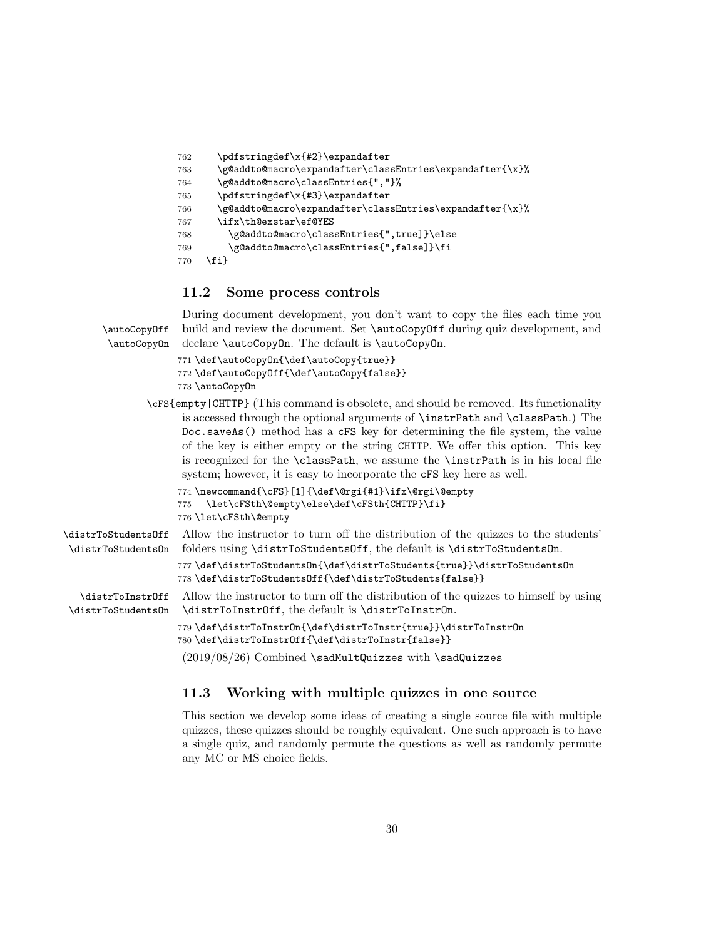```
762 \pdfstringdef\x{#2}\expandafter
763 \g@addto@macro\expandafter\classEntries\expandafter{\x}%
764 \g@addto@macro\classEntries{","}%
765 \pdfstringdef\x{#3}\expandafter
766 \g@addto@macro\expandafter\classEntries\expandafter{\x}%
767 \ifx\th@exstar\ef@YES
768 \g@addto@macro\classEntries{",true]}\else
769 \g@addto@macro\classEntries{",false]}\fi
770 \fi}
```
### <span id="page-29-0"></span>11.2 Some process controls

During document development, you don't want to copy the files each time you \autoCopyOff build and review the document. Set \autoCopyOff during quiz development, and \autoCopyOn declare \autoCopyOn. The default is \autoCopyOn. 771 \def\autoCopyOn{\def\autoCopy{true}} 772 \def\autoCopyOff{\def\autoCopy{false}} 773 \autoCopyOn \cFS{empty|CHTTP} (This command is obsolete, and should be removed. Its functionality is accessed through the optional arguments of \instrPath and \classPath.) The Doc.saveAs() method has a cFS key for determining the file system, the value of the key is either empty or the string CHTTP. We offer this option. This key is recognized for the \classPath, we assume the \instrPath is in his local file system; however, it is easy to incorporate the cFS key here as well. 774 \newcommand{\cFS}[1]{\def\@rgi{#1}\ifx\@rgi\@empty 775 \let\cFSth\@empty\else\def\cFSth{CHTTP}\fi} 776 \let\cFSth\@empty \distrToStudentsOff Allow the instructor to turn off the distribution of the quizzes to the students' \distrToStudentsOn folders using \distrToStudentsOff, the default is \distrToStudentsOn. 777 \def\distrToStudentsOn{\def\distrToStudents{true}}\distrToStudentsOn 778 \def\distrToStudentsOff{\def\distrToStudents{false}} \distrToInstrOff Allow the instructor to turn off the distribution of the quizzes to himself by using \distrToStudentsOn \distrToInstrOff, the default is \distrToInstrOn.

```
779 \def\distrToInstrOn{\def\distrToInstr{true}}\distrToInstrOn
780 \def\distrToInstrOff{\def\distrToInstr{false}}
```
 $(2019/08/26)$  Combined \sadMultQuizzes with \sadQuizzes

### <span id="page-29-1"></span>11.3 Working with multiple quizzes in one source

This section we develop some ideas of creating a single source file with multiple quizzes, these quizzes should be roughly equivalent. One such approach is to have a single quiz, and randomly permute the questions as well as randomly permute any MC or MS choice fields.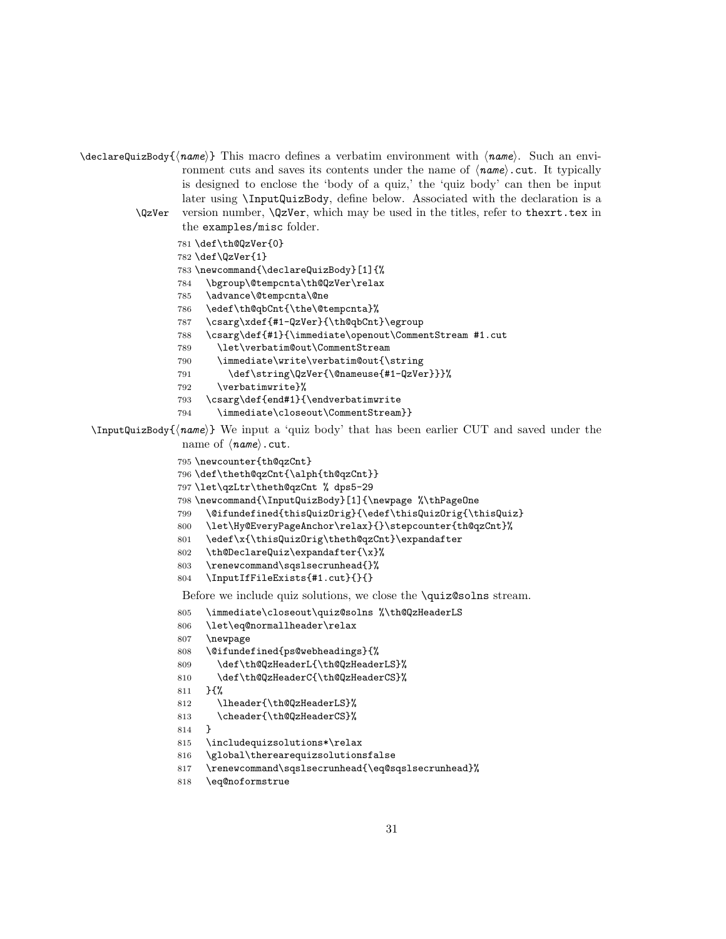- $\delta$  \declareQuizBody{ $\langle name \rangle$ } This macro defines a verbatim environment with  $\langle name \rangle$ . Such an environment cuts and saves its contents under the name of  $\langle$  name).cut. It typically is designed to enclose the 'body of a quiz,' the 'quiz body' can then be input later using \InputQuizBody, define below. Associated with the declaration is a \QzVer version number, \QzVer, which may be used in the titles, refer to thexrt.tex in the examples/misc folder.
	- \def\th@QzVer{0}
	- \def\QzVer{1}
	- \newcommand{\declareQuizBody}[1]{%
	- \bgroup\@tempcnta\th@QzVer\relax
	- \advance\@tempcnta\@ne
	- \edef\th@qbCnt{\the\@tempcnta}%
	- \csarg\xdef{#1-QzVer}{\th@qbCnt}\egroup
	- \csarg\def{#1}{\immediate\openout\CommentStream #1.cut
	- \let\verbatim@out\CommentStream
	- \immediate\write\verbatim@out{\string
	- 791 \def\string\QzVer{\@nameuse{#1-QzVer}}}%
	- \verbatimwrite}%
	- \csarg\def{end#1}{\endverbatimwrite
	- \immediate\closeout\CommentStream}}

 $\InputQuizBody{\langle name\rangle}$  We input a 'quiz body' that has been earlier CUT and saved under the name of  $\langle name \rangle$ .cut.

```
795 \newcounter{th@qzCnt}
```
- \def\theth@qzCnt{\alph{th@qzCnt}}
- \let\qzLtr\theth@qzCnt % dps5-29
- \newcommand{\InputQuizBody}[1]{\newpage %\thPageOne
- \@ifundefined{thisQuizOrig}{\edef\thisQuizOrig{\thisQuiz}
- \let\Hy@EveryPageAnchor\relax}{}\stepcounter{th@qzCnt}%
- \edef\x{\thisQuizOrig\theth@qzCnt}\expandafter
- \th@DeclareQuiz\expandafter{\x}%
- \renewcommand\sqslsecrunhead{}%
- \InputIfFileExists{#1.cut}{}{}

Before we include quiz solutions, we close the \quiz@solns stream.

- \immediate\closeout\quiz@solns %\th@QzHeaderLS
- \let\eq@normallheader\relax
- \newpage
- \@ifundefined{ps@webheadings}{%
- \def\th@QzHeaderL{\th@QzHeaderLS}%
- \def\th@QzHeaderC{\th@QzHeaderCS}%

```
811 } {%
```
- \lheader{\th@QzHeaderLS}%
- \cheader{\th@QzHeaderCS}%
- }

```
815 \includequizsolutions*\relax
```

```
816 \global\therearequizsolutionsfalse
```
- \renewcommand\sqslsecrunhead{\eq@sqslsecrunhead}%
- \eq@noformstrue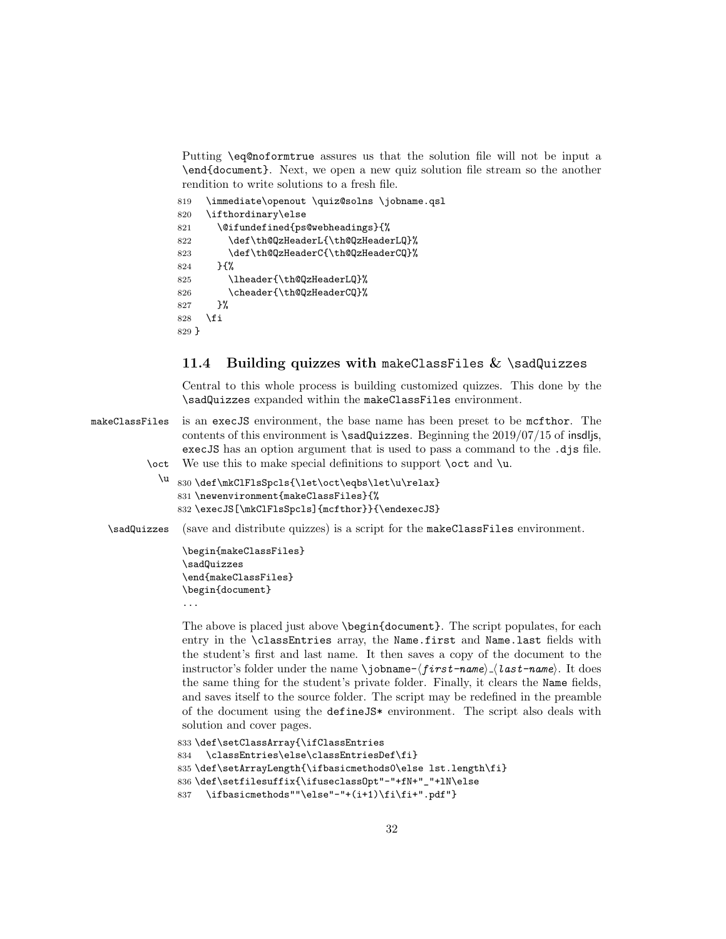Putting \eq@noformtrue assures us that the solution file will not be input a \end{document}. Next, we open a new quiz solution file stream so the another rendition to write solutions to a fresh file.

```
819 \immediate\openout \quiz@solns \jobname.qsl
820 \ifthordinary\else
821 \@ifundefined{ps@webheadings}{%
822 \def\th@QzHeaderL{\th@QzHeaderLQ}%
823 \def\th@QzHeaderC{\th@QzHeaderCQ}%
824 }{%
825 \lheader{\th@QzHeaderLQ}%
826 \cheader{\th@QzHeaderCQ}%
827 }%
828 \fi
829 }
```
### <span id="page-31-0"></span>11.4 Building quizzes with makeClassFiles  $&$  \sadQuizzes

Central to this whole process is building customized quizzes. This done by the \sadQuizzes expanded within the makeClassFiles environment.

makeClassFiles is an execJS environment, the base name has been preset to be mcfthor. The contents of this environment is \sadQuizzes. Beginning the 2019/07/15 of insdljs, execJS has an option argument that is used to pass a command to the .djs file. \oct We use this to make special definitions to support \oct and \u.

```
\u 830 \def\mkClFlsSpcls{\let\oct\eqbs\let\u\relax}
   831 \newenvironment{makeClassFiles}{%
   832 \execJS[\mkClFlsSpcls]{mcfthor}}{\endexecJS}
```
\sadQuizzes (save and distribute quizzes) is a script for the makeClassFiles environment.

```
\begin{makeClassFiles}
\sadQuizzes
\end{makeClassFiles}
\begin{document}
```
...

The above is placed just above \begin{document}. The script populates, for each entry in the \classEntries array, the Name.first and Name.last fields with the student's first and last name. It then saves a copy of the document to the instructor's folder under the name \jobname- $\frac{first - name}{\frac{last - name}{\cdot}}$ . It does the same thing for the student's private folder. Finally, it clears the Name fields, and saves itself to the source folder. The script may be redefined in the preamble of the document using the defineJS\* environment. The script also deals with solution and cover pages.

```
833 \def\setClassArray{\ifClassEntries
834 \classEntries\else\classEntriesDef\fi}
835 \def\setArrayLength{\ifbasicmethods0\else lst.length\fi}
836 \def\setfilesuffix{\ifuseclassOpt"-"+fN+"_"+lN\else
837 \ifbasicmethods""\else"-"+(i+1)\fi\fi+".pdf"}
```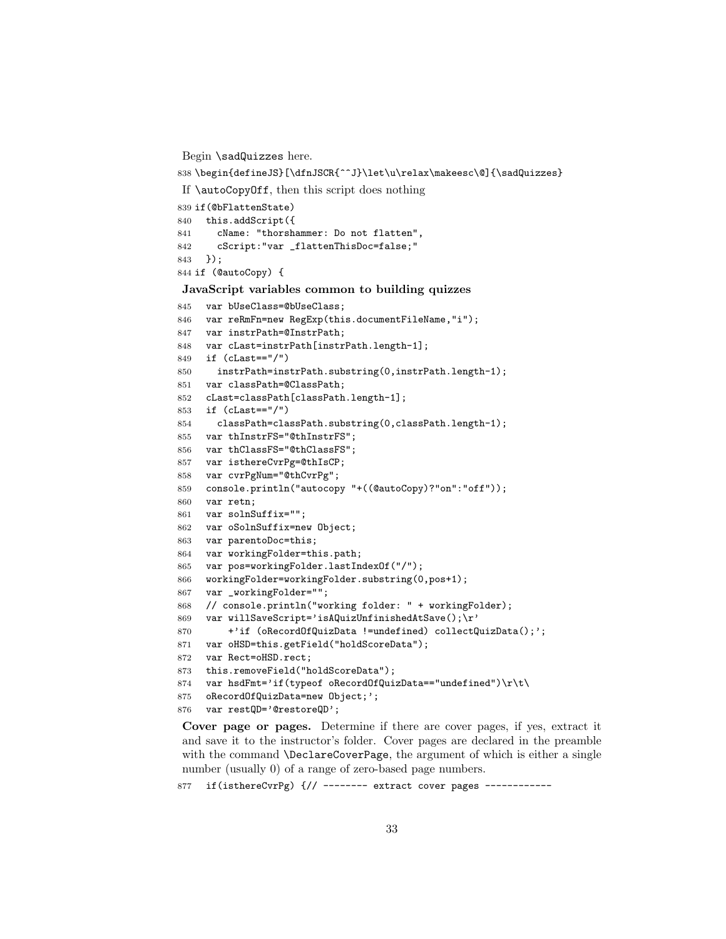Begin \sadQuizzes here.

```
838\begin{defineJS}[\dfnJSCR{^^J}\let\u\relax\makeesc\@]{\sadQuizzes}
If \autoCopyOff, then this script does nothing
839 if(@bFlattenState)
840 this.addScript({
841 cName: "thorshammer: Do not flatten",
842 cScript:"var _flattenThisDoc=false;"
843 });
844 if (@autoCopy) {
JavaScript variables common to building quizzes
845 var bUseClass=@bUseClass;
```

```
846 var reRmFn=new RegExp(this.documentFileName,"i");
847 var instrPath=@InstrPath;
848 var cLast=instrPath[instrPath.length-1];
849 if (cLast=="/")
850 instrPath=instrPath.substring(0,instrPath.length-1);
851 var classPath=@ClassPath;
852 cLast=classPath[classPath.length-1];
853 if (cLast=="/")
854 classPath=classPath.substring(0,classPath.length-1);
855 var thInstrFS="@thInstrFS";
856 var thClassFS="@thClassFS";
857 var isthereCvrPg=@thIsCP;
858 var cvrPgNum="@thCvrPg";
859 console.println("autocopy "+((@autoCopy)?"on":"off"));
860 var retn;
861 var solnSuffix="";
862 var oSolnSuffix=new Object;
863 var parentoDoc=this;
864 var workingFolder=this.path;
865 var pos=workingFolder.lastIndexOf("/");
866 workingFolder=workingFolder.substring(0,pos+1);
867 var _workingFolder="";
868 // console.println("working folder: " + workingFolder);
869 var willSaveScript='isAQuizUnfinishedAtSave();\r'
870    +'if (oRecordOfQuizData !=undefined) collectQuizData();';
871 var oHSD=this.getField("holdScoreData");
872 var Rect=oHSD.rect;
873 this.removeField("holdScoreData");
874 var hsdFmt='if(typeof oRecordOfQuizData=="undefined")\r\t\
875 oRecordOfQuizData=new Object;';
876 var restQD='@restoreQD';
```
Cover page or pages. Determine if there are cover pages, if yes, extract it and save it to the instructor's folder. Cover pages are declared in the preamble with the command **\DeclareCoverPage**, the argument of which is either a single number (usually 0) of a range of zero-based page numbers.

```
877 if(isthereCvrPg) {// -------- extract cover pages ------------
```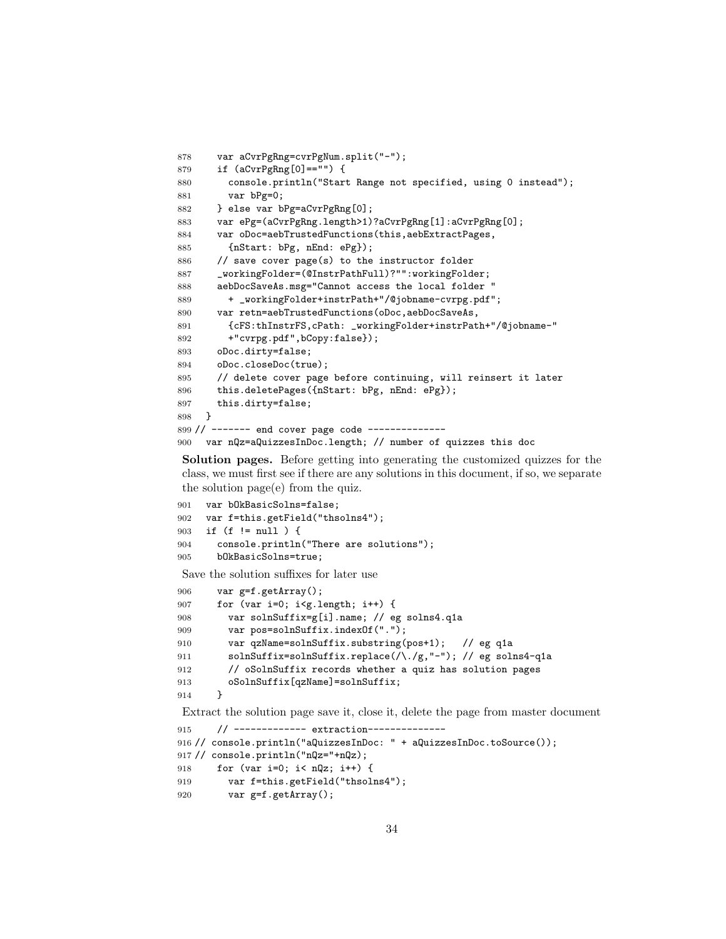```
878 var aCvrPgRng=cvrPgNum.split("-");
879 if (aCvrPgRng[0]=="") {
880 console.println("Start Range not specified, using 0 instead");
881 var bPg=0;
882 } else var bPg=aCvrPgRng[0];
883 var ePg=(aCvrPgRng.length>1)?aCvrPgRng[1]:aCvrPgRng[0];
884 var oDoc=aebTrustedFunctions(this,aebExtractPages,
885 {nStart: bPg, nEnd: ePg});
886 // save cover page(s) to the instructor folder
887 _workingFolder=(@InstrPathFull)?"":workingFolder;
888 aebDocSaveAs.msg="Cannot access the local folder "
889 + _workingFolder+instrPath+"/@jobname-cvrpg.pdf";
890 var retn=aebTrustedFunctions(oDoc,aebDocSaveAs,
891 {cFS:thInstrFS,cPath: _workingFolder+instrPath+"/@jobname-"
892 +"cvrpg.pdf",bCopy:false});
893 oDoc.dirty=false;
894 oDoc.closeDoc(true);
895 // delete cover page before continuing, will reinsert it later
896 this.deletePages({nStart: bPg, nEnd: ePg});
897 this.dirty=false;
898 }
899 // ------- end cover page code --------------
900 var nQz=aQuizzesInDoc.length; // number of quizzes this doc
```
Solution pages. Before getting into generating the customized quizzes for the class, we must first see if there are any solutions in this document, if so, we separate the solution page(e) from the quiz.

```
901 var bOkBasicSolns=false;
902 var f=this.getField("thsolns4");
903 if (f != null ) {
904 console.println("There are solutions");
905 bOkBasicSolns=true;
```
Save the solution suffixes for later use

```
906 var g=f.getArray();
907 for (var i=0; i<g.length; i++) {
908 var solnSuffix=g[i].name; // eg solns4.q1a
909 var pos=solnSuffix.indexOf(".");
910 var qzName=solnSuffix.substring(pos+1); // eg q1a
911 solnSuffix=solnSuffix.replace(/\./g,"-"); // eg solns4-q1a
912 // oSolnSuffix records whether a quiz has solution pages
913 oSolnSuffix[qzName]=solnSuffix;
914 }
```
Extract the solution page save it, close it, delete the page from master document

```
915 // ------------ extraction--------------
916 // console.println("aQuizzesInDoc: " + aQuizzesInDoc.toSource());
917 // console.println("nQz="+nQz);
918 for (var i=0; i< nQz; i++) {
919 var f=this.getField("thsolns4");
920 var g=f.getArray();
```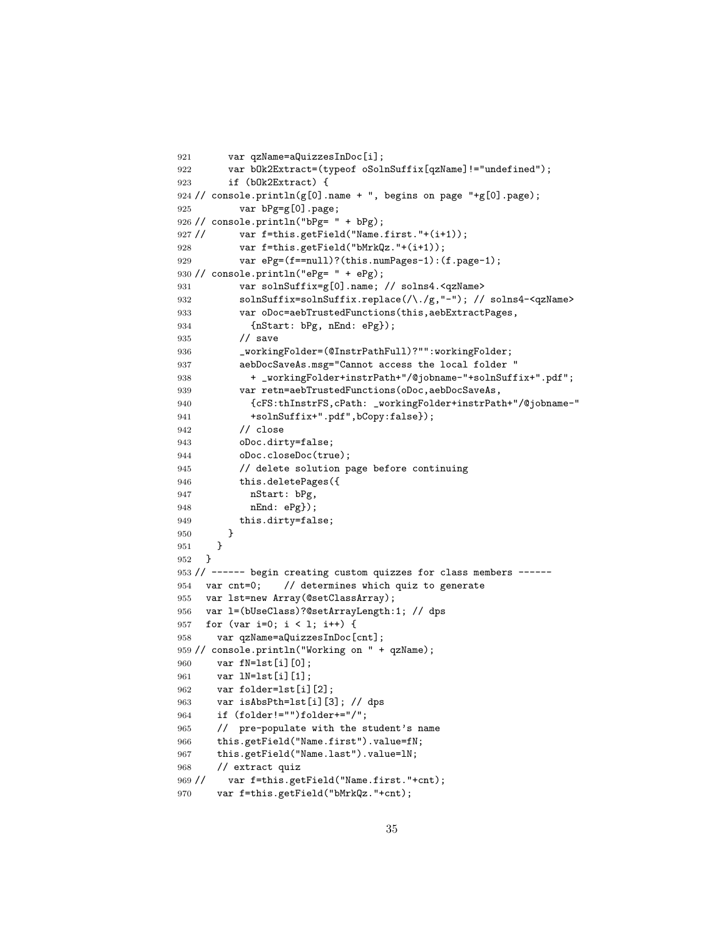```
921 var qzName=aQuizzesInDoc[i];
922 var bOk2Extract=(typeof oSolnSuffix[qzName]!="undefined");
923 if (bOk2Extract) {
924 // console.println(g[0].name + ", begins on page "+g[0].page);
925 var bPg=g[0].page;
926 // console.println("bPg= " + bPg);
927 // var f=this.getField("Name.first."+(i+1));
928 var f=this.getField("bMrkQz."+(i+1));
929 var ePg=(f==null)?(this.numPages-1):(f.page-1);
930 // console.println("ePg= " + ePg);
931 var solnSuffix=g[0].name; // solns4.<qzName>
932 solnSuffix=solnSuffix.replace(/\./g,"-"); // solns4-<qzName>
933 var oDoc=aebTrustedFunctions(this,aebExtractPages,
934 {nStart: bPg, nEnd: ePg});
935 // save
936 _workingFolder=(@InstrPathFull)?"":workingFolder;
937 aebDocSaveAs.msg="Cannot access the local folder "
938 + _workingFolder+instrPath+"/@jobname-"+solnSuffix+".pdf";
939 var retn=aebTrustedFunctions(oDoc,aebDocSaveAs,
940 {cFS:thInstrFS,cPath: _workingFolder+instrPath+"/@jobname-"
941 +solnSuffix+".pdf",bCopy:false});
942 // close
943 oDoc.dirty=false;
944 oDoc.closeDoc(true);
945 // delete solution page before continuing
946 this.deletePages({
947 nStart: bPg,
948 nEnd: ePg});
949 this.dirty=false;
950 }
951 }
952 }
953 // ------ begin creating custom quizzes for class members ------
954 var cnt=0; // determines which quiz to generate
955 var lst=new Array(@setClassArray);
956 var l=(bUseClass)?@setArrayLength:1; // dps
957 for (var i=0; i < l; i++) {
958 var qzName=aQuizzesInDoc[cnt];
959 // console.println("Working on " + qzName);
960 var fN=lst[i][0];
961 var lN=lst[i][1];
962 var folder=lst[i][2];
963 var isAbsPth=lst[i][3]; // dps
964 if (folder!="")folder+="/";
965 // pre-populate with the student's name
966 this.getField("Name.first").value=fN;
967 this.getField("Name.last").value=1N;
968 // extract quiz
969 // var f=this.getField("Name.first."+cnt);
970 var f=this.getField("bMrkQz."+cnt);
```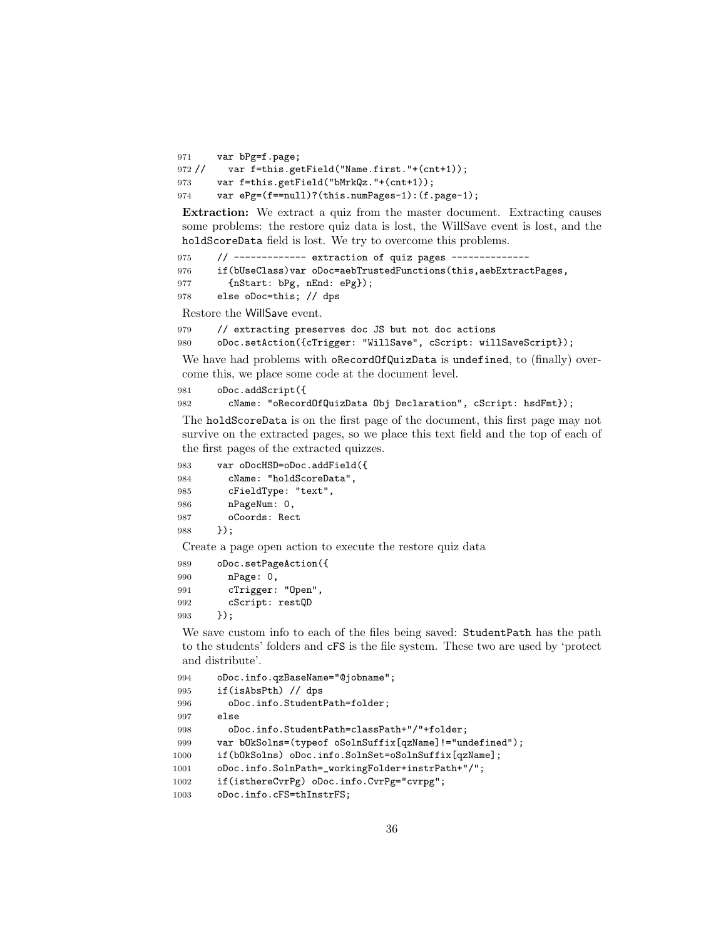```
971 var bPg=f.page;
972 // var f=this.getField("Name.first."+(cnt+1));
973 var f=this.getField("bMrkQz."+(cnt+1));
974 var ePg=(f==null)?(this.numPages-1):(f.page-1);
```
Extraction: We extract a quiz from the master document. Extracting causes some problems: the restore quiz data is lost, the WillSave event is lost, and the holdScoreData field is lost. We try to overcome this problems.

```
975 // ------------ extraction of quiz pages --------------
976 if(bUseClass)var oDoc=aebTrustedFunctions(this,aebExtractPages,
977 {nStart: bPg, nEnd: ePg});
978 else oDoc=this; // dps
```
Restore the WillSave event.

```
979 // extracting preserves doc JS but not doc actions
980 oDoc.setAction({cTrigger: "WillSave", cScript: willSaveScript});
```
We have had problems with  $o$ RecordOfQuizData is undefined, to (finally) overcome this, we place some code at the document level.

```
981 oDoc.addScript({
```

```
982 cName: "oRecordOfQuizData Obj Declaration", cScript: hsdFmt});
```
The holdScoreData is on the first page of the document, this first page may not survive on the extracted pages, so we place this text field and the top of each of the first pages of the extracted quizzes.

```
983 var oDocHSD=oDoc.addField({
984 cName: "holdScoreData",
985 cFieldType: "text",
986 nPageNum: 0,
987 oCoords: Rect
988 });
```
Create a page open action to execute the restore quiz data

```
989 oDoc.setPageAction({
990 nPage: 0,
991 cTrigger: "Open",
992 cScript: restQD
993 });
```
We save custom info to each of the files being saved: StudentPath has the path to the students' folders and cFS is the file system. These two are used by 'protect and distribute'.

```
994 oDoc.info.qzBaseName="@jobname";
995 if(isAbsPth) // dps
996 oDoc.info.StudentPath=folder;
997 else
998 oDoc.info.StudentPath=classPath+"/"+folder;
999 var bOkSolns=(typeof oSolnSuffix[qzName]!="undefined");
1000 if(bOkSolns) oDoc.info.SolnSet=oSolnSuffix[qzName];
1001 oDoc.info.SolnPath=_workingFolder+instrPath+"/";
1002 if(isthereCvrPg) oDoc.info.CvrPg="cvrpg";
1003 oDoc.info.cFS=thInstrFS;
```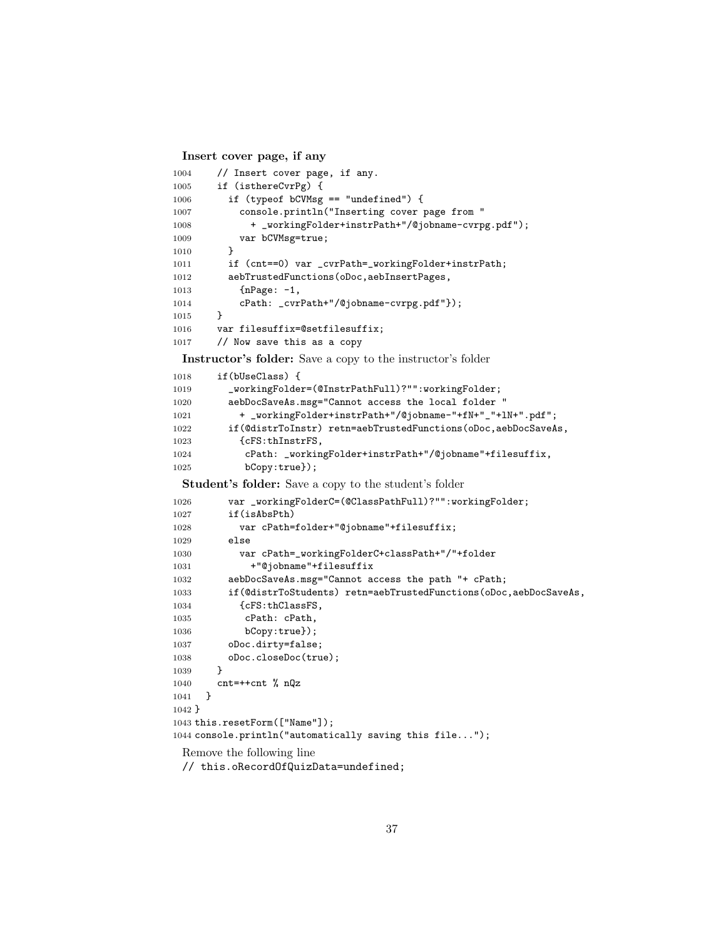Insert cover page, if any

```
1004 // Insert cover page, if any.
1005 if (isthereCvrPg) {
1006 if (typeof bCVMsg == "undefined") {
1007 console.println("Inserting cover page from "
1008 + _workingFolder+instrPath+"/@jobname-cvrpg.pdf");
1009 var bCVMsg=true;
1010 }
1011 if (cnt==0) var _cvrPath=_workingFolder+instrPath;
1012 aebTrustedFunctions(oDoc,aebInsertPages,
1013 {nPage: -1,
1014 cPath: _cvrPath+"/@jobname-cvrpg.pdf"});
1015 }
1016 var filesuffix=@setfilesuffix;
1017 // Now save this as a copy
 Instructor's folder: Save a copy to the instructor's folder
1018 if(bUseClass) {
1019 _workingFolder=(@InstrPathFull)?"":workingFolder;
1020 aebDocSaveAs.msg="Cannot access the local folder "
1021 + _workingFolder+instrPath+"/@jobname-"+fN+"_"+lN+".pdf";
1022 if(@distrToInstr) retn=aebTrustedFunctions(oDoc,aebDocSaveAs,
1023 {cFS:thInstrFS,
1024 cPath: _workingFolder+instrPath+"/@jobname"+filesuffix,
1025 bCopy:true});
 Student's folder: Save a copy to the student's folder
1026 var _workingFolderC=(@ClassPathFull)?"":workingFolder;
1027 if(isAbsPth)
1028 var cPath=folder+"@jobname"+filesuffix;
1029 else
1030 var cPath=_workingFolderC+classPath+"/"+folder
1031 +"@jobname"+filesuffix
1032 aebDocSaveAs.msg="Cannot access the path "+ cPath;
1033 if(@distrToStudents) retn=aebTrustedFunctions(oDoc,aebDocSaveAs,
1034 {cFS:thClassFS,
1035 cPath: cPath,
1036 bCopy:true});
1037 oDoc.dirty=false;
1038 oDoc.closeDoc(true);
1039 }
1040 cnt=++cnt % nQz
1041 }
1042 }
1043 this.resetForm(["Name"]);
1044 console.println("automatically saving this file...");
 Remove the following line
```

```
// this.oRecordOfQuizData=undefined;
```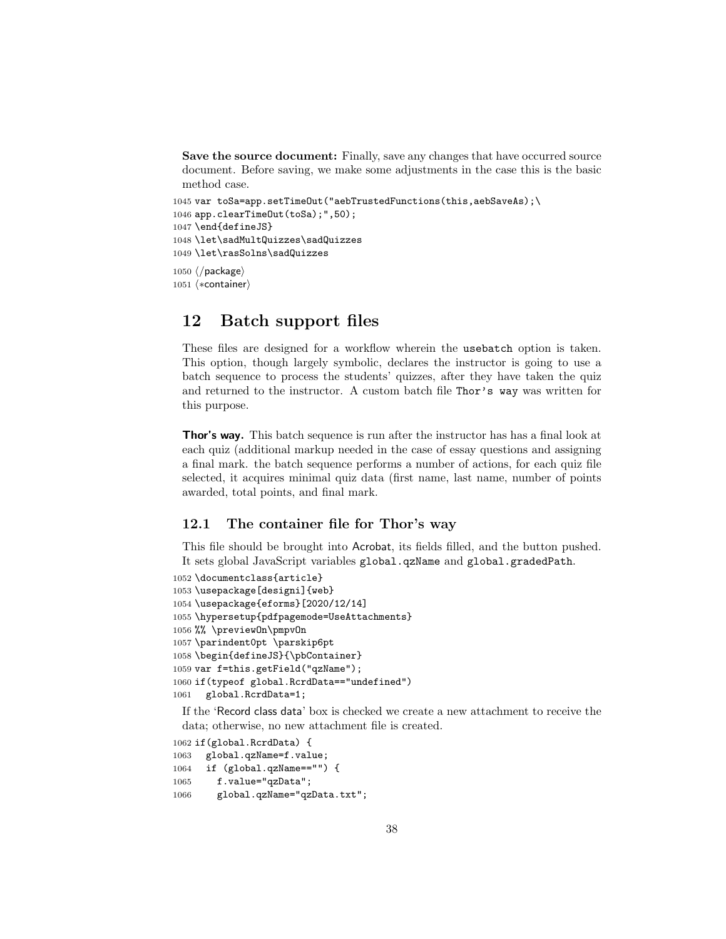Save the source document: Finally, save any changes that have occurred source document. Before saving, we make some adjustments in the case this is the basic method case.

```
1045 var toSa=app.setTimeOut("aebTrustedFunctions(this,aebSaveAs);\
1046 app.clearTimeOut(toSa);",50);
1047 \end{defineJS}
1048 \let\sadMultQuizzes\sadQuizzes
1049 \let\rasSolns\sadQuizzes
1050 \ \langle / \text{package} \rangle1051 (*container)
```
## <span id="page-37-0"></span>12 Batch support files

These files are designed for a workflow wherein the usebatch option is taken. This option, though largely symbolic, declares the instructor is going to use a batch sequence to process the students' quizzes, after they have taken the quiz and returned to the instructor. A custom batch file Thor's way was written for this purpose.

Thor's way. This batch sequence is run after the instructor has has a final look at each quiz (additional markup needed in the case of essay questions and assigning a final mark. the batch sequence performs a number of actions, for each quiz file selected, it acquires minimal quiz data (first name, last name, number of points awarded, total points, and final mark.

### <span id="page-37-1"></span>12.1 The container file for Thor's way

This file should be brought into Acrobat, its fields filled, and the button pushed. It sets global JavaScript variables global.qzName and global.gradedPath.

```
1052 \documentclass{article}
1053 \usepackage[designi]{web}
1054 \usepackage{eforms}[2020/12/14]
1055 \hypersetup{pdfpagemode=UseAttachments}
1056 %% \previewOn\pmpvOn
1057 \parindent0pt \parskip6pt
1058 \begin{defineJS}{\pbContainer}
1059 var f=this.getField("qzName");
1060 if(typeof global.RcrdData=="undefined")
1061 global.RcrdData=1;
```
If the 'Record class data' box is checked we create a new attachment to receive the data; otherwise, no new attachment file is created.

```
1062 if(global.RcrdData) {
1063 global.qzName=f.value;
1064 if (global.qzName=="") {
1065 f.value="qzData";
1066 global.qzName="qzData.txt";
```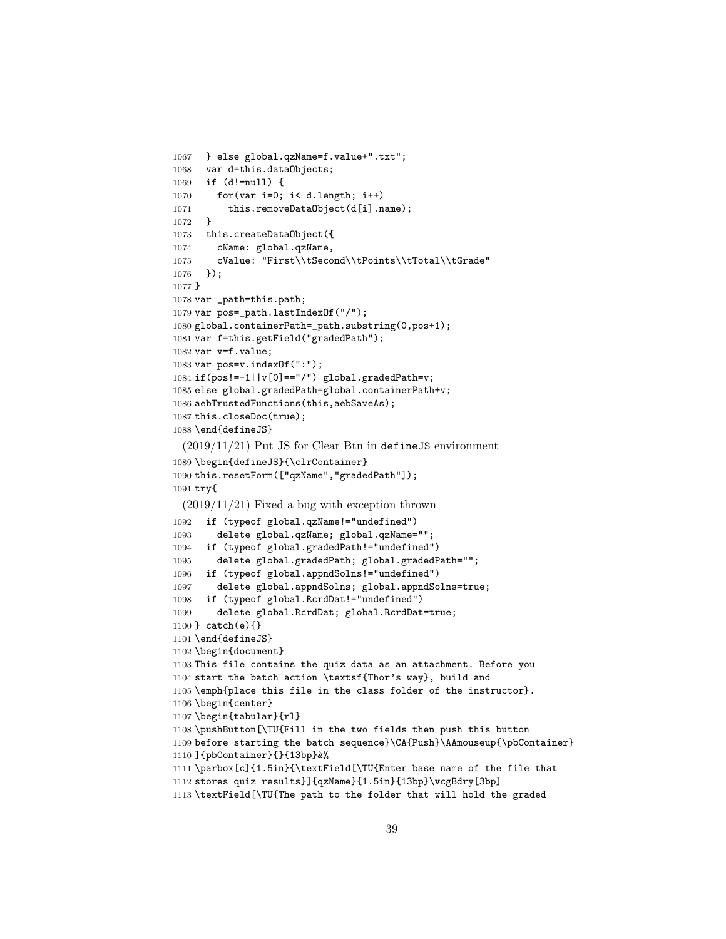```
1067 } else global.qzName=f.value+".txt";
1068 var d=this.dataObjects;
1069 if (d!=null) {
1070 for(var i=0; i< d.length; i++)
1071 this.removeDataObject(d[i].name);
1072 }
1073 this.createDataObject({
1074 cName: global.qzName,
1075 cValue: "First\\tSecond\\tPoints\\tTotal\\tGrade"
1076 });
1077 }
1078 var _path=this.path;
1079 var pos=_path.lastIndexOf("/");
1080 global.containerPath=_path.substring(0,pos+1);
1081 var f=this.getField("gradedPath");
1082 var v=f.value;
1083 var pos=v.indexOf(":");
1084 if(pos!=-1||v[0]=="/") global.gradedPath=v;
1085 else global.gradedPath=global.containerPath+v;
1086 aebTrustedFunctions(this,aebSaveAs);
1087 this.closeDoc(true);
1088 \end{defineJS}
 (2019/11/21) Put JS for Clear Btn in defineJS environment
1089 \begin{defineJS}{\clrContainer}
1090 this.resetForm(["qzName","gradedPath"]);
1091 try{
 (2019/11/21) Fixed a bug with exception thrown
1092 if (typeof global.qzName!="undefined")
1093 delete global.qzName; global.qzName="";
1094 if (typeof global.gradedPath!="undefined")
1095 delete global.gradedPath; global.gradedPath="";
1096 if (typeof global.appndSolns!="undefined")
1097 delete global.appndSolns; global.appndSolns=true;
1098 if (typeof global.RcrdDat!="undefined")
1099 delete global.RcrdDat; global.RcrdDat=true;
1100 } catch(e){}
1101 \end{defineJS}
1102 \begin{document}
1103 This file contains the quiz data as an attachment. Before you
1104 start the batch action \textsf{Thor's way}, build and
1105 \emph{place this file in the class folder of the instructor}.
1106 \begin{center}
1107 \begin{tabular}{rl}
1108 \pushButton[\TU{Fill in the two fields then push this button
1109 before starting the batch sequence}\CA{Push}\AAmouseup{\pbContainer}
1110 ]{pbContainer}{}{13bp}&%
1111 \parbox[c]{1.5in}{\textField[\TU{Enter base name of the file that
1112 stores quiz results}]{qzName}{1.5in}{13bp}\vcgBdry[3bp]
1113 \textField[\TU{The path to the folder that will hold the graded
```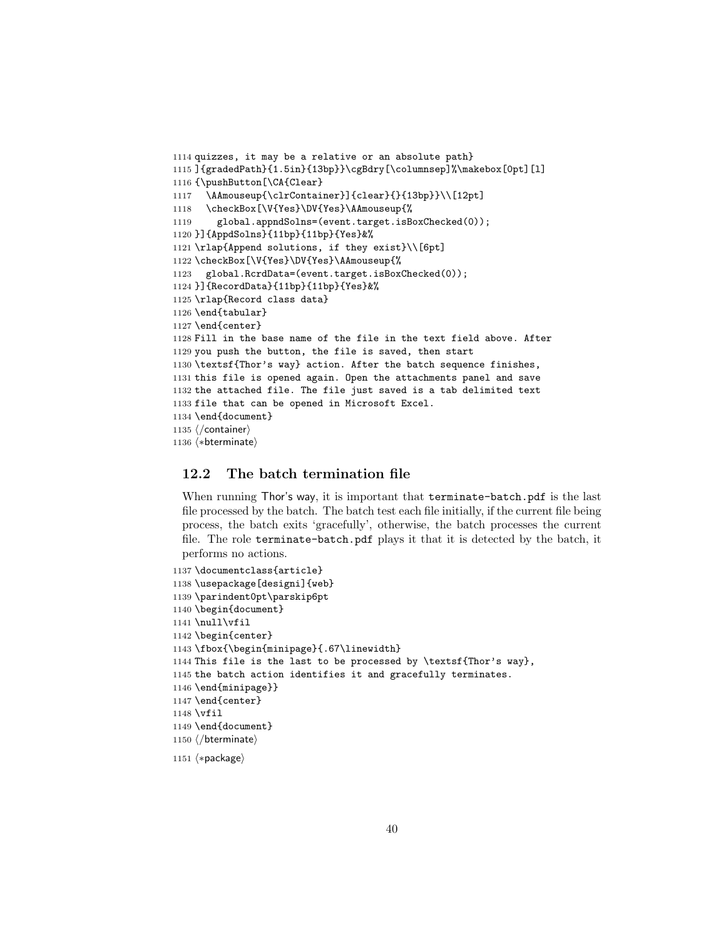```
1114 quizzes, it may be a relative or an absolute path}
1115 ]{gradedPath}{1.5in}{13bp}}\cgBdry[\columnsep]%\makebox[0pt][l]
1116 {\pushButton[\CA{Clear}
1117 \AAmouseup{\clrContainer}]{clear}{}{13bp}}\\[12pt]
1118 \checkBox[\V{Yes}\DV{Yes}\AAmouseup{%
1119 global.appndSolns=(event.target.isBoxChecked(0));
1120 }]{AppdSolns}{11bp}{11bp}{Yes}&%
1121 \rlap{Append solutions, if they exist}\\[6pt]
1122 \checkBox[\V{Yes}\DV{Yes}\AAmouseup{%
1123 global.RcrdData=(event.target.isBoxChecked(0));
1124 }]{RecordData}{11bp}{11bp}{Yes}&%
1125 \rlap{Record class data}
1126 \end{tabular}
1127 \end{center}
1128 Fill in the base name of the file in the text field above. After
1129 you push the button, the file is saved, then start
1130 \textsf{Thor's way} action. After the batch sequence finishes,
1131 this file is opened again. Open the attachments panel and save
1132 the attached file. The file just saved is a tab delimited text
1133 file that can be opened in Microsoft Excel.
1134 \end{document}
1135 \langle/container\rangle1136 (*bterminate)
```
### <span id="page-39-0"></span>12.2 The batch termination file

When running Thor's way, it is important that terminate-batch.pdf is the last file processed by the batch. The batch test each file initially, if the current file being process, the batch exits 'gracefully', otherwise, the batch processes the current file. The role terminate-batch.pdf plays it that it is detected by the batch, it performs no actions.

```
1137 \documentclass{article}
1138 \usepackage[designi]{web}
1139 \parindent0pt\parskip6pt
1140 \begin{document}
1141 \hbox{nullvfil}1142 \begin{center}
1143 \fbox{\begin{minipage}{.67\linewidth}
1144 This file is the last to be processed by \textsf{Thor's way},
1145 the batch action identifies it and gracefully terminates.
1146 \end{minipage}}
1147 \end{center}
1148 \vfil
1149 \end{document}
1150 \langle/bterminate\rangle1151 (*package)
```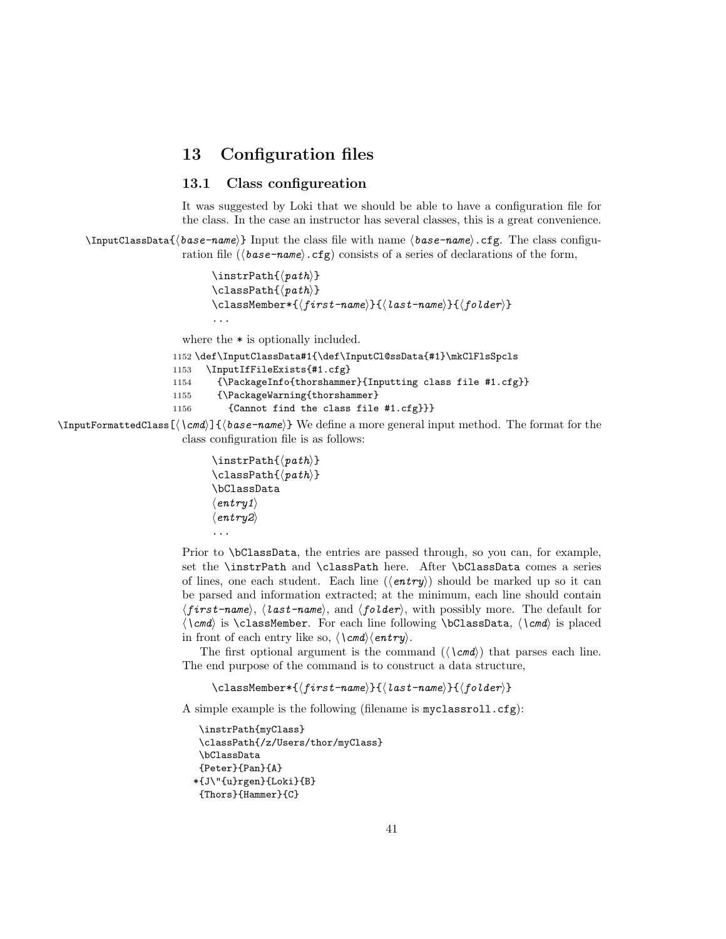### <span id="page-40-0"></span>13 Configuration files

### <span id="page-40-1"></span>13.1 Class configureation

It was suggested by Loki that we should be able to have a configuration file for the class. In the case an instructor has several classes, this is a great convenience.

 $\I{}nputClassData{\*base-name*} Input the class file with name *base-name*.cfg. The class configu$ ration file ( $\langle base-name \rangle$ .cfg) consists of a series of declarations of the form,

```
\in \instrPath{\langle path \rangle}
\clap{\cosh\{\langle path \rangle\}}\clap{\csc\cosh\{-\frac{f\frac{r}{\delta t}-\frac{m}{\delta}\}}...
```
where the  $*$  is optionally included.

```
1152 \def\InputClassData#1{\def\InputCl@ssData{#1}\mkClFlsSpcls
1153 \InputIfFileExists{#1.cfg}
1154 {\PackageInfo{thorshammer}{Inputting class file #1.cfg}}
1155 {\PackageWarning{thorshammer}
1156 {Cannot find the class file #1.cfg}}}
```
 $\Lambda$ InputFormattedClass $[\langle \rangle]$ { $\langle base-name \rangle$ } We define a more general input method. The format for the class configuration file is as follows:

```
\in \instrPath{\langle path \rangle}
\clap{\text{classPath}}{\langle path \rangle}\bClassData
\langle entry1\rangle\langle entry2\rangle...
```
Prior to \bClassData, the entries are passed through, so you can, for example, set the \instrPath and \classPath here. After \bClassData comes a series of lines, one each student. Each line  $(\langle entry \rangle)$  should be marked up so it can be parsed and information extracted; at the minimum, each line should contain  $\langle first \textit{-name} \rangle$ ,  $\langle last \textit{-name} \rangle$ , and  $\langle folder \rangle$ , with possibly more. The default for  $\langle \gamma \rangle$  is  $\clap{-\lambda}$  is classMember. For each line following  $\Delta$ ,  $\langle \gamma \rangle$  is placed in front of each entry like so,  $\langle \langle \text{cm}d \rangle \langle \text{entry} \rangle$ .

The first optional argument is the command  $(\langle \text{cm} d \rangle)$  that parses each line. The end purpose of the command is to construct a data structure,

 $\{\classMember*\{\frac{first-name}{\} {\} \}$ 

A simple example is the following (filename is myclassroll.cfg):

```
\instrPath{myClass}
\classPath{/z/Users/thor/myClass}
\bClassData
{Peter}{Pan}{A}
*{J\"{u}rgen}{Loki}{B}
{Thors}{Hammer}{C}
```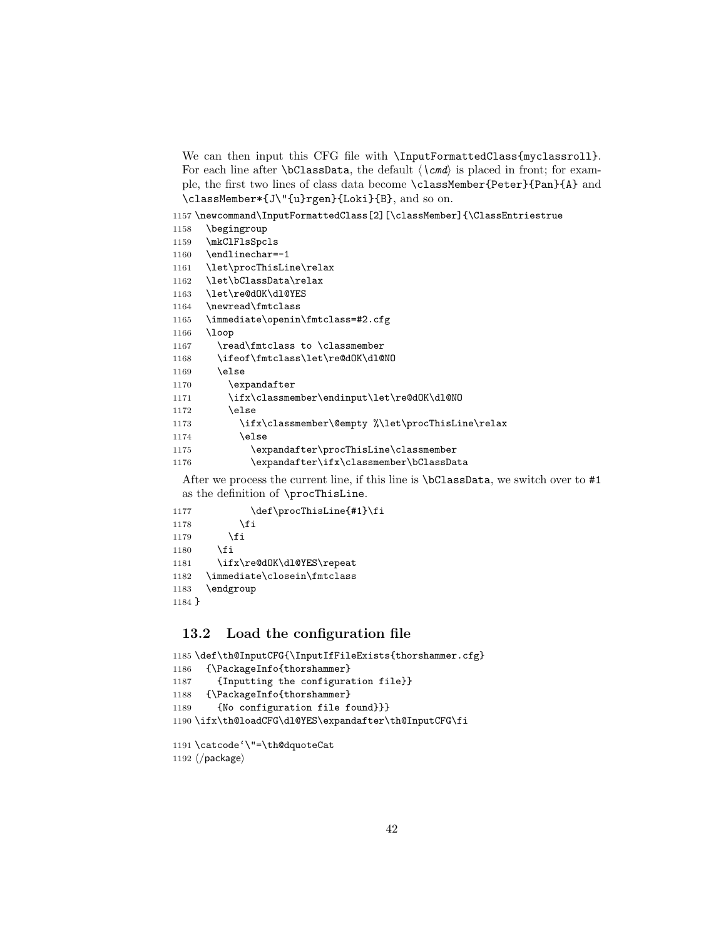We can then input this CFG file with **\InputFormattedClass{myclassroll}**. For each line after **\bClassData**, the default  $\langle \text{1cmd} \rangle$  is placed in front; for example, the first two lines of class data become \classMember{Peter}{Pan}{A} and \classMember\*{J\"{u}rgen}{Loki}{B}, and so on.

```
1157 \newcommand\InputFormattedClass[2][\classMember]{\ClassEntriestrue
```

```
1158 \begingroup
1159 \mkClFlsSpcls
1160 \endlinechar=-1
1161 \let\procThisLine\relax
1162 \let\bClassData\relax
1163 \let\re@dOK\dl@YES
1164 \newread\fmtclass
1165 \immediate\openin\fmtclass=#2.cfg
1166 \loop
1167 \read\fmtclass to \classmember
1168 \ifeof\fmtclass\let\re@dOK\dl@NO
1169 \else
1170 \expandafter
1171 \ifx\classmember\endinput\let\re@dOK\dl@NO
1172 \else
1173 \ifx\classmember\@empty %\let\procThisLine\relax
1174 \else
1175 \expandafter\procThisLine\classmember
1176 \expandafter\ifx\classmember\bClassData
```
After we process the current line, if this line is \bClassData, we switch over to #1 as the definition of \procThisLine.

```
1177 \def\procThisLine{#1}\fi
1178 \ifmmode{\big\vert} \else{ 1178 \fi \fi
1179 \fi
1180 \fi
1181 \ifx\re@dOK\dl@YES\repeat
1182 \immediate\closein\fmtclass
1183 \endgroup
1184 }
```
### <span id="page-41-0"></span>13.2 Load the configuration file

```
1185 \def\th@InputCFG{\InputIfFileExists{thorshammer.cfg}
1186 {\PackageInfo{thorshammer}
1187 {Inputting the configuration file}}
1188 {\PackageInfo{thorshammer}
1189 {No configuration file found}}}
1190 \ifx\th@loadCFG\dl@YES\expandafter\th@InputCFG\fi
```

```
1191 \catcode'\"=\th@dquoteCat
1192 \langle/package\rangle
```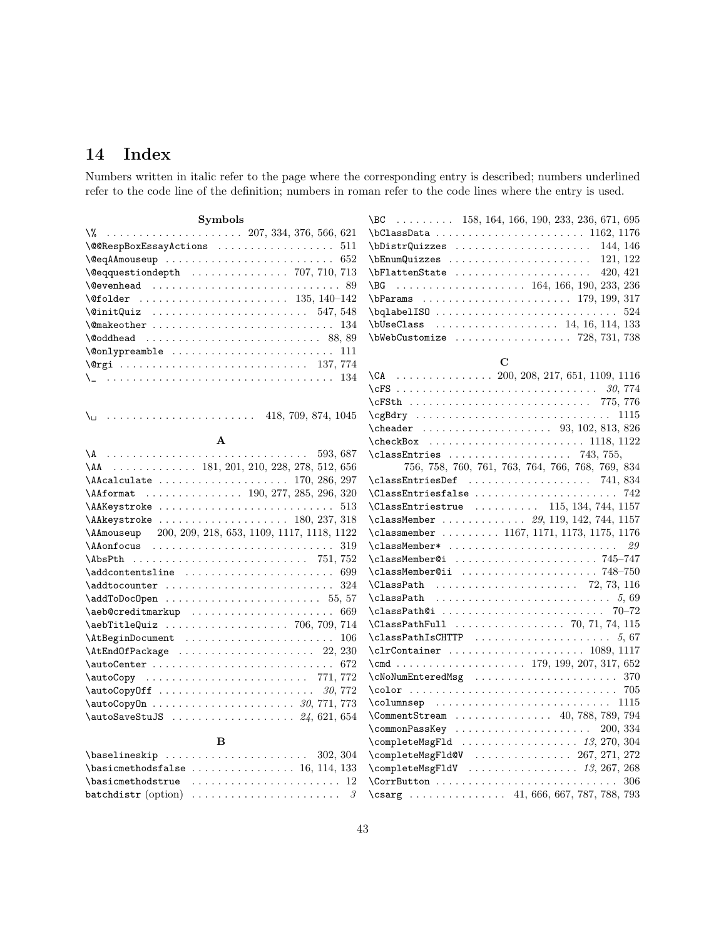# <span id="page-42-0"></span>14 Index

Numbers written in italic refer to the page where the corresponding entry is described; numbers underlined refer to the code line of the definition; numbers in roman refer to the code lines where the entry is used.

| Symbols                                                                            | $\setminus BC$ 158, 164, 166, 190, 233, 236, 671, 695                |
|------------------------------------------------------------------------------------|----------------------------------------------------------------------|
|                                                                                    |                                                                      |
| \@@RespBoxEssayActions  511                                                        | $\bb{\Delta}144, 146$                                                |
|                                                                                    | $\bEmumQuizzes$ 121, 122                                             |
| $\text{Negquestiondepth}$ 707, 710, 713                                            | \bFlattenState<br>420, 421                                           |
| $\verb+\@evenhead + \verb+\dots+\dots+\dots+\dots+89$                              |                                                                      |
|                                                                                    | \bParams  179, 199, 317                                              |
| $\varphi$ initQuiz  547, 548                                                       | 524                                                                  |
| $\{\mathsf{Qmakeother}\;:\;\dots\;:\dots\;:\dots\;:\dots\;:\dots\;:\ 134$          | $\bigcup$ BeClass  14, 16, 114, 133                                  |
|                                                                                    | $\b$ WebCustomize $728, 731, 738$                                    |
| \@onlypreamble  111                                                                |                                                                      |
| \@rgi  137,774                                                                     | $\mathbf C$                                                          |
|                                                                                    |                                                                      |
|                                                                                    | \cFS $30,774$                                                        |
|                                                                                    | $\cFSth$ 775, 776                                                    |
|                                                                                    |                                                                      |
|                                                                                    | \cheader  93, 102, 813, 826                                          |
| $\mathbf{A}$                                                                       | $\text{CheckBox} \dots \dots \dots \dots \dots \dots 1118, 1122$     |
| 593, 687                                                                           | $\cl$ assEntries  743, 755,                                          |
| \AA 181, 201, 210, 228, 278, 512, 656                                              | 756, 758, 760, 761, 763, 764, 766, 768, 769, 834                     |
|                                                                                    |                                                                      |
| \AAformat  190, 277, 285, 296, 320                                                 | \ClassEntriesfalse<br>742                                            |
|                                                                                    | $\text{Class}$ Entriestrue  115, 134, 744, 1157                      |
| \AAkeystroke  180, 237, 318                                                        | \classMember  29, 119, 142, 744, 1157                                |
| <b>\AAmouseup</b><br>200, 209, 218, 653, 1109, 1117, 1118, 1122                    | \classmember  1167, 1171, 1173, 1175, 1176                           |
| \AAonfocus<br>319                                                                  | \classMember*<br>29                                                  |
| $\Lambda$ bsPth  751, 752                                                          | $\clap{-\clap{-}l}$ classMember@i 745-747                            |
| $\addcontent$ sline  699                                                           | $\clap{-\clap{-}l}$ classMember@ii 748-750                           |
| $\addto counter$ 324                                                               |                                                                      |
| $\addToDocOpen$ 55, 57                                                             | $\clas$ $5, 69$                                                      |
| \aeb@creditmarkup<br>669                                                           | \classPath@i<br>$70 - 72$                                            |
| $\aebTitleQuiz$ 706, 709, 714                                                      |                                                                      |
|                                                                                    |                                                                      |
| \AtEndOfPackage  22, 230                                                           | $\clor$ Container  1089, 1117                                        |
|                                                                                    | \cmd  179, 199, 207, 317, 652                                        |
| \autoCopy  771,772                                                                 | \cNoNumEnteredMsg  370                                               |
|                                                                                    |                                                                      |
|                                                                                    | $\verb \columnsep  \dots  \dots  \dots  \dots  \dots  \dots  \ 1115$ |
| $\lambda$ utoSaveStuJS  24, 621, 654                                               | \CommentStream  40, 788, 789, 794                                    |
| <sub>B</sub>                                                                       | \commonPassKey<br>200, 334                                           |
| \baselineskip<br>302, 304                                                          |                                                                      |
| $\lambda$ sicmethodsfalse  16, 114, 133                                            | \completeMsgFld@V  267, 271, 272                                     |
|                                                                                    | 306                                                                  |
| $batchdistr$ (option) $\ldots \ldots \ldots \ldots \ldots \ldots$<br>$\mathcal{S}$ | $\csc \arccos 41, 666, 667, 787, 788, 793$                           |
|                                                                                    |                                                                      |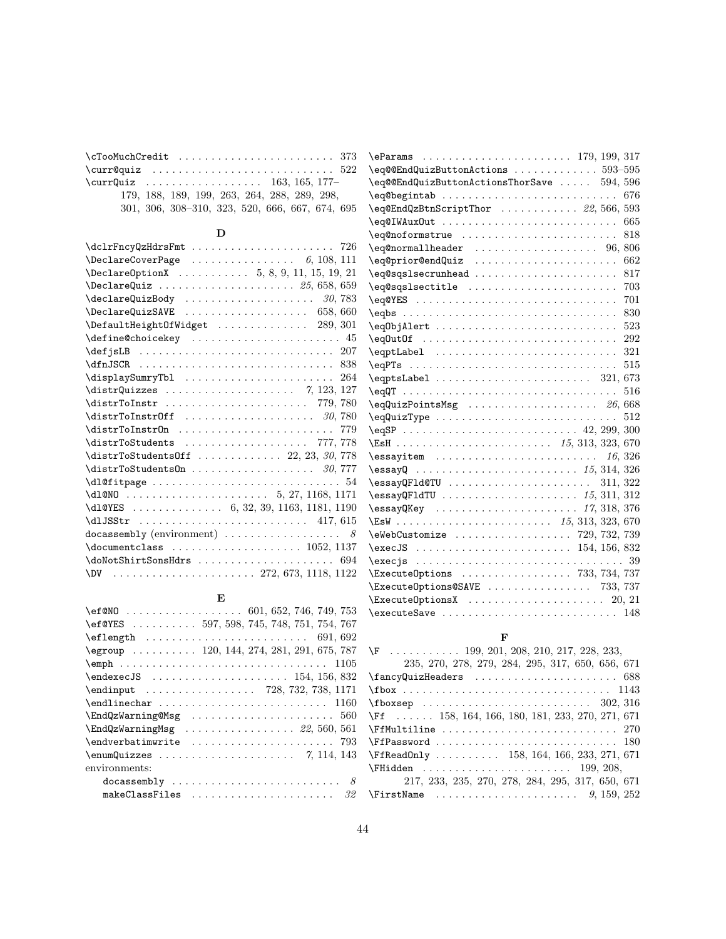| $\c$ TooMuchCredit  373                         |
|-------------------------------------------------|
|                                                 |
| $\text{Our}$ Quiz  163, 165, 177-               |
| 179, 188, 189, 199, 263, 264, 288, 289, 298,    |
| 301, 306, 308-310, 323, 520, 666, 667, 674, 695 |

# D

| $\verb+\DeclareCoverPage + \dots + \dots + \dots + 6, 108, 111$  |
|------------------------------------------------------------------|
|                                                                  |
|                                                                  |
| $\lambda$ declareQuizBody  30,783                                |
| \DeclareQuizSAVE  658, 660                                       |
| $\verb+\DefaultHeight0fWidget + \verb++ \verb++ 289, 301+$       |
|                                                                  |
|                                                                  |
|                                                                  |
| \displaySumryTbl  264                                            |
|                                                                  |
|                                                                  |
|                                                                  |
| \distrToInstr0n  779                                             |
| \distrToStudents  777, 778                                       |
| $\texttt{distrToStudentsOff}$ 22, 23, 30, 778                    |
| $\texttt{distrToStudentsOn}$ 30, 777                             |
|                                                                  |
|                                                                  |
| \dl@YES 6, 32, 39, 1163, 1181, 1190                              |
|                                                                  |
| docassembly (environment) $\ldots \ldots \ldots \ldots \ldots$ . |
|                                                                  |
| \doNotShirtSonsHdrs  694                                         |
|                                                                  |

# E

| \ef@NO  601, 652, 746, 749, 753                                             |
|-----------------------------------------------------------------------------|
| \ef@YES  597, 598, 745, 748, 751, 754, 767                                  |
| $\left\{ \text{length} \ldots \ldots \ldots \ldots \text{691,692} \right\}$ |
| $\qquad \ldots \ldots \qquad 120, 144, 274, 281, 291, 675, 787$             |
|                                                                             |
|                                                                             |
|                                                                             |
|                                                                             |
| $\text{EndQzWarning@Msg}$ 560                                               |
| $\text{EndQzWarningMsg}$ 22, 560, 561                                       |
|                                                                             |
|                                                                             |
| environments:                                                               |
| docassembly $\ldots \ldots \ldots \ldots \ldots \ldots \ldots \ldots$ 8     |
| makeClassFiles $\ldots \ldots \ldots \ldots \ldots \ldots \ldots \quad 32$  |

| $\leq 593-595$                                                                                                                                                                                                                                                                                                                                                                    |     |
|-----------------------------------------------------------------------------------------------------------------------------------------------------------------------------------------------------------------------------------------------------------------------------------------------------------------------------------------------------------------------------------|-----|
| $\eqref{eq:QCD} \eqref{eq:QCD} \eqref{eq:QCD} \eqref{eq:QCD} \eqref{eq:QCD} \eqref{eq:QCD} \eqref{eq:QCD} \eqref{eq:QCD} \eqref{eq:QCD} \eqref{eq:QCD} \eqref{eq:QCD} \eqref{eq:QCD} \eqref{eq:QCD} \eqref{eq:QCD} \eqref{eq:QCD} \eqref{eq:QCD} \eqref{eq:QCD} \eqref{eq:QCD} \eqref{eq:QCD} \eqref{eq:QCD} \eqref{eq:QCD} \eqref{eq:QCD} \eqref{eq:QCD} \eqref{eq:QCD} \eqref{$ |     |
| \eq@begintab                                                                                                                                                                                                                                                                                                                                                                      | 676 |
| \eq@EndQzBtnScriptThor  22, 566, 593                                                                                                                                                                                                                                                                                                                                              |     |
|                                                                                                                                                                                                                                                                                                                                                                                   | 665 |
| \eq@noformstrue                                                                                                                                                                                                                                                                                                                                                                   | 818 |
| $\qquad$                                                                                                                                                                                                                                                                                                                                                                          |     |
| \eq@prior@endQuiz                                                                                                                                                                                                                                                                                                                                                                 | 662 |
| \eq@sqslsecrunhead                                                                                                                                                                                                                                                                                                                                                                | 817 |
| \eq@sqslsectitle                                                                                                                                                                                                                                                                                                                                                                  | 703 |
|                                                                                                                                                                                                                                                                                                                                                                                   | 701 |
|                                                                                                                                                                                                                                                                                                                                                                                   | 830 |
|                                                                                                                                                                                                                                                                                                                                                                                   | 523 |
|                                                                                                                                                                                                                                                                                                                                                                                   |     |
| \eqptLabel  321                                                                                                                                                                                                                                                                                                                                                                   |     |
|                                                                                                                                                                                                                                                                                                                                                                                   |     |
| $\qquad$                                                                                                                                                                                                                                                                                                                                                                          |     |
|                                                                                                                                                                                                                                                                                                                                                                                   | 516 |
| $\eqref{QuizPointsMsg}$ 26,668                                                                                                                                                                                                                                                                                                                                                    |     |
| $\eqref{quizType} \ldots \ldots \ldots \ldots \ldots 512$                                                                                                                                                                                                                                                                                                                         |     |
|                                                                                                                                                                                                                                                                                                                                                                                   |     |
|                                                                                                                                                                                                                                                                                                                                                                                   |     |
| \essayitem<br>16, 326                                                                                                                                                                                                                                                                                                                                                             |     |
|                                                                                                                                                                                                                                                                                                                                                                                   |     |
| $\text{VessayQF1dQTU} \dots \dots \dots \dots \dots \dots \dots \ 311, \,322$                                                                                                                                                                                                                                                                                                     |     |
|                                                                                                                                                                                                                                                                                                                                                                                   |     |
| $\frac{17}{318}$ , $376$                                                                                                                                                                                                                                                                                                                                                          |     |
|                                                                                                                                                                                                                                                                                                                                                                                   |     |
| \eWebCustomize  729, 732, 739                                                                                                                                                                                                                                                                                                                                                     |     |
|                                                                                                                                                                                                                                                                                                                                                                                   |     |
|                                                                                                                                                                                                                                                                                                                                                                                   |     |
| \Execute0ptions  733, 734, 737                                                                                                                                                                                                                                                                                                                                                    |     |
| \ExecuteOptions@SAVE  733,737                                                                                                                                                                                                                                                                                                                                                     |     |
| $\text{Execute}$ OptionsX  20. 21                                                                                                                                                                                                                                                                                                                                                 |     |
|                                                                                                                                                                                                                                                                                                                                                                                   |     |

### F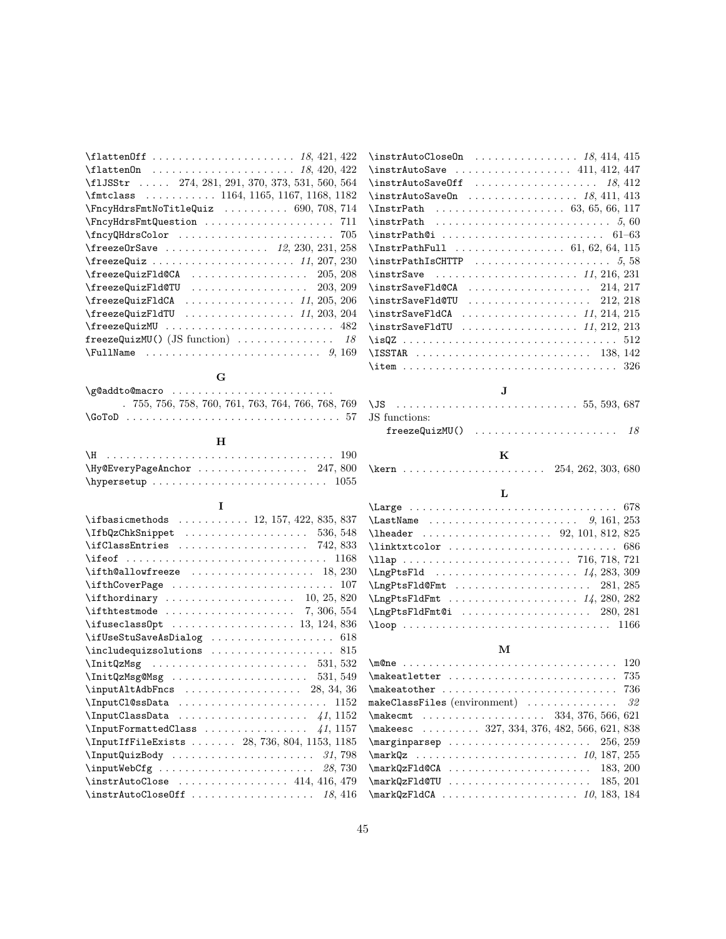| $\{1JSStr \ldots 274, 281, 291, 370, 373, 531, 560, 564\}$                                              |
|---------------------------------------------------------------------------------------------------------|
| \fmtclass  1164, 1165, 1167, 1168, 1182                                                                 |
| \FncyHdrsFmtNoTitleQuiz  690, 708, 714                                                                  |
| \FncyHdrsFmtQuestion  711                                                                               |
| $\frac{QHdrsColor \dots \dots \dots \dots \dots \dots \ 705}{}$                                         |
| $\verb+\frac+{}{12, 230, 231, 258}$                                                                     |
| $\frac{1}{1,207,230}$                                                                                   |
| $\cdots \cdots \cdots \cdots \cdots \cdots \cdots 205, 208$<br>\freezeQuizFld@CA                        |
| \freezeQuizFld@TU<br>. 203, 209                                                                         |
| \freezeQuizFldCA<br>. 11, 205, 206                                                                      |
| . <i>11</i> , 203, 204<br>\freezeQuizFldTU                                                              |
|                                                                                                         |
| $\texttt{freezeQuizMU()}$ (JS function) $\ldots \ldots \ldots \ldots$<br>18                             |
| $\texttt{FullName} \dots \dots \dots \dots \dots \dots \dots \dots \dots \dots \dots \dots \dots \dots$ |
|                                                                                                         |

# ${\bf G}$

| \g@addto@macro                                                                                                                                                                                                                                                                                                                                                |                                                    |  |  |  |  |  |
|---------------------------------------------------------------------------------------------------------------------------------------------------------------------------------------------------------------------------------------------------------------------------------------------------------------------------------------------------------------|----------------------------------------------------|--|--|--|--|--|
|                                                                                                                                                                                                                                                                                                                                                               | . 755, 756, 758, 760, 761, 763, 764, 766, 768, 769 |  |  |  |  |  |
| $\Gamma$ . $\Gamma$ . $\Gamma$ . $\Gamma$ . $\Gamma$ . $\Gamma$ . $\Gamma$ . $\Gamma$ . $\Gamma$ . $\Gamma$ . $\Gamma$ . $\Gamma$ . $\Gamma$ . $\Gamma$ . $\Gamma$ . $\Gamma$ . $\Gamma$ . $\Gamma$ . $\Gamma$ . $\Gamma$ . $\Gamma$ . $\Gamma$ . $\Gamma$ . $\Gamma$ . $\Gamma$ . $\Gamma$ . $\Gamma$ . $\Gamma$ . $\Gamma$ . $\Gamma$ . $\Gamma$ . $\Gamma$ |                                                    |  |  |  |  |  |

### $\mathbf H$

| \Hy@EveryPageAnchor  247,800 |  |  |  |  |  |  |  |  |  |  |  |
|------------------------------|--|--|--|--|--|--|--|--|--|--|--|
|                              |  |  |  |  |  |  |  |  |  |  |  |

## I

| \ifbasicmethods $\ldots \ldots \ldots 12, 157, 422, 835, 837$                |
|------------------------------------------------------------------------------|
| $\IfbQzChkSnippet \ldots \ldots \ldots \ldots \quad 536, 548$                |
|                                                                              |
|                                                                              |
| $\left\{ \left( 18, 230 \right) \right\}$                                    |
| $\ifthCoverPage \dots \dots \dots \dots \dots \dots \dots$<br>107            |
| $\text{ifthordinary} \dots \dots \dots \dots \dots \dots \ 10, 25, 820$      |
|                                                                              |
| $\left\{\text{ifuseclass0pt }, \ldots, \ldots, \ldots, 13, 124, 836\right\}$ |
| $\it \iintUseStuSaveAsDialog \dots \dots \dots \dots \dots \ 618$            |
|                                                                              |
| $\IntQzMsg \dots \dots \dots \dots \dots \dots \dots \ 531, 532$             |
|                                                                              |
|                                                                              |
| $\Im$ InputCl@ssData  1152                                                   |
|                                                                              |
|                                                                              |
| \InputIfFileExists  28, 736, 804, 1153, 1185                                 |
|                                                                              |
|                                                                              |
| $\in$ 414, 416, 479                                                          |
| $\in$ $18,416$                                                               |

| $\in$ $411, 412, 447$                                                                |  |
|--------------------------------------------------------------------------------------|--|
| $\verb \instrAutosaveOff      $                                                      |  |
| $\infty$ $18, 411, 413$                                                              |  |
| $\{\text{Instrument} \dots \dots \dots \dots \dots \ 63, 65, 66, 117\}$              |  |
| $\infty$ $5, 60$                                                                     |  |
| $\in$ $61-63$                                                                        |  |
| $\{\text{InstrumentFull} \dots \dots \dots \dots \dots \ 61, 62, 64, 115\}$          |  |
|                                                                                      |  |
|                                                                                      |  |
| $\in$ $214, 217$                                                                     |  |
| \instrSaveFld@TU<br>212, 218                                                         |  |
| $\in$ $11, 214, 215$                                                                 |  |
|                                                                                      |  |
|                                                                                      |  |
|                                                                                      |  |
|                                                                                      |  |
|                                                                                      |  |
| J                                                                                    |  |
|                                                                                      |  |
| JS functions:                                                                        |  |
|                                                                                      |  |
|                                                                                      |  |
| $\mathbf{K}$                                                                         |  |
|                                                                                      |  |
|                                                                                      |  |
| L                                                                                    |  |
| \Large  678                                                                          |  |
|                                                                                      |  |
|                                                                                      |  |
| \linktxtcolor  686                                                                   |  |
|                                                                                      |  |
|                                                                                      |  |
| \LngPtsFld@Fmt<br>281, 285                                                           |  |
| $\LngPtsF1dFmt \ldots \ldots \ldots \ldots \ldots 14, 280, 282$                      |  |
| $\LngPtsF1dFmt@i$ 280, 281                                                           |  |
|                                                                                      |  |
|                                                                                      |  |
| M                                                                                    |  |
|                                                                                      |  |
| $\texttt{\texttt{makedletter}} \dots \dots \dots \dots \dots \dots \dots \ 735$      |  |
| 736                                                                                  |  |
| $\mathtt{makeClassFiles}\ (\text{environment})\ \ \ldots\ldots\ldots\ldots\ .$<br>32 |  |
| $\{\text{make} \ldots \ldots \ldots \quad 334, 376, 566, 621\}$                      |  |
| \makeesc  327, 334, 376, 482, 566, 621, 838                                          |  |
| 256, 259                                                                             |  |
| $\{\texttt{Qz} \dots \dots \dots \dots \dots \dots 10, 187, 255\}$                   |  |
| $\{\texttt{zFld@CA} \dots \dots \dots \dots \dots \ 183, 200\}$                      |  |

\markQzFld@TU . . . . . . . . . . . . . . . . . . . . . . 185, 201 \markQzFldCA . . . . . . . . . . . . . . . . . . . . . 10, 183, 184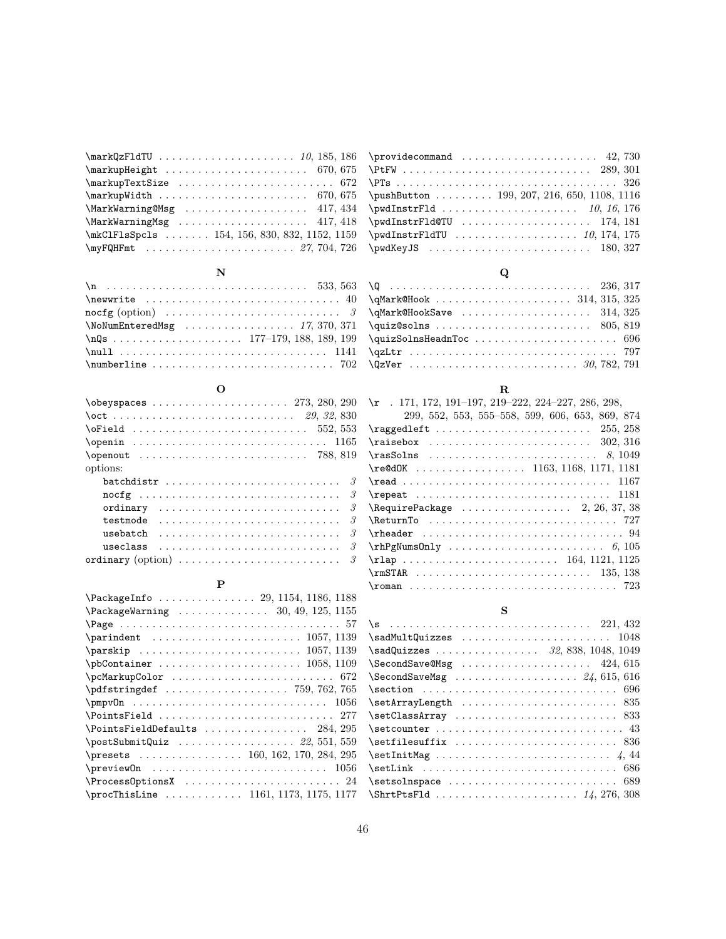| $\m{mkCIF1sSpcls  154, 156, 830, 832, 1152, 1159 \p{width}    10, 174, 175$                                                                                                                                                        |  |
|------------------------------------------------------------------------------------------------------------------------------------------------------------------------------------------------------------------------------------|--|
| $\uparrow$ The set of the set of the set of the set of the set of the set of the set of the set of the set of the set of the set of the set of the set of the set of the set of the set of the set of the set of the set of the se |  |
|                                                                                                                                                                                                                                    |  |

#### N

| $\mathsf{nocfg}\$ (option) $\ldots \ldots \ldots \ldots \ldots \ldots \ldots \ldots$ |
|--------------------------------------------------------------------------------------|
| $\N$ oNumEnteredMsg  17, 370, 371                                                    |
|                                                                                      |
|                                                                                      |
|                                                                                      |

#### O

| $\begin{array}{ccccccccc}\n\text{obeyspaces} & \ldots & \ldots & \ldots & \ldots & 273,280,290\n\end{array}$ |
|--------------------------------------------------------------------------------------------------------------|
|                                                                                                              |
|                                                                                                              |
|                                                                                                              |
|                                                                                                              |
| options:                                                                                                     |
|                                                                                                              |
|                                                                                                              |
| - 3<br>ordinary                                                                                              |
| $\mathcal{S}$                                                                                                |
| $\mathcal{S}$<br>usebatch                                                                                    |
| $\mathcal{S}$                                                                                                |
| ordinary (option) $\ldots \ldots \ldots \ldots \ldots \ldots \ldots$                                         |

#### P

| \PackageInfo  29, 1154, 1186, 1188                                      |
|-------------------------------------------------------------------------|
| $\text{PackageWarning} \dots \dots \dots \dots \dots 30, 49, 125, 1155$ |
|                                                                         |
|                                                                         |
|                                                                         |
|                                                                         |
|                                                                         |
|                                                                         |
|                                                                         |
|                                                                         |
| $\Delta$ PointsFieldDefaults  284, 295                                  |
| $\text{PostSubmitQuiz}$ 22, 551, 559                                    |
| \presets  160, 162, 170, 284, 295                                       |
| $\preceq$ 0.1056                                                        |
|                                                                         |
| \procThisLine  1161, 1173, 1175, 1177                                   |

#### $\verb+\quizSolnsHeadnToc ...\dots \dots \dots \dots \dots \dots \dots \ 696$ \qzLtr . . . . . . . . . . . . . . . . . . . . . . . . . . . . . . . . 797 \QzVer . . . . . . . . . . . . . . . . . . . . . . . . . . 30, 782, 791

 $\bf Q$ \Q . . . . . . . . . . . . . . . . . . . . . . . . . . . . . . . 236, 317  $\label{eq:var14} $$\qMark@Hook \ldots \ldots \ldots \ldots 314, 315, 325$  $\qquad$ \quiz@solns . . . . . . . . . . . . . . . . . . . . . . . . 805, 819

| R.                                                                                            |
|-----------------------------------------------------------------------------------------------|
| $\mathcal{L}$ . 171, 172, 191–197, 219–222, 224–227, 286, 298,                                |
| 299, 552, 553, 555-558, 599, 606, 653, 869, 874                                               |
|                                                                                               |
| $\texttt{Yraisebox}$ 302, 316                                                                 |
|                                                                                               |
| \re@d0K  1163,1168,1171,1181                                                                  |
| $\texttt{read} \dots \dots \dots \dots \dots \dots \dots \dots \dots \dots \dots \dots \dots$ |
|                                                                                               |
| $\lambda$ RequirePackage  2, 26, 37, 38                                                       |
|                                                                                               |
|                                                                                               |
|                                                                                               |
| $\tau$ ap  164, 1121, 1125                                                                    |
| $\rm \Gamma \ \ldots \ \ldots \ \ldots \ \ldots \ \ 135,138$                                  |
|                                                                                               |

### S

| $\simeq$ $\frac{1048}{1048}$                                                      |  |
|-----------------------------------------------------------------------------------|--|
| $\simeq$ $\frac{1}{28}$ , $\frac{1}{48}$ , $\frac{1}{49}$                         |  |
| $\text{N}\text{secondSave@Msg }\dots \dots \dots \dots \dots \dots \quad 424,615$ |  |
|                                                                                   |  |
|                                                                                   |  |
| $\setminus$ setArrayLength  835                                                   |  |
|                                                                                   |  |
|                                                                                   |  |
| $\setminus$ setfilesuffix  836                                                    |  |
|                                                                                   |  |
|                                                                                   |  |
|                                                                                   |  |
|                                                                                   |  |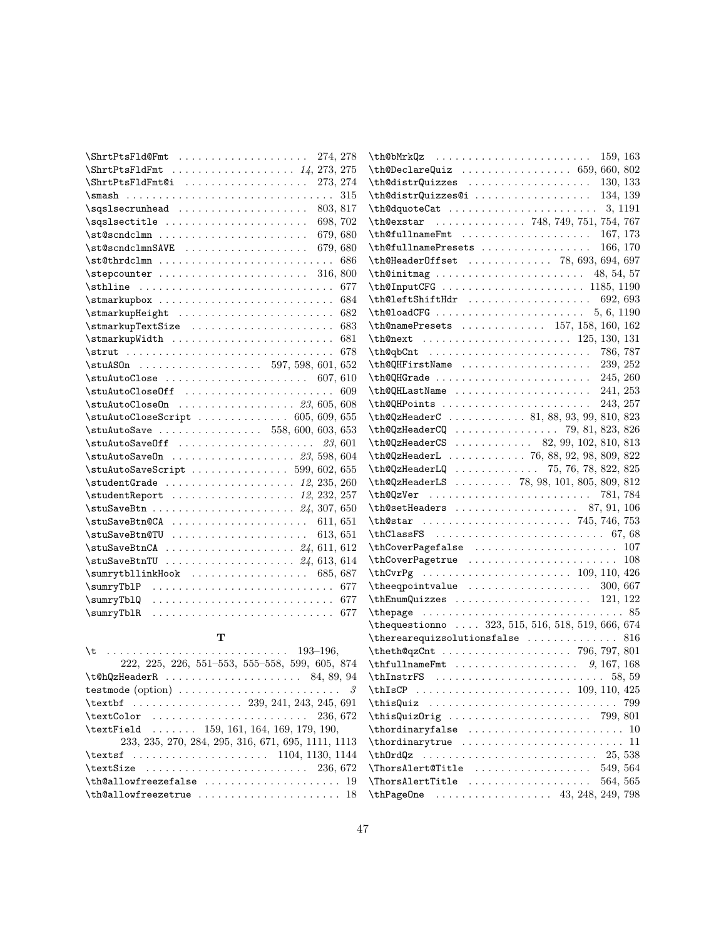| \ShrtPtsFld@Fmt<br>274, 278                                                       | 159, 163                                                                                                                                                                                                                                                                                                                                                                                                                                              |
|-----------------------------------------------------------------------------------|-------------------------------------------------------------------------------------------------------------------------------------------------------------------------------------------------------------------------------------------------------------------------------------------------------------------------------------------------------------------------------------------------------------------------------------------------------|
| $\$$ hrtPtsFldFmt $14, 273, 275$                                                  |                                                                                                                                                                                                                                                                                                                                                                                                                                                       |
| \ShrtPtsFldFmt@i  273, 274                                                        |                                                                                                                                                                                                                                                                                                                                                                                                                                                       |
| $\frac{1}{315}$                                                                   | $\th$ @distrQuizzes@i  134, 139                                                                                                                                                                                                                                                                                                                                                                                                                       |
| $\simeq$<br>803, 817                                                              | $\th$ <b>@dquoteCat</b> 3, 1191                                                                                                                                                                                                                                                                                                                                                                                                                       |
|                                                                                   | \th@exstar  748, 749, 751, 754, 767                                                                                                                                                                                                                                                                                                                                                                                                                   |
| $\setminus$ st@scndclmn  679,680                                                  | \th@fullnameFmt<br>167, 173                                                                                                                                                                                                                                                                                                                                                                                                                           |
| $\setminus$ st@scndclmnSAVE  679,680                                              | \th@fullnamePresets<br>166, 170                                                                                                                                                                                                                                                                                                                                                                                                                       |
|                                                                                   | \th@HeaderOffset  78, 693, 694, 697                                                                                                                                                                                                                                                                                                                                                                                                                   |
|                                                                                   | $\th$ @initmag  48, 54, 57                                                                                                                                                                                                                                                                                                                                                                                                                            |
|                                                                                   | $\th$ @InputCFG  1185, 1190                                                                                                                                                                                                                                                                                                                                                                                                                           |
| $\frac{1684}$                                                                     | \th@leftShiftHdr<br>692, 693                                                                                                                                                                                                                                                                                                                                                                                                                          |
| \stmarkupHeight  682                                                              | 5, 6, 1190                                                                                                                                                                                                                                                                                                                                                                                                                                            |
| \stmarkupTextSize  683                                                            | \th@namePresets  157, 158, 160, 162                                                                                                                                                                                                                                                                                                                                                                                                                   |
| \stmarkupWidth  681                                                               |                                                                                                                                                                                                                                                                                                                                                                                                                                                       |
| $\strut \text{1} 678$                                                             |                                                                                                                                                                                                                                                                                                                                                                                                                                                       |
|                                                                                   | \th@QHFirstName<br>239, 252                                                                                                                                                                                                                                                                                                                                                                                                                           |
|                                                                                   | \th@QHGrade<br>245, 260                                                                                                                                                                                                                                                                                                                                                                                                                               |
| \stuAutoCloseOff  609                                                             | $\th$ @QHLastName  241, 253                                                                                                                                                                                                                                                                                                                                                                                                                           |
| $\texttt{\&}$ tuAutoCloseOn  23,605,608                                           | \th@QHPoints<br>243, 257                                                                                                                                                                                                                                                                                                                                                                                                                              |
| $\texttt{\&}$ tuAutoCloseScript  605, 609, 655                                    | $\theta$ zHeaderC  81, 88, 93, 99, 810, 823                                                                                                                                                                                                                                                                                                                                                                                                           |
| \stuAutoSave  558, 600, 603, 653                                                  | $\verb+\th@QzHeaderCQ + \ldots + \ldots + 79, 81, 823, 826$                                                                                                                                                                                                                                                                                                                                                                                           |
|                                                                                   | $\theta$ zHeaderCS  82, 99, 102, 810, 813                                                                                                                                                                                                                                                                                                                                                                                                             |
| $\texttt{\texttt{SaveOn}} \dots \dots \dots \dots \dots 23, 598, 604$             | $\theta$ 2HeaderL  76, 88, 92, 98, 809, 822                                                                                                                                                                                                                                                                                                                                                                                                           |
| $\texttt{\texttt{StuAutoSaveScript}} \dots \dots \dots \dots \dots 599, 602, 655$ | $\theta$ zHeaderLQ  75, 76, 78, 822, 825                                                                                                                                                                                                                                                                                                                                                                                                              |
| $\setminus$ studentGrade  12, 235, 260                                            | $\theta$ 2HeaderLS  78, 98, 101, 805, 809, 812                                                                                                                                                                                                                                                                                                                                                                                                        |
| $\setminus$ studentReport  12, 232, 257                                           | 781, 784                                                                                                                                                                                                                                                                                                                                                                                                                                              |
|                                                                                   | $\th$ @setHeaders  87, 91, 106                                                                                                                                                                                                                                                                                                                                                                                                                        |
| $\texttt{\&}$ = 611, 651                                                          | $\theta$ star  745, 746, 753                                                                                                                                                                                                                                                                                                                                                                                                                          |
| \stuSaveBtn@TU<br>613, 651                                                        |                                                                                                                                                                                                                                                                                                                                                                                                                                                       |
| $\texttt{\&tusaveBtnCA}$ 24, 611, 612                                             | $\th$ CoverPagefalse  107                                                                                                                                                                                                                                                                                                                                                                                                                             |
|                                                                                   | $\th$ CoverPagetrue  108                                                                                                                                                                                                                                                                                                                                                                                                                              |
|                                                                                   |                                                                                                                                                                                                                                                                                                                                                                                                                                                       |
| \sumryTblP  677                                                                   | $\theta$ \the eqpoint value $\ldots \ldots \ldots \ldots \ldots \ldots \quad 300, 667$                                                                                                                                                                                                                                                                                                                                                                |
| \sumryTblQ  677                                                                   | $\th$ EnumQuizzes  121, 122<br>$\theta$ . $\theta$ . $\theta$ . $\theta$ . $\theta$ . $\theta$ . $\theta$ . $\theta$ . $\theta$ . $\theta$ . $\theta$ . $\theta$ . $\theta$ . $\theta$ . $\theta$ . $\theta$ . $\theta$ . $\theta$ . $\theta$ . $\theta$ . $\theta$ . $\theta$ . $\theta$ . $\theta$ . $\theta$ . $\theta$ . $\theta$ . $\theta$ . $\theta$ . $\theta$ . $\theta$ . $\theta$ . $\theta$ . $\theta$ . $\theta$ . $\theta$ . $\theta$ . |
| \sumryTblR  677                                                                   |                                                                                                                                                                                                                                                                                                                                                                                                                                                       |
| $\mathbf T$                                                                       | \thequestionno  323, 515, 516, 518, 519, 666, 674<br>$\verb \therearequizsolutionsfalse  \ldots  \ldots  \ldots   816$                                                                                                                                                                                                                                                                                                                                |
|                                                                                   | \theth@qzCnt  796, 797, 801                                                                                                                                                                                                                                                                                                                                                                                                                           |
| 222, 225, 226, 551-553, 555-558, 599, 605, 874                                    | $\th$ fullnameFmt  9, 167, 168                                                                                                                                                                                                                                                                                                                                                                                                                        |
|                                                                                   |                                                                                                                                                                                                                                                                                                                                                                                                                                                       |
| testmode (option) $\ldots \ldots \ldots \ldots \ldots \ldots \ldots$ 3            |                                                                                                                                                                                                                                                                                                                                                                                                                                                       |
|                                                                                   |                                                                                                                                                                                                                                                                                                                                                                                                                                                       |
| $\text{textColor}$<br>236, 672                                                    | $\theta$ . 799, 801                                                                                                                                                                                                                                                                                                                                                                                                                                   |
| \textField  159, 161, 164, 169, 179, 190,                                         |                                                                                                                                                                                                                                                                                                                                                                                                                                                       |
| 233, 235, 270, 284, 295, 316, 671, 695, 1111, 1113                                | \thordinarytrue  11                                                                                                                                                                                                                                                                                                                                                                                                                                   |
| \textsf  1104, 1130, 1144                                                         | $\th$ OrdQz  25,538                                                                                                                                                                                                                                                                                                                                                                                                                                   |
|                                                                                   |                                                                                                                                                                                                                                                                                                                                                                                                                                                       |

\th@allowfreezefalse . . . . . . . . . . . . . . . . . . . . . 19 \ThorsAlertTitle . . . . . . . . . . . . . . . . . . . 564, 565 \th@allowfreezetrue . . . . . . . . . . . . . . . . . . . . . . 18 \thPageOne . . . . . . . . . . . . . . . . . . 43, 248, 249, 798

 $\verb|\ThorsAlert@Title | ... | ... | ... | 549, 564$ 

\textSize . . . . . . . . . . . . . . . . . . . . . . . . . 236, 672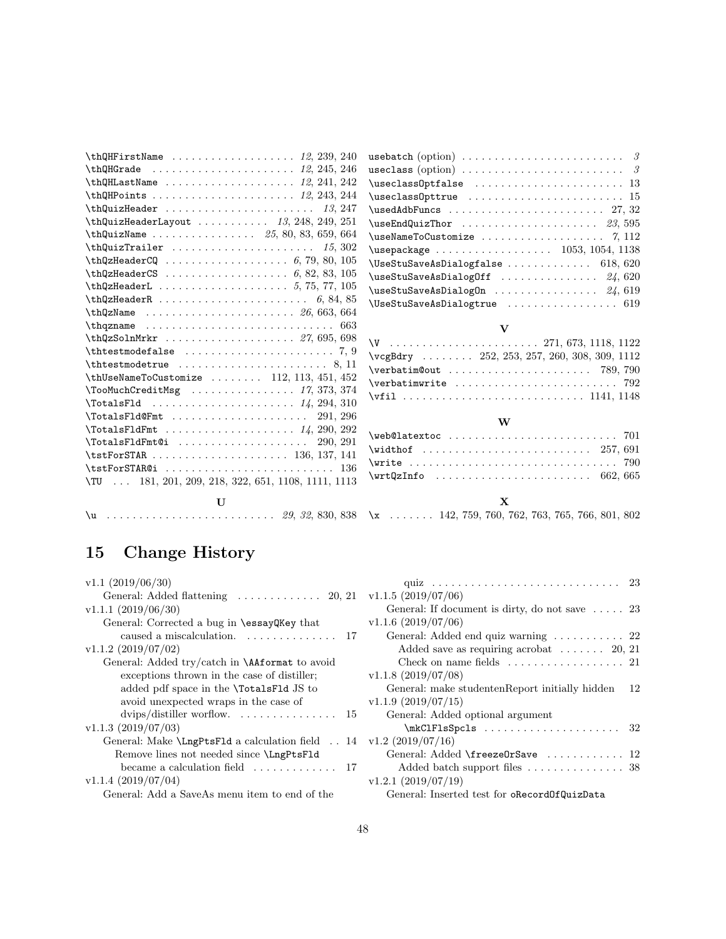| $\th$ UseNameToCustomize  112, 113, 451, 452<br>$\tau$ and $291, 296$<br>$\{\texttt{TotalsFldFmt} \dots \dots \dots \dots \dots 14, 290, 292\}$<br>$\{\texttt{TotalsFldFmt@i} \dots \dots \dots \dots \dots \ 290, 291\}$ | $\verb+\verbatim@out + \verb+\++ \verb+\+ 789.790$<br>$\verb \verbatimwrite               792$<br>\vfil  1141, 1148<br>W |
|---------------------------------------------------------------------------------------------------------------------------------------------------------------------------------------------------------------------------|--------------------------------------------------------------------------------------------------------------------------|
|                                                                                                                                                                                                                           |                                                                                                                          |
|                                                                                                                                                                                                                           |                                                                                                                          |
|                                                                                                                                                                                                                           |                                                                                                                          |
|                                                                                                                                                                                                                           |                                                                                                                          |
|                                                                                                                                                                                                                           |                                                                                                                          |
|                                                                                                                                                                                                                           | $\vee$ cgBdry  252, 253, 257, 260, 308, 309, 1112                                                                        |
|                                                                                                                                                                                                                           |                                                                                                                          |
| $\th$ QzSolnMrkr  27, 695, 698                                                                                                                                                                                            | $\mathbf{V}$                                                                                                             |
|                                                                                                                                                                                                                           |                                                                                                                          |
| $\th$ QzHeaderR  6,84,85<br>$\th$ QzName  26, 663, 664                                                                                                                                                                    | $\text{V}$ UseStuSaveAsDialogtrue  619                                                                                   |
| $\th$ QzHeaderL 5, 75, 77, 105                                                                                                                                                                                            | \useStuSaveAsDialogOn $24,619$                                                                                           |
|                                                                                                                                                                                                                           | \useStuSaveAsDialogOff $24,620$                                                                                          |
| $\th$ QzHeaderCQ  6, 79, 80, 105                                                                                                                                                                                          | $\text{ViseStuSaveAsDialogfalse}$ 618, 620                                                                               |
| $\th$ QuizTrailer  15, 302                                                                                                                                                                                                | \usepackage  1053, 1054, 1138                                                                                            |
| $\th$ QuizName  25, 80, 83, 659, 664                                                                                                                                                                                      |                                                                                                                          |
| $\th$ QuizHeaderLayout  13, 248, 249, 251                                                                                                                                                                                 | $\texttt{\texttt{useEndQuizThor}} \dots \dots \dots \dots \dots 23, 595$                                                 |
| $\th$ QuizHeader  13, 247                                                                                                                                                                                                 | $\texttt{\textbackslash} 27, 32$                                                                                         |
|                                                                                                                                                                                                                           |                                                                                                                          |
| $\th$ QHLastName  12, 241, 242                                                                                                                                                                                            |                                                                                                                          |
|                                                                                                                                                                                                                           | useclass (option) $\ldots \ldots \ldots \ldots \ldots \ldots \ldots$ 3                                                   |
|                                                                                                                                                                                                                           |                                                                                                                          |

# <span id="page-47-0"></span>15 Change History

| v1.1 (2019/06/30)                                                      |                                                       |  |
|------------------------------------------------------------------------|-------------------------------------------------------|--|
| General: Added flattening $\ldots \ldots \ldots \ldots 20, 21$         | v1.1.5(2019/07/06)                                    |  |
| v1.1.1 (2019/06/30)                                                    | General: If document is dirty, do not save $\dots$ 23 |  |
| General: Corrected a bug in \essayQKey that                            | $v1.1.6$ (2019/07/06)                                 |  |
| caused a miscalculation. 17                                            |                                                       |  |
| v1.1.2 (2019/07/02)                                                    | Added save as requiring acrobat $\dots \dots 20$ , 21 |  |
| General: Added try/catch in <b>\AAformat</b> to avoid                  |                                                       |  |
| exceptions thrown in the case of distiller;                            | v1.1.8(2019/07/08)                                    |  |
| added pdf space in the <b>\TotalsFld</b> JS to                         | General: make studentenReport initially hidden 12     |  |
| avoid unexpected wraps in the case of                                  | v1.1.9(2019/07/15)                                    |  |
|                                                                        | General: Added optional argument                      |  |
| $v1.1.3$ (2019/07/03)                                                  | $\m{kClFlsSpcls$ 32                                   |  |
| General: Make $\L{IngPtsF1d}$ a calculation field 14 v1.2 (2019/07/16) |                                                       |  |
| Remove lines not needed since \LngPtsFld                               | General: Added \freeze0rSave  12                      |  |
| became a calculation field $\ldots \ldots \ldots \ldots 17$            |                                                       |  |
| v1.1.4~(2019/07/04)                                                    | v1.2.1 (2019/07/19)                                   |  |
| General: Add a SaveAs menu item to end of the                          | General: Inserted test for oRecordOfQuizData          |  |
|                                                                        |                                                       |  |